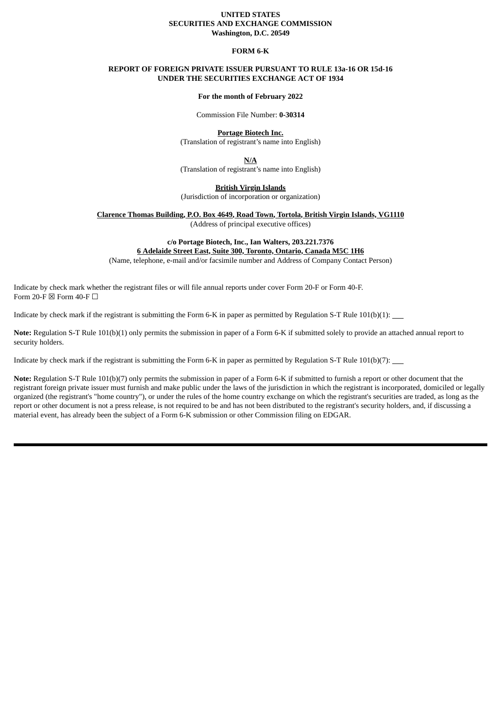# **UNITED STATES SECURITIES AND EXCHANGE COMMISSION Washington, D.C. 20549**

#### **FORM 6-K**

# **REPORT OF FOREIGN PRIVATE ISSUER PURSUANT TO RULE 13a-16 OR 15d-16 UNDER THE SECURITIES EXCHANGE ACT OF 1934**

#### **For the month of February 2022**

Commission File Number: **0-30314**

**Portage Biotech Inc.** (Translation of registrant's name into English)

**N/A**

(Translation of registrant's name into English)

**British Virgin Islands**

(Jurisdiction of incorporation or organization)

**Clarence Thomas Building, P.O. Box 4649, Road Town, Tortola, British Virgin Islands, VG1110**

(Address of principal executive offices)

**c/o Portage Biotech, Inc., Ian Walters, 203.221.7376 6 Adelaide Street East, Suite 300, Toronto, Ontario, Canada M5C 1H6**

(Name, telephone, e-mail and/or facsimile number and Address of Company Contact Person)

Indicate by check mark whether the registrant files or will file annual reports under cover Form 20-F or Form 40-F. Form 20-F  $\boxtimes$  Form 40-F  $\Box$ 

Indicate by check mark if the registrant is submitting the Form 6-K in paper as permitted by Regulation S-T Rule 101(b)(1):

**Note:** Regulation S-T Rule 101(b)(1) only permits the submission in paper of a Form 6-K if submitted solely to provide an attached annual report to security holders.

Indicate by check mark if the registrant is submitting the Form 6-K in paper as permitted by Regulation S-T Rule  $101(b)(7)$ :

**Note:** Regulation S-T Rule 101(b)(7) only permits the submission in paper of a Form 6-K if submitted to furnish a report or other document that the registrant foreign private issuer must furnish and make public under the laws of the jurisdiction in which the registrant is incorporated, domiciled or legally organized (the registrant's "home country"), or under the rules of the home country exchange on which the registrant's securities are traded, as long as the report or other document is not a press release, is not required to be and has not been distributed to the registrant's security holders, and, if discussing a material event, has already been the subject of a Form 6-K submission or other Commission filing on EDGAR.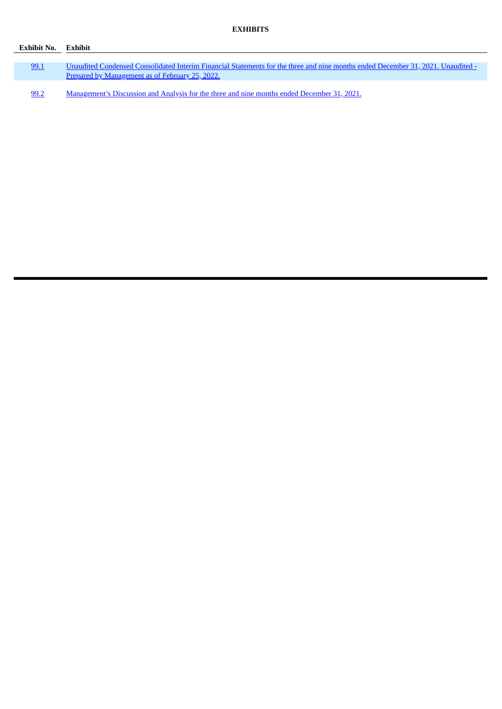| Exhibit No. Exhibit |                                                                                                                                                                                     |
|---------------------|-------------------------------------------------------------------------------------------------------------------------------------------------------------------------------------|
|                     |                                                                                                                                                                                     |
| 99.1                | Unaudited Condensed Consolidated Interim Financial Statements for the three and nine months ended December 31, 2021. Unaudited -<br>Prepared by Management as of February 25, 2022. |
| 99.2                | Management's Discussion and Analysis for the three and nine months ended December 31, 2021.                                                                                         |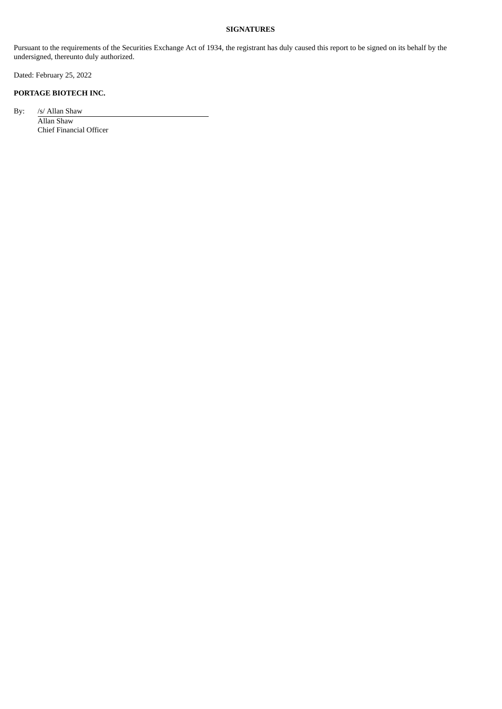# **SIGNATURES**

Pursuant to the requirements of the Securities Exchange Act of 1934, the registrant has duly caused this report to be signed on its behalf by the undersigned, thereunto duly authorized.

Dated: February 25, 2022

# **PORTAGE BIOTECH INC.**

By: /s/ Allan Shaw Allan Shaw

Chief Financial Officer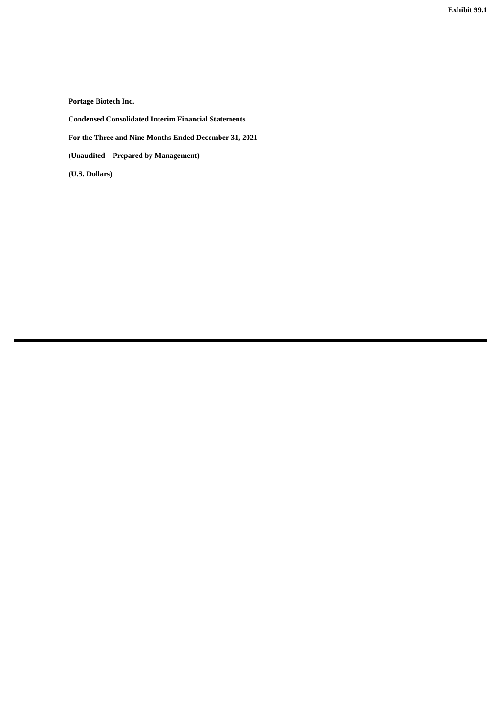**Exhibit 99.1**

<span id="page-3-0"></span>**Portage Biotech Inc.**

**Condensed Consolidated Interim Financial Statements**

**For the Three and Nine Months Ended December 31, 2021**

**(Unaudited – Prepared by Management)**

**(U.S. Dollars)**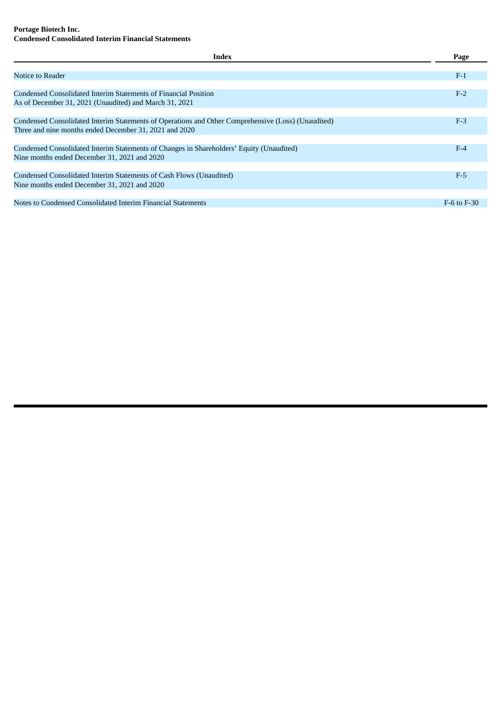# **Portage Biotech Inc. Condensed Consolidated Interim Financial Statements**

| <b>Index</b>                                                                                       | Page            |
|----------------------------------------------------------------------------------------------------|-----------------|
|                                                                                                    |                 |
| Notice to Reader                                                                                   | $F-1$           |
|                                                                                                    |                 |
| Condensed Consolidated Interim Statements of Financial Position                                    | $F-2$           |
| As of December 31, 2021 (Unaudited) and March 31, 2021                                             |                 |
|                                                                                                    |                 |
| Condensed Consolidated Interim Statements of Operations and Other Comprehensive (Loss) (Unaudited) | $F-3$           |
| Three and nine months ended December 31, 2021 and 2020                                             |                 |
|                                                                                                    |                 |
| Condensed Consolidated Interim Statements of Changes in Shareholders' Equity (Unaudited)           | $F-4$           |
| Nine months ended December 31, 2021 and 2020                                                       |                 |
|                                                                                                    |                 |
| Condensed Consolidated Interim Statements of Cash Flows (Unaudited)                                | $F-5$           |
| Nine months ended December 31, 2021 and 2020                                                       |                 |
|                                                                                                    |                 |
| Notes to Condensed Consolidated Interim Financial Statements                                       | $F-6$ to $F-30$ |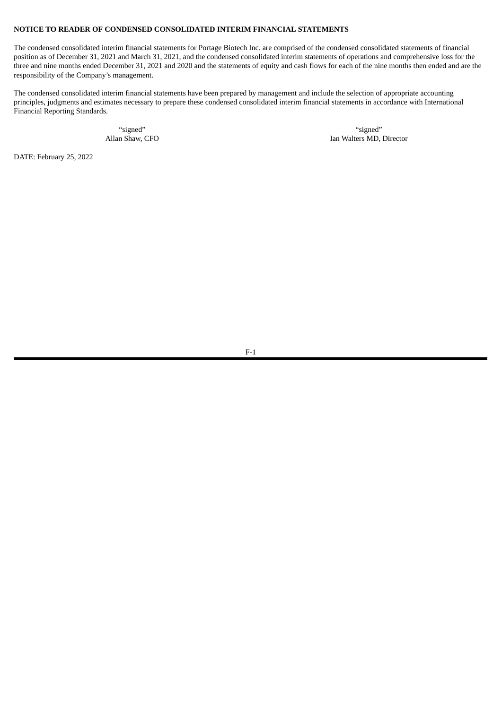# **NOTICE TO READER OF CONDENSED CONSOLIDATED INTERIM FINANCIAL STATEMENTS**

The condensed consolidated interim financial statements for Portage Biotech Inc. are comprised of the condensed consolidated statements of financial position as of December 31, 2021 and March 31, 2021, and the condensed consolidated interim statements of operations and comprehensive loss for the three and nine months ended December 31, 2021 and 2020 and the statements of equity and cash flows for each of the nine months then ended and are the responsibility of the Company's management.

The condensed consolidated interim financial statements have been prepared by management and include the selection of appropriate accounting principles, judgments and estimates necessary to prepare these condensed consolidated interim financial statements in accordance with International Financial Reporting Standards.

"signed" "signed" Allan Shaw, CFO **Ian Walters MD, Director** Ian Walters MD, Director

DATE: February 25, 2022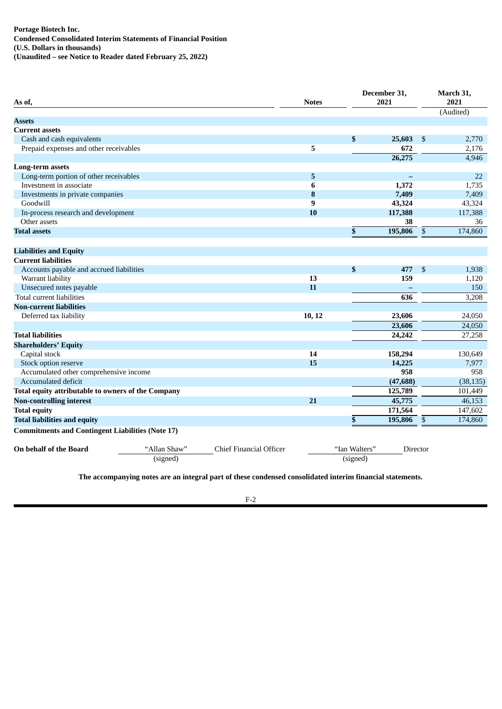| (Audited)<br><b>Assets</b><br><b>Current assets</b><br>\$<br>Cash and cash equivalents<br>25,603<br>2,770<br>\$<br>5<br>Prepaid expenses and other receivables<br>672<br>2.176<br>26,275<br>4,946<br><b>Long-term assets</b><br>Long-term portion of other receivables<br>5<br>22<br>$\overline{\phantom{0}}$<br>Investment in associate<br>6<br>1,372<br>1,735<br>8<br>7,409<br>7,409<br>Investments in private companies<br>Goodwill<br>9<br>43,324<br>43,324<br>117,388<br>In-process research and development<br>10<br>117,388<br>Other assets<br>38<br>36<br>\$<br>$\boldsymbol{\mathsf{S}}$<br>174,860<br>195,806<br><b>Total assets</b><br><b>Liabilities and Equity</b><br><b>Current liabilities</b><br>\$<br>Accounts payable and accrued liabilities<br>\$<br>477<br>1,938<br>13<br>Warrant liability<br>159<br>1,120<br>Unsecured notes payable<br>11<br>150<br>Total current liabilities<br>636<br>3,208<br><b>Non-current liabilities</b><br>10, 12<br>23,606<br>Deferred tax liability<br>24,050<br>23,606<br>24,050<br>24,242<br>27,258<br><b>Total liabilities</b><br><b>Shareholders' Equity</b><br>Capital stock<br>14<br>158,294<br>130,649<br>15<br>14,225<br>7,977<br>Stock option reserve<br>958<br>958<br>Accumulated other comprehensive income<br>(47, 688)<br>Accumulated deficit<br>(38, 135)<br>125,789<br>Total equity attributable to owners of the Company<br>101,449<br><b>Non-controlling interest</b><br>21<br>45,775<br>46,153<br>171,564<br>147,602<br><b>Total equity</b><br>\$<br>195,806<br>$\mathbb{S}$<br>174,860<br><b>Total liabilities and equity</b><br><b>Commitments and Contingent Liabilities (Note 17)</b><br>On behalf of the Board<br>"Allan Shaw"<br>Chief Financial Officer<br>"Ian Walters"<br>Director<br>(signed)<br>(signed) | As of, |  | <b>Notes</b> | December 31,<br>2021 | March 31,<br>2021 |
|-----------------------------------------------------------------------------------------------------------------------------------------------------------------------------------------------------------------------------------------------------------------------------------------------------------------------------------------------------------------------------------------------------------------------------------------------------------------------------------------------------------------------------------------------------------------------------------------------------------------------------------------------------------------------------------------------------------------------------------------------------------------------------------------------------------------------------------------------------------------------------------------------------------------------------------------------------------------------------------------------------------------------------------------------------------------------------------------------------------------------------------------------------------------------------------------------------------------------------------------------------------------------------------------------------------------------------------------------------------------------------------------------------------------------------------------------------------------------------------------------------------------------------------------------------------------------------------------------------------------------------------------------------------------------------------------------------------------------------------------------------------------------------------------|--------|--|--------------|----------------------|-------------------|
|                                                                                                                                                                                                                                                                                                                                                                                                                                                                                                                                                                                                                                                                                                                                                                                                                                                                                                                                                                                                                                                                                                                                                                                                                                                                                                                                                                                                                                                                                                                                                                                                                                                                                                                                                                                         |        |  |              |                      |                   |
|                                                                                                                                                                                                                                                                                                                                                                                                                                                                                                                                                                                                                                                                                                                                                                                                                                                                                                                                                                                                                                                                                                                                                                                                                                                                                                                                                                                                                                                                                                                                                                                                                                                                                                                                                                                         |        |  |              |                      |                   |
|                                                                                                                                                                                                                                                                                                                                                                                                                                                                                                                                                                                                                                                                                                                                                                                                                                                                                                                                                                                                                                                                                                                                                                                                                                                                                                                                                                                                                                                                                                                                                                                                                                                                                                                                                                                         |        |  |              |                      |                   |
|                                                                                                                                                                                                                                                                                                                                                                                                                                                                                                                                                                                                                                                                                                                                                                                                                                                                                                                                                                                                                                                                                                                                                                                                                                                                                                                                                                                                                                                                                                                                                                                                                                                                                                                                                                                         |        |  |              |                      |                   |
|                                                                                                                                                                                                                                                                                                                                                                                                                                                                                                                                                                                                                                                                                                                                                                                                                                                                                                                                                                                                                                                                                                                                                                                                                                                                                                                                                                                                                                                                                                                                                                                                                                                                                                                                                                                         |        |  |              |                      |                   |
|                                                                                                                                                                                                                                                                                                                                                                                                                                                                                                                                                                                                                                                                                                                                                                                                                                                                                                                                                                                                                                                                                                                                                                                                                                                                                                                                                                                                                                                                                                                                                                                                                                                                                                                                                                                         |        |  |              |                      |                   |
|                                                                                                                                                                                                                                                                                                                                                                                                                                                                                                                                                                                                                                                                                                                                                                                                                                                                                                                                                                                                                                                                                                                                                                                                                                                                                                                                                                                                                                                                                                                                                                                                                                                                                                                                                                                         |        |  |              |                      |                   |
|                                                                                                                                                                                                                                                                                                                                                                                                                                                                                                                                                                                                                                                                                                                                                                                                                                                                                                                                                                                                                                                                                                                                                                                                                                                                                                                                                                                                                                                                                                                                                                                                                                                                                                                                                                                         |        |  |              |                      |                   |
|                                                                                                                                                                                                                                                                                                                                                                                                                                                                                                                                                                                                                                                                                                                                                                                                                                                                                                                                                                                                                                                                                                                                                                                                                                                                                                                                                                                                                                                                                                                                                                                                                                                                                                                                                                                         |        |  |              |                      |                   |
|                                                                                                                                                                                                                                                                                                                                                                                                                                                                                                                                                                                                                                                                                                                                                                                                                                                                                                                                                                                                                                                                                                                                                                                                                                                                                                                                                                                                                                                                                                                                                                                                                                                                                                                                                                                         |        |  |              |                      |                   |
|                                                                                                                                                                                                                                                                                                                                                                                                                                                                                                                                                                                                                                                                                                                                                                                                                                                                                                                                                                                                                                                                                                                                                                                                                                                                                                                                                                                                                                                                                                                                                                                                                                                                                                                                                                                         |        |  |              |                      |                   |
|                                                                                                                                                                                                                                                                                                                                                                                                                                                                                                                                                                                                                                                                                                                                                                                                                                                                                                                                                                                                                                                                                                                                                                                                                                                                                                                                                                                                                                                                                                                                                                                                                                                                                                                                                                                         |        |  |              |                      |                   |
|                                                                                                                                                                                                                                                                                                                                                                                                                                                                                                                                                                                                                                                                                                                                                                                                                                                                                                                                                                                                                                                                                                                                                                                                                                                                                                                                                                                                                                                                                                                                                                                                                                                                                                                                                                                         |        |  |              |                      |                   |
|                                                                                                                                                                                                                                                                                                                                                                                                                                                                                                                                                                                                                                                                                                                                                                                                                                                                                                                                                                                                                                                                                                                                                                                                                                                                                                                                                                                                                                                                                                                                                                                                                                                                                                                                                                                         |        |  |              |                      |                   |
|                                                                                                                                                                                                                                                                                                                                                                                                                                                                                                                                                                                                                                                                                                                                                                                                                                                                                                                                                                                                                                                                                                                                                                                                                                                                                                                                                                                                                                                                                                                                                                                                                                                                                                                                                                                         |        |  |              |                      |                   |
|                                                                                                                                                                                                                                                                                                                                                                                                                                                                                                                                                                                                                                                                                                                                                                                                                                                                                                                                                                                                                                                                                                                                                                                                                                                                                                                                                                                                                                                                                                                                                                                                                                                                                                                                                                                         |        |  |              |                      |                   |
|                                                                                                                                                                                                                                                                                                                                                                                                                                                                                                                                                                                                                                                                                                                                                                                                                                                                                                                                                                                                                                                                                                                                                                                                                                                                                                                                                                                                                                                                                                                                                                                                                                                                                                                                                                                         |        |  |              |                      |                   |
|                                                                                                                                                                                                                                                                                                                                                                                                                                                                                                                                                                                                                                                                                                                                                                                                                                                                                                                                                                                                                                                                                                                                                                                                                                                                                                                                                                                                                                                                                                                                                                                                                                                                                                                                                                                         |        |  |              |                      |                   |
|                                                                                                                                                                                                                                                                                                                                                                                                                                                                                                                                                                                                                                                                                                                                                                                                                                                                                                                                                                                                                                                                                                                                                                                                                                                                                                                                                                                                                                                                                                                                                                                                                                                                                                                                                                                         |        |  |              |                      |                   |
|                                                                                                                                                                                                                                                                                                                                                                                                                                                                                                                                                                                                                                                                                                                                                                                                                                                                                                                                                                                                                                                                                                                                                                                                                                                                                                                                                                                                                                                                                                                                                                                                                                                                                                                                                                                         |        |  |              |                      |                   |
|                                                                                                                                                                                                                                                                                                                                                                                                                                                                                                                                                                                                                                                                                                                                                                                                                                                                                                                                                                                                                                                                                                                                                                                                                                                                                                                                                                                                                                                                                                                                                                                                                                                                                                                                                                                         |        |  |              |                      |                   |
|                                                                                                                                                                                                                                                                                                                                                                                                                                                                                                                                                                                                                                                                                                                                                                                                                                                                                                                                                                                                                                                                                                                                                                                                                                                                                                                                                                                                                                                                                                                                                                                                                                                                                                                                                                                         |        |  |              |                      |                   |
|                                                                                                                                                                                                                                                                                                                                                                                                                                                                                                                                                                                                                                                                                                                                                                                                                                                                                                                                                                                                                                                                                                                                                                                                                                                                                                                                                                                                                                                                                                                                                                                                                                                                                                                                                                                         |        |  |              |                      |                   |
|                                                                                                                                                                                                                                                                                                                                                                                                                                                                                                                                                                                                                                                                                                                                                                                                                                                                                                                                                                                                                                                                                                                                                                                                                                                                                                                                                                                                                                                                                                                                                                                                                                                                                                                                                                                         |        |  |              |                      |                   |
|                                                                                                                                                                                                                                                                                                                                                                                                                                                                                                                                                                                                                                                                                                                                                                                                                                                                                                                                                                                                                                                                                                                                                                                                                                                                                                                                                                                                                                                                                                                                                                                                                                                                                                                                                                                         |        |  |              |                      |                   |
|                                                                                                                                                                                                                                                                                                                                                                                                                                                                                                                                                                                                                                                                                                                                                                                                                                                                                                                                                                                                                                                                                                                                                                                                                                                                                                                                                                                                                                                                                                                                                                                                                                                                                                                                                                                         |        |  |              |                      |                   |
|                                                                                                                                                                                                                                                                                                                                                                                                                                                                                                                                                                                                                                                                                                                                                                                                                                                                                                                                                                                                                                                                                                                                                                                                                                                                                                                                                                                                                                                                                                                                                                                                                                                                                                                                                                                         |        |  |              |                      |                   |
|                                                                                                                                                                                                                                                                                                                                                                                                                                                                                                                                                                                                                                                                                                                                                                                                                                                                                                                                                                                                                                                                                                                                                                                                                                                                                                                                                                                                                                                                                                                                                                                                                                                                                                                                                                                         |        |  |              |                      |                   |
|                                                                                                                                                                                                                                                                                                                                                                                                                                                                                                                                                                                                                                                                                                                                                                                                                                                                                                                                                                                                                                                                                                                                                                                                                                                                                                                                                                                                                                                                                                                                                                                                                                                                                                                                                                                         |        |  |              |                      |                   |
|                                                                                                                                                                                                                                                                                                                                                                                                                                                                                                                                                                                                                                                                                                                                                                                                                                                                                                                                                                                                                                                                                                                                                                                                                                                                                                                                                                                                                                                                                                                                                                                                                                                                                                                                                                                         |        |  |              |                      |                   |
|                                                                                                                                                                                                                                                                                                                                                                                                                                                                                                                                                                                                                                                                                                                                                                                                                                                                                                                                                                                                                                                                                                                                                                                                                                                                                                                                                                                                                                                                                                                                                                                                                                                                                                                                                                                         |        |  |              |                      |                   |
|                                                                                                                                                                                                                                                                                                                                                                                                                                                                                                                                                                                                                                                                                                                                                                                                                                                                                                                                                                                                                                                                                                                                                                                                                                                                                                                                                                                                                                                                                                                                                                                                                                                                                                                                                                                         |        |  |              |                      |                   |
|                                                                                                                                                                                                                                                                                                                                                                                                                                                                                                                                                                                                                                                                                                                                                                                                                                                                                                                                                                                                                                                                                                                                                                                                                                                                                                                                                                                                                                                                                                                                                                                                                                                                                                                                                                                         |        |  |              |                      |                   |
|                                                                                                                                                                                                                                                                                                                                                                                                                                                                                                                                                                                                                                                                                                                                                                                                                                                                                                                                                                                                                                                                                                                                                                                                                                                                                                                                                                                                                                                                                                                                                                                                                                                                                                                                                                                         |        |  |              |                      |                   |
|                                                                                                                                                                                                                                                                                                                                                                                                                                                                                                                                                                                                                                                                                                                                                                                                                                                                                                                                                                                                                                                                                                                                                                                                                                                                                                                                                                                                                                                                                                                                                                                                                                                                                                                                                                                         |        |  |              |                      |                   |
|                                                                                                                                                                                                                                                                                                                                                                                                                                                                                                                                                                                                                                                                                                                                                                                                                                                                                                                                                                                                                                                                                                                                                                                                                                                                                                                                                                                                                                                                                                                                                                                                                                                                                                                                                                                         |        |  |              |                      |                   |
|                                                                                                                                                                                                                                                                                                                                                                                                                                                                                                                                                                                                                                                                                                                                                                                                                                                                                                                                                                                                                                                                                                                                                                                                                                                                                                                                                                                                                                                                                                                                                                                                                                                                                                                                                                                         |        |  |              |                      |                   |

**The accompanying notes are an integral part of these condensed consolidated interim financial statements.**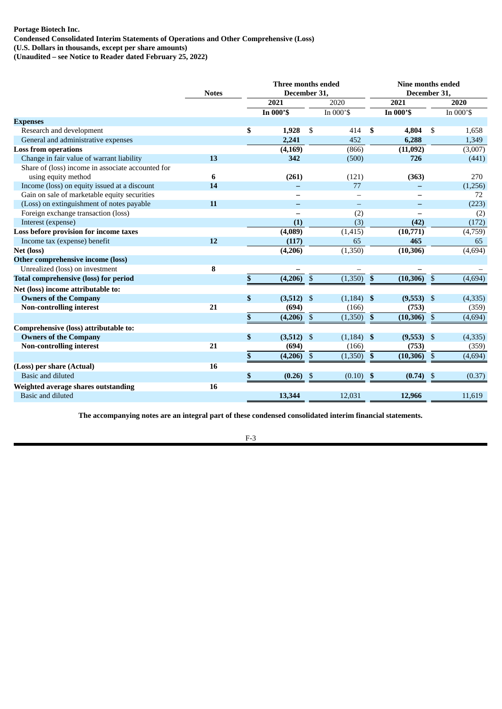# **Portage Biotech Inc. Condensed Consolidated Interim Statements of Operations and Other Comprehensive (Loss) (U.S. Dollars in thousands, except per share amounts)**

**(Unaudited – see Notice to Reader dated February 25, 2022)**

|                                                   | <b>Notes</b> |    | Three months ended<br>December 31, | <b>Nine months ended</b><br>December 31, |              |                           |              |                |           |
|---------------------------------------------------|--------------|----|------------------------------------|------------------------------------------|--------------|---------------------------|--------------|----------------|-----------|
|                                                   |              |    | 2021                               |                                          | 2020         |                           | 2021         |                | 2020      |
|                                                   |              |    | In 000'S                           |                                          | In 000'\$    |                           | In 000'S     |                | In 000'\$ |
| <b>Expenses</b>                                   |              |    |                                    |                                          |              |                           |              |                |           |
| Research and development                          |              | \$ | 1,928                              | \$                                       | 414          | -S                        | 4,804        | \$             | 1,658     |
| General and administrative expenses               |              |    | 2,241                              |                                          | 452          |                           | 6,288        |                | 1,349     |
| <b>Loss from operations</b>                       |              |    | (4, 169)                           |                                          | (866)        |                           | (11,092)     |                | (3,007)   |
| Change in fair value of warrant liability         | 13           |    | 342                                |                                          | (500)        |                           | 726          |                | (441)     |
| Share of (loss) income in associate accounted for |              |    |                                    |                                          |              |                           |              |                |           |
| using equity method                               | 6            |    | (261)                              |                                          | (121)        |                           | (363)        |                | 270       |
| Income (loss) on equity issued at a discount      | 14           |    |                                    |                                          | 77           |                           |              |                | (1,256)   |
| Gain on sale of marketable equity securities      |              |    |                                    |                                          |              |                           |              |                | 72        |
| (Loss) on extinguishment of notes payable         | 11           |    |                                    |                                          | $\equiv$     |                           |              |                | (223)     |
| Foreign exchange transaction (loss)               |              |    |                                    |                                          | (2)          |                           |              |                | (2)       |
| Interest (expense)                                |              |    | (1)                                |                                          | (3)          |                           | (42)         |                | (172)     |
| Loss before provision for income taxes            |              |    | (4,089)                            |                                          | (1, 415)     |                           | (10,771)     |                | (4,759)   |
| Income tax (expense) benefit                      | 12           |    | (117)                              |                                          | 65           |                           | 465          |                | 65        |
| Net (loss)                                        |              |    | (4,206)                            |                                          | (1,350)      |                           | (10, 306)    |                | (4,694)   |
| Other comprehensive income (loss)                 |              |    |                                    |                                          |              |                           |              |                |           |
| Unrealized (loss) on investment                   | 8            |    |                                    |                                          |              |                           |              |                |           |
| <b>Total comprehensive (loss) for period</b>      |              | \$ | (4,206)                            | $\boldsymbol{\mathsf{S}}$                | (1,350)      | $\boldsymbol{\mathsf{s}}$ | (10, 306)    | $\mathfrak{s}$ | (4,694)   |
| Net (loss) income attributable to:                |              |    |                                    |                                          |              |                           |              |                |           |
| <b>Owners of the Company</b>                      |              | \$ | $(3,512)$ \$                       |                                          | $(1,184)$ \$ |                           | $(9,553)$ \$ |                | (4,335)   |
| <b>Non-controlling interest</b>                   | 21           |    | (694)                              |                                          | (166)        |                           | (753)        |                | (359)     |
|                                                   |              | \$ | (4,206)                            | \$                                       | (1,350)      | $\mathbf{\$}$             | (10, 306)    | \$             | (4,694)   |
| Comprehensive (loss) attributable to:             |              |    |                                    |                                          |              |                           |              |                |           |
| <b>Owners of the Company</b>                      |              | \$ | (3,512)                            | $\boldsymbol{\mathsf{S}}$                | $(1,184)$ \$ |                           | $(9,553)$ \$ |                | (4, 335)  |
| <b>Non-controlling interest</b>                   | 21           |    | (694)                              |                                          | (166)        |                           | (753)        |                | (359)     |
|                                                   |              | \$ | (4,206)                            | \$                                       | (1,350)      | $\boldsymbol{\mathsf{s}}$ | (10, 306)    | \$             | (4,694)   |
| (Loss) per share (Actual)                         | 16           |    |                                    |                                          |              |                           |              |                |           |
| Basic and diluted                                 |              | \$ | (0.26)                             | \$                                       | (0.10)       | \$                        | (0.74)       | \$             | (0.37)    |
| Weighted average shares outstanding               | 16           |    |                                    |                                          |              |                           |              |                |           |
| <b>Basic and diluted</b>                          |              |    | 13,344                             |                                          | 12,031       |                           | 12,966       |                | 11,619    |
|                                                   |              |    |                                    |                                          |              |                           |              |                |           |

**The accompanying notes are an integral part of these condensed consolidated interim financial statements.**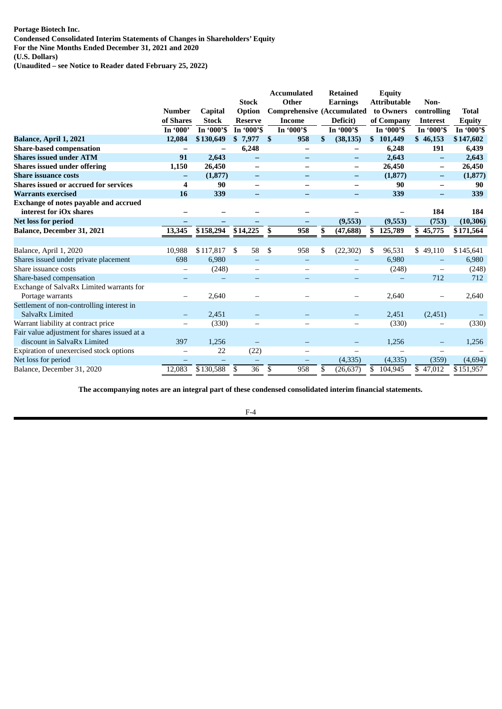**Portage Biotech Inc. Condensed Consolidated Interim Statements of Changes in Shareholders' Equity**

**For the Nine Months Ended December 31, 2021 and 2020**

**(U.S. Dollars)**

**(Unaudited – see Notice to Reader dated February 25, 2022)**

|                                                                             |                          |                          |                          | <b>Accumulated</b>                | <b>Retained</b> | <b>Equity</b>       |                          |               |
|-----------------------------------------------------------------------------|--------------------------|--------------------------|--------------------------|-----------------------------------|-----------------|---------------------|--------------------------|---------------|
|                                                                             |                          |                          | <b>Stock</b>             | Other                             | <b>Earnings</b> | <b>Attributable</b> | Non-                     |               |
|                                                                             | <b>Number</b>            | <b>Capital</b>           | Option                   | <b>Comprehensive (Accumulated</b> |                 | to Owners           | controlling              | <b>Total</b>  |
|                                                                             | of Shares                | <b>Stock</b>             | <b>Reserve</b>           | <b>Income</b>                     | Deficit)        | of Company          | <b>Interest</b>          | <b>Equity</b> |
|                                                                             | In '000'                 | In '000'S                | In '000'S                | In '000'S                         | In '000'S       | In '000'S           | In '000'S                | In '000'S     |
| Balance, April 1, 2021                                                      | 12,084                   | \$130,649                | \$7,977                  | 958<br>- \$                       | \$<br>(38, 135) | \$101,449           | \$46,153                 | \$147,602     |
| <b>Share-based compensation</b>                                             |                          |                          | 6,248                    |                                   |                 | 6,248               | 191                      | 6,439         |
| <b>Shares issued under ATM</b>                                              | 91                       | 2,643                    |                          |                                   |                 | 2,643               |                          | 2,643         |
| <b>Shares issued under offering</b>                                         | 1,150                    | 26,450                   | $\overline{\phantom{0}}$ |                                   | -               | 26,450              | $\overline{\phantom{m}}$ | 26,450        |
| <b>Share issuance costs</b>                                                 | -                        | (1, 877)                 | $\overline{\phantom{0}}$ |                                   | -               | (1, 877)            | $\qquad \qquad -$        | (1, 877)      |
| <b>Shares issued or accrued for services</b>                                | 4                        | 90                       |                          |                                   |                 | 90                  |                          | 90            |
| <b>Warrants exercised</b>                                                   | 16                       | 339                      | -                        |                                   |                 | 339                 | $\qquad \qquad$          | 339           |
| Exchange of notes payable and accrued                                       |                          |                          |                          |                                   |                 |                     |                          |               |
| interest for iOx shares                                                     |                          |                          |                          |                                   |                 |                     | 184                      | 184           |
| <b>Net loss for period</b>                                                  | -                        |                          | -                        | -                                 | (9,553)         | (9,553)             | (753)                    | (10, 306)     |
| Balance, December 31, 2021                                                  | 13,345                   | \$158,294                | \$14,225                 | \$<br>958                         | \$<br>(47, 688) | \$125,789           | \$45,775                 | \$171,564     |
|                                                                             |                          |                          |                          |                                   |                 |                     |                          |               |
| Balance, April 1, 2020                                                      | 10,988                   | \$117,817                | \$<br>58                 | \$<br>958                         | (22, 302)<br>\$ | 96,531<br>S         | 49,110<br>\$             | \$145,641     |
| Shares issued under private placement                                       | 698                      | 6,980                    |                          | -                                 |                 | 6,980               |                          | 6,980         |
| Share issuance costs                                                        |                          | (248)                    |                          |                                   |                 | (248)               |                          | (248)         |
| Share-based compensation                                                    |                          |                          |                          |                                   |                 |                     | 712                      | 712           |
| Exchange of SalvaRx Limited warrants for                                    |                          |                          |                          |                                   |                 |                     |                          |               |
| Portage warrants                                                            |                          | 2,640                    |                          |                                   |                 | 2,640               |                          | 2,640         |
| Settlement of non-controlling interest in                                   |                          |                          |                          |                                   |                 |                     |                          |               |
| SalvaRx Limited                                                             |                          | 2,451                    |                          |                                   |                 | 2,451               | (2,451)                  |               |
| Warrant liability at contract price                                         |                          | (330)                    |                          |                                   |                 | (330)               |                          | (330)         |
| Fair value adjustment for shares issued at a<br>discount in SalvaRx Limited | 397                      | 1,256                    |                          |                                   |                 | 1,256               |                          | 1,256         |
| Expiration of unexercised stock options                                     |                          | 22                       | (22)                     |                                   |                 |                     |                          |               |
| Net loss for period                                                         | $\overline{\phantom{0}}$ | $\overline{\phantom{0}}$ | $\qquad \qquad -$        | —                                 | (4, 335)        | (4, 335)            | (359)                    | (4,694)       |
| Balance, December 31, 2020                                                  | 12,083                   | \$130,588                | 36<br>\$                 | \$<br>958                         | (26, 637)<br>\$ | \$<br>104,945       | \$47,012                 | \$151,957     |

**The accompanying notes are an integral part of these condensed consolidated interim financial statements.**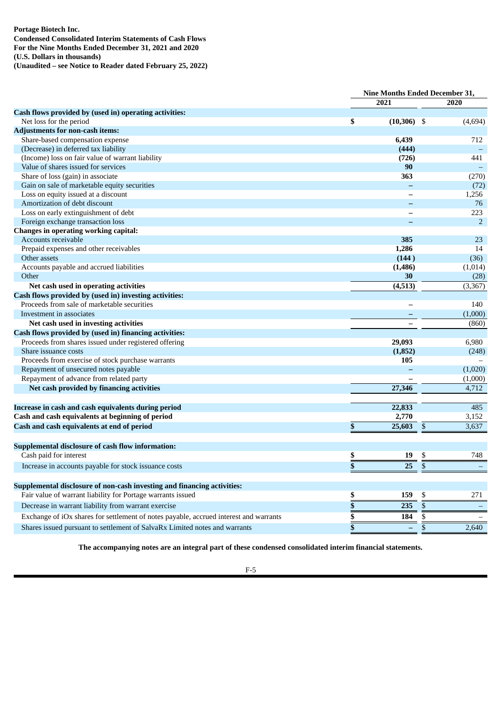# **Portage Biotech Inc. Condensed Consolidated Interim Statements of Cash Flows For the Nine Months Ended December 31, 2021 and 2020 (U.S. Dollars in thousands)**

**(Unaudited – see Notice to Reader dated February 25, 2022)**

|                                                                                       |                 |               | <b>Nine Months Ended December 31,</b> |                |
|---------------------------------------------------------------------------------------|-----------------|---------------|---------------------------------------|----------------|
|                                                                                       |                 | 2021          |                                       | 2020           |
| Cash flows provided by (used in) operating activities:                                |                 |               |                                       |                |
| Net loss for the period                                                               | \$              | $(10,306)$ \$ |                                       | (4,694)        |
| <b>Adjustments for non-cash items:</b>                                                |                 |               |                                       |                |
| Share-based compensation expense                                                      |                 | 6,439         |                                       | 712            |
| (Decrease) in deferred tax liability                                                  |                 | (444)         |                                       |                |
| (Income) loss on fair value of warrant liability                                      |                 | (726)         |                                       | 441            |
| Value of shares issued for services                                                   |                 | 90            |                                       |                |
| Share of loss (gain) in associate                                                     |                 | 363           |                                       | (270)          |
| Gain on sale of marketable equity securities                                          |                 |               |                                       | (72)           |
| Loss on equity issued at a discount                                                   |                 |               |                                       | 1,256          |
| Amortization of debt discount                                                         |                 |               |                                       | 76             |
| Loss on early extinguishment of debt                                                  |                 |               |                                       | 223            |
| Foreign exchange transaction loss                                                     |                 |               |                                       | $\overline{2}$ |
| <b>Changes in operating working capital:</b>                                          |                 |               |                                       |                |
| Accounts receivable                                                                   |                 | 385           |                                       | 23             |
| Prepaid expenses and other receivables                                                |                 | 1,286         |                                       | 14             |
| Other assets                                                                          |                 | (144)         |                                       | (36)           |
| Accounts payable and accrued liabilities                                              |                 | (1, 486)      |                                       | (1,014)        |
| Other                                                                                 |                 | 30            |                                       | (28)           |
| Net cash used in operating activities                                                 |                 | (4,513)       |                                       | (3, 367)       |
| Cash flows provided by (used in) investing activities:                                |                 |               |                                       |                |
| Proceeds from sale of marketable securities                                           |                 |               |                                       | 140            |
| Investment in associates                                                              |                 |               |                                       | (1,000)        |
| Net cash used in investing activities                                                 |                 |               |                                       | (860)          |
| Cash flows provided by (used in) financing activities:                                |                 |               |                                       |                |
| Proceeds from shares issued under registered offering                                 |                 | 29,093        |                                       | 6,980          |
| Share issuance costs                                                                  |                 | (1, 852)      |                                       | (248)          |
| Proceeds from exercise of stock purchase warrants                                     |                 | 105           |                                       |                |
| Repayment of unsecured notes payable                                                  |                 |               |                                       | (1,020)        |
| Repayment of advance from related party                                               |                 |               |                                       | (1,000)        |
| Net cash provided by financing activities                                             |                 | 27,346        |                                       | 4,712          |
|                                                                                       |                 |               |                                       |                |
| Increase in cash and cash equivalents during period                                   |                 | 22,833        |                                       | 485            |
| Cash and cash equivalents at beginning of period                                      |                 | 2,770         |                                       | 3,152          |
| Cash and cash equivalents at end of period                                            | \$              | 25,603        | \$                                    | 3,637          |
| <b>Supplemental disclosure of cash flow information:</b>                              |                 |               |                                       |                |
| Cash paid for interest                                                                | \$              | 19            | \$                                    | 748            |
| Increase in accounts payable for stock issuance costs                                 |                 | 25            | \$                                    |                |
|                                                                                       |                 |               |                                       |                |
| Supplemental disclosure of non-cash investing and financing activities:               |                 |               |                                       |                |
| Fair value of warrant liability for Portage warrants issued                           | \$              | 159           | \$                                    | 271            |
| Decrease in warrant liability from warrant exercise                                   | $\overline{\$}$ | 235           | $\overline{\$}$                       |                |
| Exchange of iOx shares for settlement of notes payable, accrued interest and warrants | \$              | 184           | \$                                    |                |
| Shares issued pursuant to settlement of SalvaRx Limited notes and warrants            |                 |               | \$                                    | 2,640          |

**The accompanying notes are an integral part of these condensed consolidated interim financial statements.**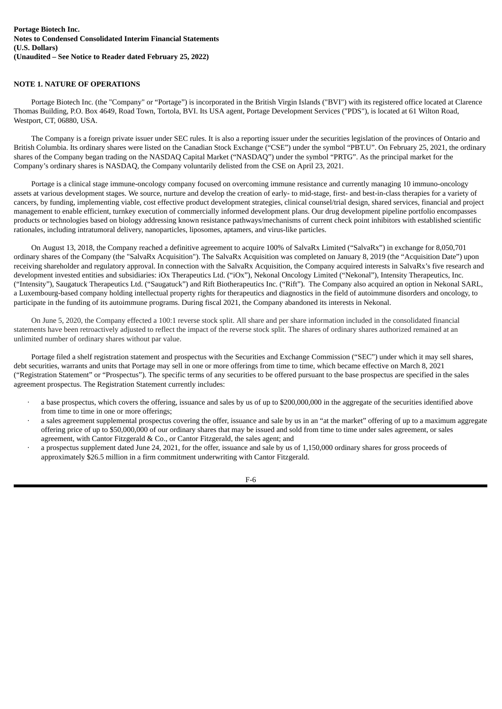# **NOTE 1. NATURE OF OPERATIONS**

Portage Biotech Inc. (the "Company" or "Portage") is incorporated in the British Virgin Islands ("BVI") with its registered office located at Clarence Thomas Building, P.O. Box 4649, Road Town, Tortola, BVI. Its USA agent, Portage Development Services ("PDS"), is located at 61 Wilton Road, Westport, CT, 06880, USA.

The Company is a foreign private issuer under SEC rules. It is also a reporting issuer under the securities legislation of the provinces of Ontario and British Columbia. Its ordinary shares were listed on the Canadian Stock Exchange ("CSE") under the symbol "PBT.U". On February 25, 2021, the ordinary shares of the Company began trading on the NASDAQ Capital Market ("NASDAQ") under the symbol "PRTG". As the principal market for the Company's ordinary shares is NASDAQ, the Company voluntarily delisted from the CSE on April 23, 2021.

Portage is a clinical stage immune-oncology company focused on overcoming immune resistance and currently managing 10 immuno-oncology assets at various development stages. We source, nurture and develop the creation of early- to mid-stage, first- and best-in-class therapies for a variety of cancers, by funding, implementing viable, cost effective product development strategies, clinical counsel/trial design, shared services, financial and project management to enable efficient, turnkey execution of commercially informed development plans. Our drug development pipeline portfolio encompasses products or technologies based on biology addressing known resistance pathways/mechanisms of current check point inhibitors with established scientific rationales, including intratumoral delivery, nanoparticles, liposomes, aptamers, and virus-like particles.

On August 13, 2018, the Company reached a definitive agreement to acquire 100% of SalvaRx Limited ("SalvaRx") in exchange for 8,050,701 ordinary shares of the Company (the "SalvaRx Acquisition"). The SalvaRx Acquisition was completed on January 8, 2019 (the "Acquisition Date") upon receiving shareholder and regulatory approval. In connection with the SalvaRx Acquisition, the Company acquired interests in SalvaRx's five research and development invested entities and subsidiaries: iOx Therapeutics Ltd. ("iOx"), Nekonal Oncology Limited ("Nekonal"), Intensity Therapeutics, Inc. ("Intensity"), Saugatuck Therapeutics Ltd. ("Saugatuck") and Rift Biotherapeutics Inc. ("Rift"). The Company also acquired an option in Nekonal SARL, a Luxembourg-based company holding intellectual property rights for therapeutics and diagnostics in the field of autoimmune disorders and oncology, to participate in the funding of its autoimmune programs. During fiscal 2021, the Company abandoned its interests in Nekonal.

On June 5, 2020, the Company effected a 100:1 reverse stock split. All share and per share information included in the consolidated financial statements have been retroactively adjusted to reflect the impact of the reverse stock split. The shares of ordinary shares authorized remained at an unlimited number of ordinary shares without par value.

Portage filed a shelf registration statement and prospectus with the Securities and Exchange Commission ("SEC") under which it may sell shares, debt securities, warrants and units that Portage may sell in one or more offerings from time to time, which became effective on March 8, 2021 ("Registration Statement" or "Prospectus"). The specific terms of any securities to be offered pursuant to the base prospectus are specified in the sales agreement prospectus. The Registration Statement currently includes:

- · a base prospectus, which covers the offering, issuance and sales by us of up to \$200,000,000 in the aggregate of the securities identified above from time to time in one or more offerings;
- · a sales agreement supplemental prospectus covering the offer, issuance and sale by us in an "at the market" offering of up to a maximum aggregate offering price of up to \$50,000,000 of our ordinary shares that may be issued and sold from time to time under sales agreement, or sales agreement, with Cantor Fitzgerald & Co., or Cantor Fitzgerald, the sales agent; and
- a prospectus supplement dated June 24, 2021, for the offer, issuance and sale by us of 1,150,000 ordinary shares for gross proceeds of approximately \$26.5 million in a firm commitment underwriting with Cantor Fitzgerald.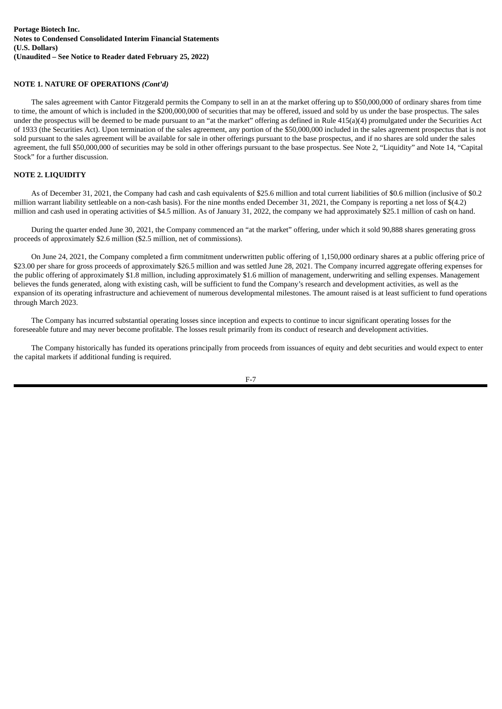# **NOTE 1. NATURE OF OPERATIONS** *(Cont'd)*

The sales agreement with Cantor Fitzgerald permits the Company to sell in an at the market offering up to \$50,000,000 of ordinary shares from time to time, the amount of which is included in the \$200,000,000 of securities that may be offered, issued and sold by us under the base prospectus. The sales under the prospectus will be deemed to be made pursuant to an "at the market" offering as defined in Rule 415(a)(4) promulgated under the Securities Act of 1933 (the Securities Act). Upon termination of the sales agreement, any portion of the \$50,000,000 included in the sales agreement prospectus that is not sold pursuant to the sales agreement will be available for sale in other offerings pursuant to the base prospectus, and if no shares are sold under the sales agreement, the full \$50,000,000 of securities may be sold in other offerings pursuant to the base prospectus. See Note 2, "Liquidity" and Note 14, "Capital Stock" for a further discussion.

# **NOTE 2. LIQUIDITY**

As of December 31, 2021, the Company had cash and cash equivalents of \$25.6 million and total current liabilities of \$0.6 million (inclusive of \$0.2 million warrant liability settleable on a non-cash basis). For the nine months ended December 31, 2021, the Company is reporting a net loss of \$(4.2) million and cash used in operating activities of \$4.5 million. As of January 31, 2022, the company we had approximately \$25.1 million of cash on hand.

During the quarter ended June 30, 2021, the Company commenced an "at the market" offering, under which it sold 90,888 shares generating gross proceeds of approximately \$2.6 million (\$2.5 million, net of commissions).

On June 24, 2021, the Company completed a firm commitment underwritten public offering of 1,150,000 ordinary shares at a public offering price of \$23.00 per share for gross proceeds of approximately \$26.5 million and was settled June 28, 2021. The Company incurred aggregate offering expenses for the public offering of approximately \$1.8 million, including approximately \$1.6 million of management, underwriting and selling expenses. Management believes the funds generated, along with existing cash, will be sufficient to fund the Company's research and development activities, as well as the expansion of its operating infrastructure and achievement of numerous developmental milestones. The amount raised is at least sufficient to fund operations through March 2023.

The Company has incurred substantial operating losses since inception and expects to continue to incur significant operating losses for the foreseeable future and may never become profitable. The losses result primarily from its conduct of research and development activities.

The Company historically has funded its operations principally from proceeds from issuances of equity and debt securities and would expect to enter the capital markets if additional funding is required.

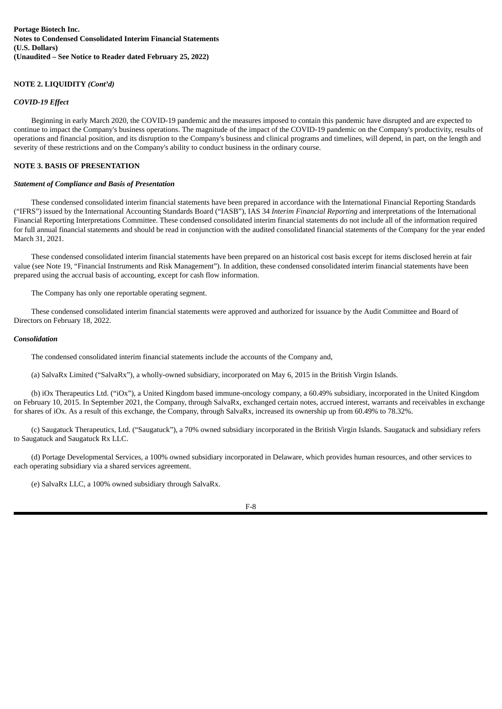# **NOTE 2. LIQUIDITY** *(Cont'd)*

# *COVID-19 Effect*

Beginning in early March 2020, the COVID-19 pandemic and the measures imposed to contain this pandemic have disrupted and are expected to continue to impact the Company's business operations. The magnitude of the impact of the COVID-19 pandemic on the Company's productivity, results of operations and financial position, and its disruption to the Company's business and clinical programs and timelines, will depend, in part, on the length and severity of these restrictions and on the Company's ability to conduct business in the ordinary course.

# **NOTE 3. BASIS OF PRESENTATION**

#### *Statement of Compliance and Basis of Presentation*

These condensed consolidated interim financial statements have been prepared in accordance with the International Financial Reporting Standards ("IFRS") issued by the International Accounting Standards Board ("IASB"), IAS 34 *Interim Financial Reporting* and interpretations of the International Financial Reporting Interpretations Committee. These condensed consolidated interim financial statements do not include all of the information required for full annual financial statements and should be read in conjunction with the audited consolidated financial statements of the Company for the year ended March 31, 2021.

These condensed consolidated interim financial statements have been prepared on an historical cost basis except for items disclosed herein at fair value (see Note 19, "Financial Instruments and Risk Management"). In addition, these condensed consolidated interim financial statements have been prepared using the accrual basis of accounting, except for cash flow information.

The Company has only one reportable operating segment.

These condensed consolidated interim financial statements were approved and authorized for issuance by the Audit Committee and Board of Directors on February 18, 2022.

#### *Consolidation*

The condensed consolidated interim financial statements include the accounts of the Company and,

(a) SalvaRx Limited ("SalvaRx"), a wholly-owned subsidiary, incorporated on May 6, 2015 in the British Virgin Islands.

(b) iOx Therapeutics Ltd. ("iOx"), a United Kingdom based immune-oncology company, a 60.49% subsidiary, incorporated in the United Kingdom on February 10, 2015. In September 2021, the Company, through SalvaRx, exchanged certain notes, accrued interest, warrants and receivables in exchange for shares of iOx. As a result of this exchange, the Company, through SalvaRx, increased its ownership up from 60.49% to 78.32%.

(c) Saugatuck Therapeutics, Ltd. ("Saugatuck"), a 70% owned subsidiary incorporated in the British Virgin Islands. Saugatuck and subsidiary refers to Saugatuck and Saugatuck Rx LLC.

(d) Portage Developmental Services, a 100% owned subsidiary incorporated in Delaware, which provides human resources, and other services to each operating subsidiary via a shared services agreement.

(e) SalvaRx LLC, a 100% owned subsidiary through SalvaRx.

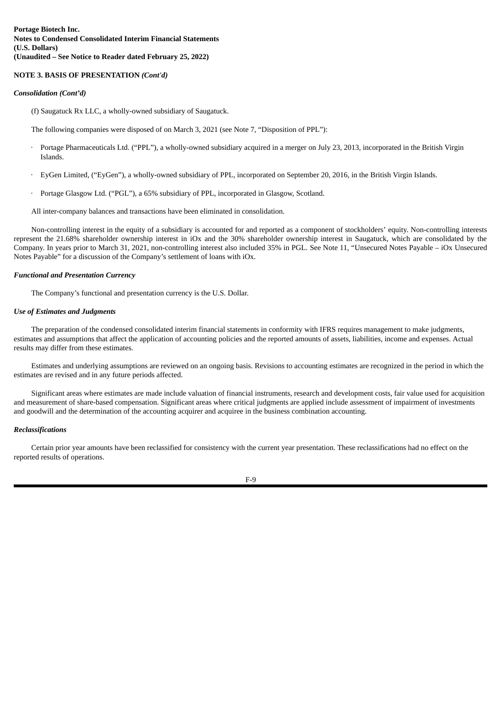#### **NOTE 3. BASIS OF PRESENTATION** *(Cont'd)*

#### *Consolidation (Cont'd)*

(f) Saugatuck Rx LLC, a wholly-owned subsidiary of Saugatuck.

The following companies were disposed of on March 3, 2021 (see Note 7, "Disposition of PPL"):

- Portage Pharmaceuticals Ltd. ("PPL"), a wholly-owned subsidiary acquired in a merger on July 23, 2013, incorporated in the British Virgin Islands.
- · EyGen Limited, ("EyGen"), a wholly-owned subsidiary of PPL, incorporated on September 20, 2016, in the British Virgin Islands.
- Portage Glasgow Ltd. ("PGL"), a 65% subsidiary of PPL, incorporated in Glasgow, Scotland.

All inter-company balances and transactions have been eliminated in consolidation.

Non-controlling interest in the equity of a subsidiary is accounted for and reported as a component of stockholders' equity. Non-controlling interests represent the 21.68% shareholder ownership interest in iOx and the 30% shareholder ownership interest in Saugatuck, which are consolidated by the Company. In years prior to March 31, 2021, non-controlling interest also included 35% in PGL. See Note 11, "Unsecured Notes Payable – iOx Unsecured Notes Payable" for a discussion of the Company's settlement of loans with iOx.

#### *Functional and Presentation Currency*

The Company's functional and presentation currency is the U.S. Dollar.

#### *Use of Estimates and Judgments*

The preparation of the condensed consolidated interim financial statements in conformity with IFRS requires management to make judgments, estimates and assumptions that affect the application of accounting policies and the reported amounts of assets, liabilities, income and expenses. Actual results may differ from these estimates.

Estimates and underlying assumptions are reviewed on an ongoing basis. Revisions to accounting estimates are recognized in the period in which the estimates are revised and in any future periods affected.

Significant areas where estimates are made include valuation of financial instruments, research and development costs, fair value used for acquisition and measurement of share-based compensation. Significant areas where critical judgments are applied include assessment of impairment of investments and goodwill and the determination of the accounting acquirer and acquiree in the business combination accounting.

# *Reclassifications*

Certain prior year amounts have been reclassified for consistency with the current year presentation. These reclassifications had no effect on the reported results of operations.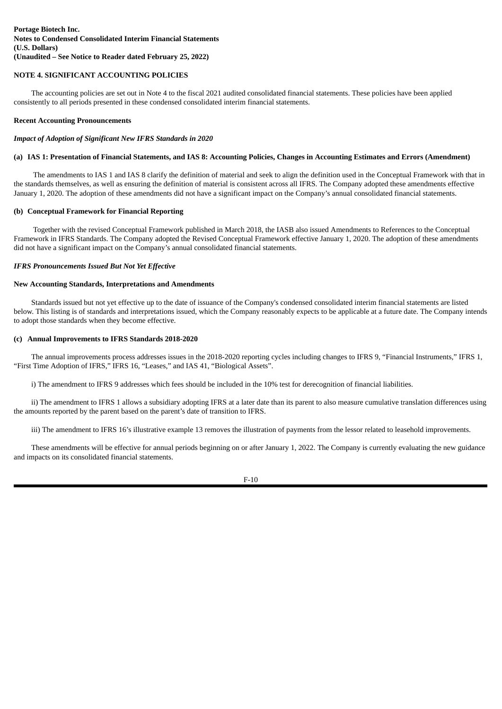# **NOTE 4. SIGNIFICANT ACCOUNTING POLICIES**

The accounting policies are set out in Note 4 to the fiscal 2021 audited consolidated financial statements. These policies have been applied consistently to all periods presented in these condensed consolidated interim financial statements.

# **Recent Accounting Pronouncements**

#### *Impact of Adoption of Significant New IFRS Standards in 2020*

# (a) IAS 1: Presentation of Financial Statements, and IAS 8: Accounting Policies, Changes in Accounting Estimates and Errors (Amendment)

The amendments to IAS 1 and IAS 8 clarify the definition of material and seek to align the definition used in the Conceptual Framework with that in the standards themselves, as well as ensuring the definition of material is consistent across all IFRS. The Company adopted these amendments effective January 1, 2020. The adoption of these amendments did not have a significant impact on the Company's annual consolidated financial statements.

# **(b) Conceptual Framework for Financial Reporting**

Together with the revised Conceptual Framework published in March 2018, the IASB also issued Amendments to References to the Conceptual Framework in IFRS Standards. The Company adopted the Revised Conceptual Framework effective January 1, 2020. The adoption of these amendments did not have a significant impact on the Company's annual consolidated financial statements.

# *IFRS Pronouncements Issued But Not Yet Effective*

# **New Accounting Standards, Interpretations and Amendments**

Standards issued but not yet effective up to the date of issuance of the Company's condensed consolidated interim financial statements are listed below. This listing is of standards and interpretations issued, which the Company reasonably expects to be applicable at a future date. The Company intends to adopt those standards when they become effective.

#### **(c) Annual Improvements to IFRS Standards 2018-2020**

The annual improvements process addresses issues in the 2018-2020 reporting cycles including changes to IFRS 9, "Financial Instruments," IFRS 1, "First Time Adoption of IFRS," IFRS 16, "Leases," and IAS 41, "Biological Assets".

i) The amendment to IFRS 9 addresses which fees should be included in the 10% test for derecognition of financial liabilities.

ii) The amendment to IFRS 1 allows a subsidiary adopting IFRS at a later date than its parent to also measure cumulative translation differences using the amounts reported by the parent based on the parent's date of transition to IFRS.

iii) The amendment to IFRS 16's illustrative example 13 removes the illustration of payments from the lessor related to leasehold improvements.

These amendments will be effective for annual periods beginning on or after January 1, 2022. The Company is currently evaluating the new guidance and impacts on its consolidated financial statements.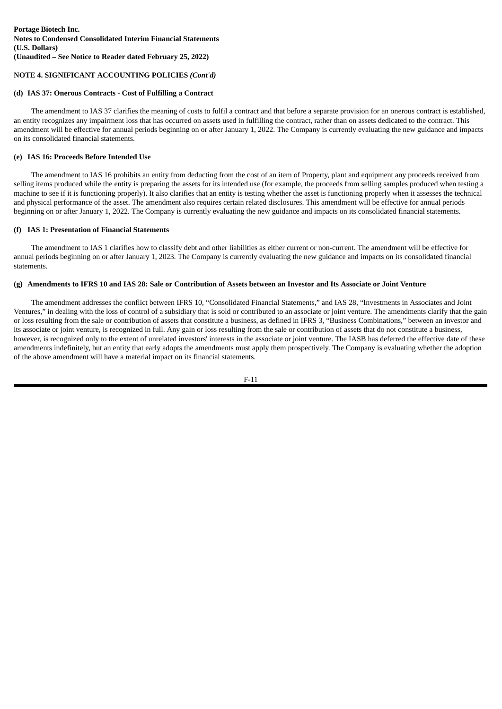# **NOTE 4. SIGNIFICANT ACCOUNTING POLICIES** *(Cont'd)*

# **(d) IAS 37: Onerous Contracts - Cost of Fulfilling a Contract**

The amendment to IAS 37 clarifies the meaning of costs to fulfil a contract and that before a separate provision for an onerous contract is established, an entity recognizes any impairment loss that has occurred on assets used in fulfilling the contract, rather than on assets dedicated to the contract. This amendment will be effective for annual periods beginning on or after January 1, 2022. The Company is currently evaluating the new guidance and impacts on its consolidated financial statements.

# **(e) IAS 16: Proceeds Before Intended Use**

The amendment to IAS 16 prohibits an entity from deducting from the cost of an item of Property, plant and equipment any proceeds received from selling items produced while the entity is preparing the assets for its intended use (for example, the proceeds from selling samples produced when testing a machine to see if it is functioning properly). It also clarifies that an entity is testing whether the asset is functioning properly when it assesses the technical and physical performance of the asset. The amendment also requires certain related disclosures. This amendment will be effective for annual periods beginning on or after January 1, 2022. The Company is currently evaluating the new guidance and impacts on its consolidated financial statements.

# **(f) IAS 1: Presentation of Financial Statements**

The amendment to IAS 1 clarifies how to classify debt and other liabilities as either current or non-current. The amendment will be effective for annual periods beginning on or after January 1, 2023. The Company is currently evaluating the new guidance and impacts on its consolidated financial statements.

# (g) Amendments to IFRS 10 and IAS 28: Sale or Contribution of Assets between an Investor and Its Associate or Joint Venture

The amendment addresses the conflict between IFRS 10, "Consolidated Financial Statements," and IAS 28, "Investments in Associates and Joint Ventures," in dealing with the loss of control of a subsidiary that is sold or contributed to an associate or joint venture. The amendments clarify that the gain or loss resulting from the sale or contribution of assets that constitute a business, as defined in IFRS 3, "Business Combinations," between an investor and its associate or joint venture, is recognized in full. Any gain or loss resulting from the sale or contribution of assets that do not constitute a business, however, is recognized only to the extent of unrelated investors' interests in the associate or joint venture. The IASB has deferred the effective date of these amendments indefinitely, but an entity that early adopts the amendments must apply them prospectively. The Company is evaluating whether the adoption of the above amendment will have a material impact on its financial statements.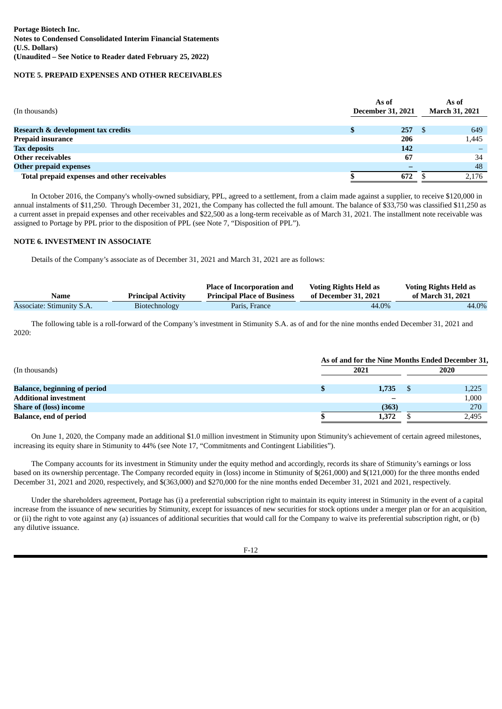# **NOTE 5. PREPAID EXPENSES AND OTHER RECEIVABLES**

| (In thousands)                               | As of<br><b>December 31, 2021</b> | As of<br><b>March 31, 2021</b> |       |  |
|----------------------------------------------|-----------------------------------|--------------------------------|-------|--|
| Research & development tax credits           | ъ                                 | 257                            | 649   |  |
| <b>Prepaid insurance</b>                     |                                   | 206                            | 1,445 |  |
| <b>Tax deposits</b>                          |                                   | 142                            |       |  |
| <b>Other receivables</b>                     |                                   | 67                             | 34    |  |
| <b>Other prepaid expenses</b>                |                                   |                                | 48    |  |
| Total prepaid expenses and other receivables |                                   | 672                            | 2,176 |  |

In October 2016, the Company's wholly-owned subsidiary, PPL, agreed to a settlement, from a claim made against a supplier, to receive \$120,000 in annual instalments of \$11,250. Through December 31, 2021, the Company has collected the full amount. The balance of \$33,750 was classified \$11,250 as a current asset in prepaid expenses and other receivables and \$22,500 as a long-term receivable as of March 31, 2021. The installment note receivable was assigned to Portage by PPL prior to the disposition of PPL (see Note 7, "Disposition of PPL").

# **NOTE 6. INVESTMENT IN ASSOCIATE**

Details of the Company's associate as of December 31, 2021 and March 31, 2021 are as follows:

|                           |                           | <b>Place of Incorporation and</b>  | <b>Voting Rights Held as</b> | <b>Voting Rights Held as</b> |
|---------------------------|---------------------------|------------------------------------|------------------------------|------------------------------|
| <b>Name</b>               | <b>Principal Activity</b> | <b>Principal Place of Business</b> | of December 31, 2021         | of March 31, 2021            |
| Associate: Stimunity S.A. | Biotechnology             | Paris, France                      | 44.0%                        | 44.0%                        |

The following table is a roll-forward of the Company's investment in Stimunity S.A. as of and for the nine months ended December 31, 2021 and 2020:

|                                     | As of and for the Nine Months Ended December 31, |       |  |       |  |  |  |  |
|-------------------------------------|--------------------------------------------------|-------|--|-------|--|--|--|--|
| (In thousands)                      | 2021                                             |       |  | 2020  |  |  |  |  |
| <b>Balance, beginning of period</b> |                                                  | 1,735 |  | 1,225 |  |  |  |  |
| <b>Additional investment</b>        |                                                  |       |  | 1,000 |  |  |  |  |
| <b>Share of (loss) income</b>       |                                                  | (363) |  | 270   |  |  |  |  |
| <b>Balance, end of period</b>       |                                                  | 1,372 |  | 2,495 |  |  |  |  |

On June 1, 2020, the Company made an additional \$1.0 million investment in Stimunity upon Stimunity's achievement of certain agreed milestones, increasing its equity share in Stimunity to 44% (see Note 17, "Commitments and Contingent Liabilities").

The Company accounts for its investment in Stimunity under the equity method and accordingly, records its share of Stimunity's earnings or loss based on its ownership percentage. The Company recorded equity in (loss) income in Stimunity of \$(261,000) and \$(121,000) for the three months ended December 31, 2021 and 2020, respectively, and \$(363,000) and \$270,000 for the nine months ended December 31, 2021 and 2021, respectively.

Under the shareholders agreement, Portage has (i) a preferential subscription right to maintain its equity interest in Stimunity in the event of a capital increase from the issuance of new securities by Stimunity, except for issuances of new securities for stock options under a merger plan or for an acquisition, or (ii) the right to vote against any (a) issuances of additional securities that would call for the Company to waive its preferential subscription right, or (b) any dilutive issuance.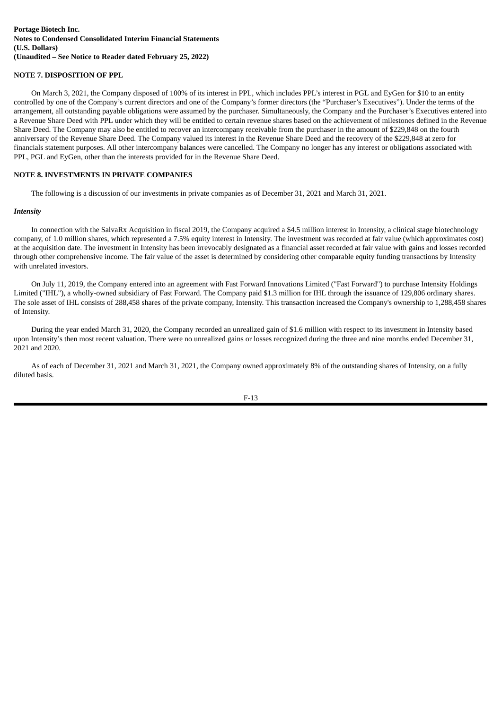# **NOTE 7. DISPOSITION OF PPL**

On March 3, 2021, the Company disposed of 100% of its interest in PPL, which includes PPL's interest in PGL and EyGen for \$10 to an entity controlled by one of the Company's current directors and one of the Company's former directors (the "Purchaser's Executives"). Under the terms of the arrangement, all outstanding payable obligations were assumed by the purchaser. Simultaneously, the Company and the Purchaser's Executives entered into a Revenue Share Deed with PPL under which they will be entitled to certain revenue shares based on the achievement of milestones defined in the Revenue Share Deed. The Company may also be entitled to recover an intercompany receivable from the purchaser in the amount of \$229,848 on the fourth anniversary of the Revenue Share Deed. The Company valued its interest in the Revenue Share Deed and the recovery of the \$229,848 at zero for financials statement purposes. All other intercompany balances were cancelled. The Company no longer has any interest or obligations associated with PPL, PGL and EyGen, other than the interests provided for in the Revenue Share Deed.

#### **NOTE 8. INVESTMENTS IN PRIVATE COMPANIES**

The following is a discussion of our investments in private companies as of December 31, 2021 and March 31, 2021.

#### *Intensity*

In connection with the SalvaRx Acquisition in fiscal 2019, the Company acquired a \$4.5 million interest in Intensity, a clinical stage biotechnology company, of 1.0 million shares, which represented a 7.5% equity interest in Intensity. The investment was recorded at fair value (which approximates cost) at the acquisition date. The investment in Intensity has been irrevocably designated as a financial asset recorded at fair value with gains and losses recorded through other comprehensive income. The fair value of the asset is determined by considering other comparable equity funding transactions by Intensity with unrelated investors.

On July 11, 2019, the Company entered into an agreement with Fast Forward Innovations Limited ("Fast Forward") to purchase Intensity Holdings Limited ("IHL"), a wholly-owned subsidiary of Fast Forward. The Company paid \$1.3 million for IHL through the issuance of 129,806 ordinary shares. The sole asset of IHL consists of 288,458 shares of the private company, Intensity. This transaction increased the Company's ownership to 1,288,458 shares of Intensity.

During the year ended March 31, 2020, the Company recorded an unrealized gain of \$1.6 million with respect to its investment in Intensity based upon Intensity's then most recent valuation. There were no unrealized gains or losses recognized during the three and nine months ended December 31, 2021 and 2020.

As of each of December 31, 2021 and March 31, 2021, the Company owned approximately 8% of the outstanding shares of Intensity, on a fully diluted basis.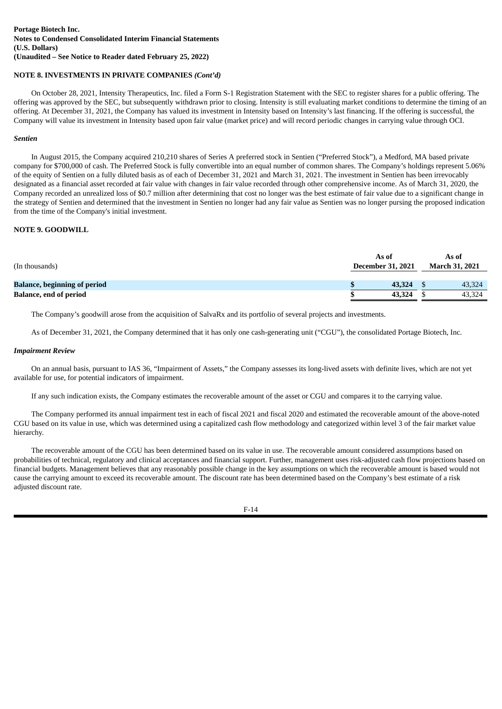# **NOTE 8. INVESTMENTS IN PRIVATE COMPANIES** *(Cont'd)*

On October 28, 2021, Intensity Therapeutics, Inc. filed a Form S-1 Registration Statement with the SEC to register shares for a public offering. The offering was approved by the SEC, but subsequently withdrawn prior to closing. Intensity is still evaluating market conditions to determine the timing of an offering. At December 31, 2021, the Company has valued its investment in Intensity based on Intensity's last financing. If the offering is successful, the Company will value its investment in Intensity based upon fair value (market price) and will record periodic changes in carrying value through OCI.

# *Sentien*

In August 2015, the Company acquired 210,210 shares of Series A preferred stock in Sentien ("Preferred Stock"), a Medford, MA based private company for \$700,000 of cash. The Preferred Stock is fully convertible into an equal number of common shares. The Company's holdings represent 5.06% of the equity of Sentien on a fully diluted basis as of each of December 31, 2021 and March 31, 2021. The investment in Sentien has been irrevocably designated as a financial asset recorded at fair value with changes in fair value recorded through other comprehensive income. As of March 31, 2020, the Company recorded an unrealized loss of \$0.7 million after determining that cost no longer was the best estimate of fair value due to a significant change in the strategy of Sentien and determined that the investment in Sentien no longer had any fair value as Sentien was no longer pursing the proposed indication from the time of the Company's initial investment.

# **NOTE 9. GOODWILL**

| (In thousands)                      | As of<br><b>December 31, 2021</b> | As of<br><b>March 31, 2021</b> |
|-------------------------------------|-----------------------------------|--------------------------------|
| <b>Balance, beginning of period</b> | 43,324                            | 43,324                         |
| <b>Balance, end of period</b>       | 43,324                            | 43,324                         |

The Company's goodwill arose from the acquisition of SalvaRx and its portfolio of several projects and investments.

As of December 31, 2021, the Company determined that it has only one cash-generating unit ("CGU"), the consolidated Portage Biotech, Inc.

#### *Impairment Review*

On an annual basis, pursuant to IAS 36, "Impairment of Assets," the Company assesses its long-lived assets with definite lives, which are not yet available for use, for potential indicators of impairment.

If any such indication exists, the Company estimates the recoverable amount of the asset or CGU and compares it to the carrying value.

The Company performed its annual impairment test in each of fiscal 2021 and fiscal 2020 and estimated the recoverable amount of the above-noted CGU based on its value in use, which was determined using a capitalized cash flow methodology and categorized within level 3 of the fair market value hierarchy.

The recoverable amount of the CGU has been determined based on its value in use. The recoverable amount considered assumptions based on probabilities of technical, regulatory and clinical acceptances and financial support. Further, management uses risk-adjusted cash flow projections based on financial budgets. Management believes that any reasonably possible change in the key assumptions on which the recoverable amount is based would not cause the carrying amount to exceed its recoverable amount. The discount rate has been determined based on the Company's best estimate of a risk adjusted discount rate.

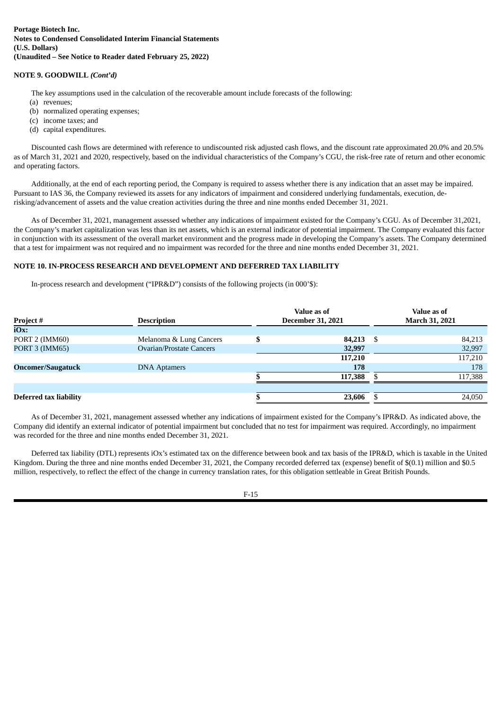# **NOTE 9. GOODWILL** *(Cont'd)*

The key assumptions used in the calculation of the recoverable amount include forecasts of the following:

- (a) revenues;
- (b) normalized operating expenses;
- (c) income taxes; and
- (d) capital expenditures.

Discounted cash flows are determined with reference to undiscounted risk adjusted cash flows, and the discount rate approximated 20.0% and 20.5% as of March 31, 2021 and 2020, respectively, based on the individual characteristics of the Company's CGU, the risk-free rate of return and other economic and operating factors.

Additionally, at the end of each reporting period, the Company is required to assess whether there is any indication that an asset may be impaired. Pursuant to IAS 36, the Company reviewed its assets for any indicators of impairment and considered underlying fundamentals, execution, derisking/advancement of assets and the value creation activities during the three and nine months ended December 31, 2021.

As of December 31, 2021, management assessed whether any indications of impairment existed for the Company's CGU. As of December 31,2021, the Company's market capitalization was less than its net assets, which is an external indicator of potential impairment. The Company evaluated this factor in conjunction with its assessment of the overall market environment and the progress made in developing the Company's assets. The Company determined that a test for impairment was not required and no impairment was recorded for the three and nine months ended December 31, 2021.

# **NOTE 10. IN-PROCESS RESEARCH AND DEVELOPMENT AND DEFERRED TAX LIABILITY**

In-process research and development ("IPR&D") consists of the following projects (in 000'\$):

| Project#                      | <b>Description</b>              |    | Value as of<br><b>December 31, 2021</b> |    | Value as of<br>March 31, 2021 |
|-------------------------------|---------------------------------|----|-----------------------------------------|----|-------------------------------|
| iOx:                          |                                 |    |                                         |    |                               |
| PORT 2 (IMM60)                | Melanoma & Lung Cancers         | ۱D | 84,213                                  | -S | 84,213                        |
| <b>PORT 3 (IMM65)</b>         | <b>Ovarian/Prostate Cancers</b> |    | 32,997                                  |    | 32,997                        |
|                               |                                 |    | 117,210                                 |    | 117,210                       |
| <b>Oncomer/Saugatuck</b>      | <b>DNA Aptamers</b>             |    | 178                                     |    | 178                           |
|                               |                                 |    | 117,388                                 |    | 117,388                       |
|                               |                                 |    |                                         |    |                               |
| <b>Deferred tax liability</b> |                                 |    | 23,606                                  |    | 24,050                        |

As of December 31, 2021, management assessed whether any indications of impairment existed for the Company's IPR&D. As indicated above, the Company did identify an external indicator of potential impairment but concluded that no test for impairment was required. Accordingly, no impairment was recorded for the three and nine months ended December 31, 2021.

Deferred tax liability (DTL) represents iOx's estimated tax on the difference between book and tax basis of the IPR&D, which is taxable in the United Kingdom. During the three and nine months ended December 31, 2021, the Company recorded deferred tax (expense) benefit of \$(0.1) million and \$0.5 million, respectively, to reflect the effect of the change in currency translation rates, for this obligation settleable in Great British Pounds.

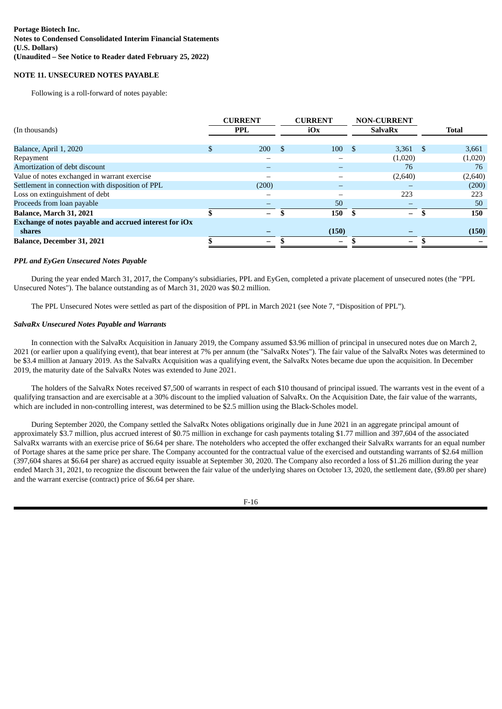# **NOTE 11. UNSECURED NOTES PAYABLE**

Following is a roll-forward of notes payable:

|                                                        |  | <b>CURRENT</b>           |     | <b>CURRENT</b>           |      | <b>NON-CURRENT</b> |              |
|--------------------------------------------------------|--|--------------------------|-----|--------------------------|------|--------------------|--------------|
| (In thousands)                                         |  | <b>PPL</b>               |     | iOx                      |      | <b>SalvaRx</b>     | <b>Total</b> |
|                                                        |  |                          |     |                          |      |                    |              |
| Balance, April 1, 2020                                 |  | 200                      | -\$ | 100                      | - \$ | $3.361$ \$         | 3,661        |
| Repayment                                              |  |                          |     |                          |      | (1,020)            | (1,020)      |
| Amortization of debt discount                          |  |                          |     |                          |      | 76                 | 76           |
| Value of notes exchanged in warrant exercise           |  |                          |     |                          |      | (2,640)            | (2,640)      |
| Settlement in connection with disposition of PPL       |  | (200)                    |     |                          |      |                    | (200)        |
| Loss on extinguishment of debt                         |  |                          |     |                          |      | 223                | 223          |
| Proceeds from loan payable                             |  |                          |     | 50                       |      |                    | 50           |
| <b>Balance, March 31, 2021</b>                         |  | $\overline{\phantom{0}}$ |     | 150                      |      | $\qquad \qquad -$  | 150          |
| Exchange of notes payable and accrued interest for iOx |  |                          |     |                          |      |                    |              |
| shares                                                 |  |                          |     | (150)                    |      |                    | (150)        |
| <b>Balance, December 31, 2021</b>                      |  | -                        |     | $\overline{\phantom{0}}$ |      |                    |              |
|                                                        |  |                          |     |                          |      |                    |              |

#### *PPL and EyGen Unsecured Notes Payable*

During the year ended March 31, 2017, the Company's subsidiaries, PPL and EyGen, completed a private placement of unsecured notes (the "PPL Unsecured Notes"). The balance outstanding as of March 31, 2020 was \$0.2 million.

The PPL Unsecured Notes were settled as part of the disposition of PPL in March 2021 (see Note 7, "Disposition of PPL").

#### *SalvaRx Unsecured Notes Payable and Warrants*

In connection with the SalvaRx Acquisition in January 2019, the Company assumed \$3.96 million of principal in unsecured notes due on March 2, 2021 (or earlier upon a qualifying event), that bear interest at 7% per annum (the "SalvaRx Notes"). The fair value of the SalvaRx Notes was determined to be \$3.4 million at January 2019. As the SalvaRx Acquisition was a qualifying event, the SalvaRx Notes became due upon the acquisition. In December 2019, the maturity date of the SalvaRx Notes was extended to June 2021.

The holders of the SalvaRx Notes received \$7,500 of warrants in respect of each \$10 thousand of principal issued. The warrants vest in the event of a qualifying transaction and are exercisable at a 30% discount to the implied valuation of SalvaRx. On the Acquisition Date, the fair value of the warrants, which are included in non-controlling interest, was determined to be \$2.5 million using the Black-Scholes model.

During September 2020, the Company settled the SalvaRx Notes obligations originally due in June 2021 in an aggregate principal amount of approximately \$3.7 million, plus accrued interest of \$0.75 million in exchange for cash payments totaling \$1.77 million and 397,604 of the associated SalvaRx warrants with an exercise price of \$6.64 per share. The noteholders who accepted the offer exchanged their SalvaRx warrants for an equal number of Portage shares at the same price per share. The Company accounted for the contractual value of the exercised and outstanding warrants of \$2.64 million (397,604 shares at \$6.64 per share) as accrued equity issuable at September 30, 2020. The Company also recorded a loss of \$1.26 million during the year ended March 31, 2021, to recognize the discount between the fair value of the underlying shares on October 13, 2020, the settlement date, (\$9.80 per share) and the warrant exercise (contract) price of \$6.64 per share.

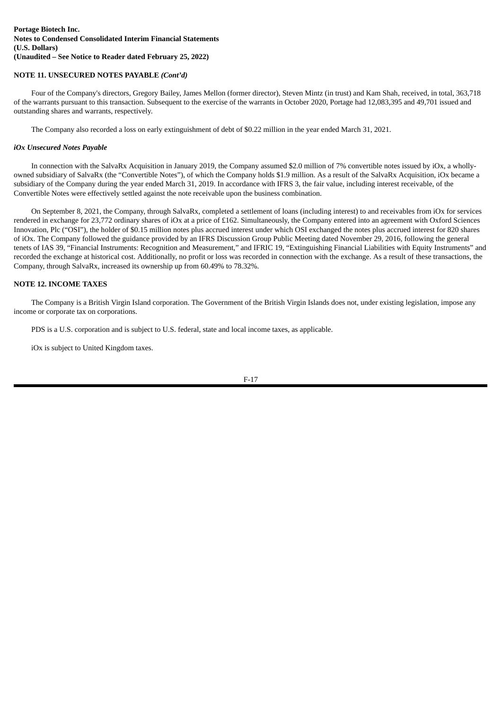# **NOTE 11. UNSECURED NOTES PAYABLE** *(Cont'd)*

Four of the Company's directors, Gregory Bailey, James Mellon (former director), Steven Mintz (in trust) and Kam Shah, received, in total, 363,718 of the warrants pursuant to this transaction. Subsequent to the exercise of the warrants in October 2020, Portage had 12,083,395 and 49,701 issued and outstanding shares and warrants, respectively.

The Company also recorded a loss on early extinguishment of debt of \$0.22 million in the year ended March 31, 2021.

#### *iOx Unsecured Notes Payable*

In connection with the SalvaRx Acquisition in January 2019, the Company assumed \$2.0 million of 7% convertible notes issued by iOx, a whollyowned subsidiary of SalvaRx (the "Convertible Notes"), of which the Company holds \$1.9 million. As a result of the SalvaRx Acquisition, iOx became a subsidiary of the Company during the year ended March 31, 2019. In accordance with IFRS 3, the fair value, including interest receivable, of the Convertible Notes were effectively settled against the note receivable upon the business combination.

On September 8, 2021, the Company, through SalvaRx, completed a settlement of loans (including interest) to and receivables from iOx for services rendered in exchange for 23,772 ordinary shares of iOx at a price of £162. Simultaneously, the Company entered into an agreement with Oxford Sciences Innovation, Plc ("OSI"), the holder of \$0.15 million notes plus accrued interest under which OSI exchanged the notes plus accrued interest for 820 shares of iOx. The Company followed the guidance provided by an IFRS Discussion Group Public Meeting dated November 29, 2016, following the general tenets of IAS 39, "Financial Instruments: Recognition and Measurement," and IFRIC 19, "Extinguishing Financial Liabilities with Equity Instruments" and recorded the exchange at historical cost. Additionally, no profit or loss was recorded in connection with the exchange. As a result of these transactions, the Company, through SalvaRx, increased its ownership up from 60.49% to 78.32%.

# **NOTE 12. INCOME TAXES**

The Company is a British Virgin Island corporation. The Government of the British Virgin Islands does not, under existing legislation, impose any income or corporate tax on corporations.

PDS is a U.S. corporation and is subject to U.S. federal, state and local income taxes, as applicable.

iOx is subject to United Kingdom taxes.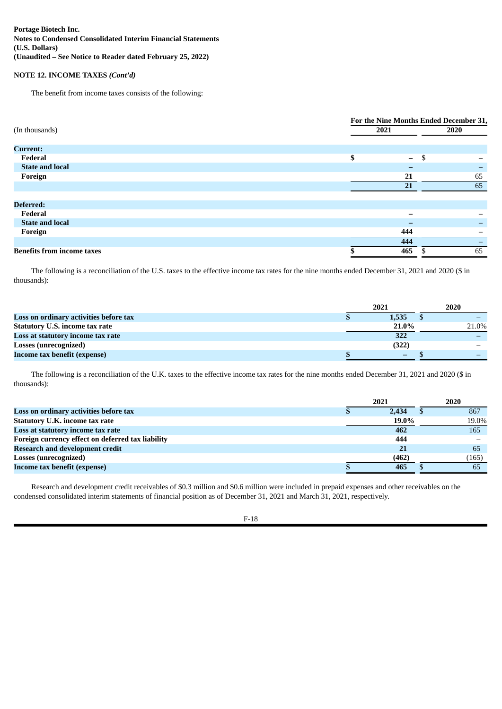# **NOTE 12. INCOME TAXES** *(Cont'd)*

The benefit from income taxes consists of the following:

|                                   | For the Nine Months Ended December 31, |      |      |    |  |  |
|-----------------------------------|----------------------------------------|------|------|----|--|--|
| (In thousands)                    |                                        | 2021 | 2020 |    |  |  |
|                                   |                                        |      |      |    |  |  |
| <b>Current:</b>                   |                                        |      |      |    |  |  |
| Federal                           | \$                                     | $-$  | S    |    |  |  |
| <b>State and local</b>            |                                        | -    |      |    |  |  |
| Foreign                           |                                        | 21   |      | 65 |  |  |
|                                   |                                        | 21   |      | 65 |  |  |
|                                   |                                        |      |      |    |  |  |
| Deferred:                         |                                        |      |      |    |  |  |
| Federal                           |                                        | -    |      |    |  |  |
| <b>State and local</b>            |                                        | -    |      |    |  |  |
| Foreign                           |                                        | 444  |      |    |  |  |
|                                   |                                        | 444  |      |    |  |  |
| <b>Benefits from income taxes</b> |                                        | 465  |      | 65 |  |  |

The following is a reconciliation of the U.S. taxes to the effective income tax rates for the nine months ended December 31, 2021 and 2020 (\$ in thousands):

|                                        | 2021  | 2020 |       |  |
|----------------------------------------|-------|------|-------|--|
| Loss on ordinary activities before tax | 1,535 |      |       |  |
| <b>Statutory U.S. income tax rate</b>  | 21.0% |      | 21.0% |  |
| Loss at statutory income tax rate      | 322   |      |       |  |
| <b>Losses (unrecognized)</b>           | (322) |      |       |  |
| Income tax benefit (expense)           | -     |      |       |  |

The following is a reconciliation of the U.K. taxes to the effective income tax rates for the nine months ended December 31, 2021 and 2020 (\$ in thousands):

|                                                   | 2021 |       |  | 2020  |
|---------------------------------------------------|------|-------|--|-------|
| Loss on ordinary activities before tax            |      | 2.434 |  | 867   |
| <b>Statutory U.K. income tax rate</b>             |      | 19.0% |  | 19.0% |
| Loss at statutory income tax rate                 |      | 462   |  | 165   |
| Foreign currency effect on deferred tax liability |      | 444   |  |       |
| <b>Research and development credit</b>            |      | 21    |  | 65    |
| <b>Losses (unrecognized)</b>                      |      | (462) |  | (165) |
| Income tax benefit (expense)                      |      | 465   |  | 65    |

Research and development credit receivables of \$0.3 million and \$0.6 million were included in prepaid expenses and other receivables on the condensed consolidated interim statements of financial position as of December 31, 2021 and March 31, 2021, respectively.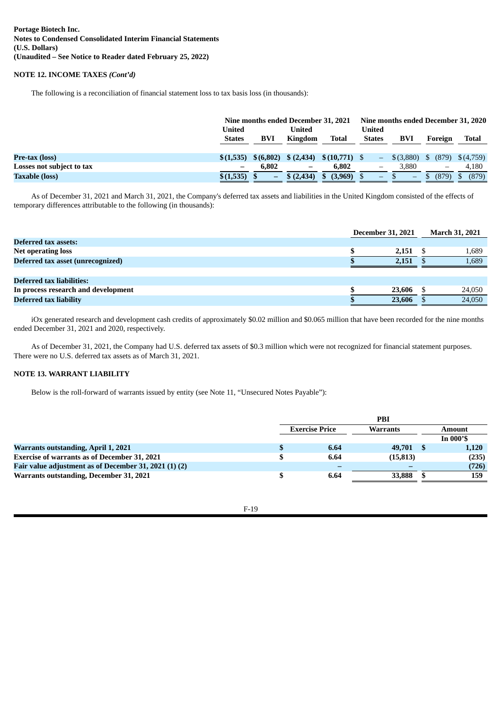# **NOTE 12. INCOME TAXES** *(Cont'd)*

The following is a reconciliation of financial statement loss to tax basis loss (in thousands):

|                           | United<br><b>States</b> | BVI       | Nine months ended December 31, 2021<br>United<br>Kingdom | Total             | <b>United</b><br><b>States</b> | Nine months ended December 31, 2020<br>BVI | Foreign | Total     |
|---------------------------|-------------------------|-----------|----------------------------------------------------------|-------------------|--------------------------------|--------------------------------------------|---------|-----------|
| Pre-tax (loss)            | \$(1,535)               | \$(6,802) | \$(2,434)                                                | $$(10,771)$ \, \$ |                                | $$$ $(3,880)$                              | (879)   | \$(4,759) |
| Losses not subject to tax |                         | 6.802     | -                                                        | 6,802             |                                | 3.880                                      | —       | 4.180     |
| <b>Taxable (loss)</b>     | \$(1,535)               | -         | \$(2,434)                                                | $(3,969)$ \$      | $\overline{\phantom{0}}$       | $\overline{\phantom{0}}$                   | (879    | (879)     |

As of December 31, 2021 and March 31, 2021, the Company's deferred tax assets and liabilities in the United Kingdom consisted of the effects of temporary differences attributable to the following (in thousands):

|                                     | <b>December 31, 2021</b> |            | <b>March 31, 2021</b> |
|-------------------------------------|--------------------------|------------|-----------------------|
| Deferred tax assets:                |                          |            |                       |
| <b>Net operating loss</b>           |                          | $2,151$ \$ | 1,689                 |
| Deferred tax asset (unrecognized)   |                          | 2.151      | 1,689                 |
|                                     |                          |            |                       |
| <b>Deferred tax liabilities:</b>    |                          |            |                       |
| In process research and development |                          | 23,606     | 24,050                |
| <b>Deferred tax liability</b>       |                          | 23,606     | 24,050                |

iOx generated research and development cash credits of approximately \$0.02 million and \$0.065 million that have been recorded for the nine months ended December 31, 2021 and 2020, respectively.

As of December 31, 2021, the Company had U.S. deferred tax assets of \$0.3 million which were not recognized for financial statement purposes. There were no U.S. deferred tax assets as of March 31, 2021.

# **NOTE 13. WARRANT LIABILITY**

Below is the roll-forward of warrants issued by entity (see Note 11, "Unsecured Notes Payable"):

|                                                       |                                          | PBI       |             |
|-------------------------------------------------------|------------------------------------------|-----------|-------------|
|                                                       | <b>Exercise Price</b><br><b>Warrants</b> |           | Amount      |
|                                                       |                                          |           | In $000$ 's |
| <b>Warrants outstanding, April 1, 2021</b>            | 6.64                                     | 49,701 \$ | 1,120       |
| <b>Exercise of warrants as of December 31, 2021</b>   | 6.64                                     | (15, 813) | (235)       |
| Fair value adjustment as of December 31, 2021 (1) (2) |                                          |           | (726)       |
| Warrants outstanding, December 31, 2021               | 6.64                                     | 33.888    | 159         |
|                                                       |                                          |           |             |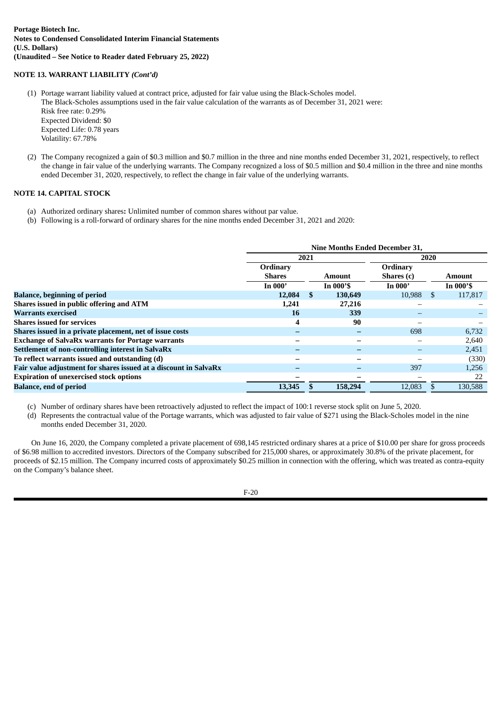# **NOTE 13. WARRANT LIABILITY** *(Cont'd)*

- (1) Portage warrant liability valued at contract price, adjusted for fair value using the Black-Scholes model. The Black-Scholes assumptions used in the fair value calculation of the warrants as of December 31, 2021 were: Risk free rate: 0.29% Expected Dividend: \$0 Expected Life: 0.78 years Volatility: 67.78%
- (2) The Company recognized a gain of \$0.3 million and \$0.7 million in the three and nine months ended December 31, 2021, respectively, to reflect the change in fair value of the underlying warrants. The Company recognized a loss of \$0.5 million and \$0.4 million in the three and nine months ended December 31, 2020, respectively, to reflect the change in fair value of the underlying warrants.

# **NOTE 14. CAPITAL STOCK**

- (a) Authorized ordinary shares**:** Unlimited number of common shares without par value.
- (b) Following is a roll-forward of ordinary shares for the nine months ended December 31, 2021 and 2020:

|                                                                  | <b>Nine Months Ended December 31.</b> |          |                          |            |     |             |  |  |  |
|------------------------------------------------------------------|---------------------------------------|----------|--------------------------|------------|-----|-------------|--|--|--|
|                                                                  |                                       | 2021     |                          | 2020       |     |             |  |  |  |
|                                                                  | Ordinary                              |          |                          | Ordinary   |     |             |  |  |  |
|                                                                  | <b>Shares</b>                         |          | Amount                   | Shares (c) |     | Amount      |  |  |  |
|                                                                  | In $000'$                             |          | In $000$ 's              | In $000'$  |     | In $000$ 'S |  |  |  |
| <b>Balance, beginning of period</b>                              | 12,084                                | <b>S</b> | 130,649                  | 10,988     | \$. | 117,817     |  |  |  |
| Shares issued in public offering and ATM                         | 1,241                                 |          | 27,216                   |            |     |             |  |  |  |
| <b>Warrants exercised</b>                                        | 16                                    |          | 339                      |            |     |             |  |  |  |
| <b>Shares issued for services</b>                                | 4                                     |          | 90                       |            |     |             |  |  |  |
| Shares issued in a private placement, net of issue costs         |                                       |          | $\overline{\phantom{0}}$ | 698        |     | 6,732       |  |  |  |
| <b>Exchange of SalvaRx warrants for Portage warrants</b>         |                                       |          | $\overline{\phantom{m}}$ | -          |     | 2,640       |  |  |  |
| Settlement of non-controlling interest in SalvaRx                |                                       |          | $\overline{\phantom{0}}$ |            |     | 2,451       |  |  |  |
| To reflect warrants issued and outstanding (d)                   |                                       |          |                          |            |     | (330)       |  |  |  |
| Fair value adjustment for shares issued at a discount in SalvaRx |                                       |          |                          | 397        |     | 1,256       |  |  |  |
| <b>Expiration of unexercised stock options</b>                   |                                       |          |                          |            |     | 22          |  |  |  |
| <b>Balance, end of period</b>                                    | 13,345                                |          | 158,294                  | 12.083     |     | 130,588     |  |  |  |

- (c) Number of ordinary shares have been retroactively adjusted to reflect the impact of 100:1 reverse stock split on June 5, 2020.
- (d) Represents the contractual value of the Portage warrants, which was adjusted to fair value of \$271 using the Black-Scholes model in the nine months ended December 31, 2020.

On June 16, 2020, the Company completed a private placement of 698,145 restricted ordinary shares at a price of \$10.00 per share for gross proceeds of \$6.98 million to accredited investors. Directors of the Company subscribed for 215,000 shares, or approximately 30.8% of the private placement, for proceeds of \$2.15 million. The Company incurred costs of approximately \$0.25 million in connection with the offering, which was treated as contra-equity on the Company's balance sheet.

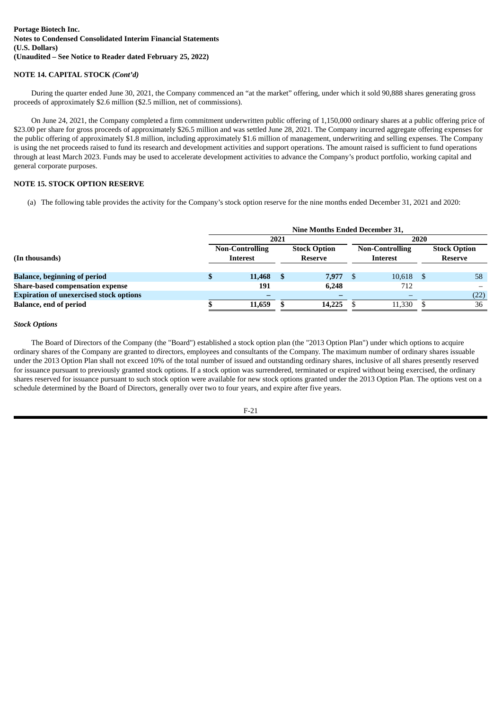# **NOTE 14. CAPITAL STOCK** *(Cont'd)*

During the quarter ended June 30, 2021, the Company commenced an "at the market" offering, under which it sold 90,888 shares generating gross proceeds of approximately \$2.6 million (\$2.5 million, net of commissions).

On June 24, 2021, the Company completed a firm commitment underwritten public offering of 1,150,000 ordinary shares at a public offering price of \$23.00 per share for gross proceeds of approximately \$26.5 million and was settled June 28, 2021. The Company incurred aggregate offering expenses for the public offering of approximately \$1.8 million, including approximately \$1.6 million of management, underwriting and selling expenses. The Company is using the net proceeds raised to fund its research and development activities and support operations. The amount raised is sufficient to fund operations through at least March 2023. Funds may be used to accelerate development activities to advance the Company's product portfolio, working capital and general corporate purposes.

# **NOTE 15. STOCK OPTION RESERVE**

(a) The following table provides the activity for the Company's stock option reserve for the nine months ended December 31, 2021 and 2020:

|                                                |                                           |        | 2021 |                                       |      | 2020                                      |                                       |      |
|------------------------------------------------|-------------------------------------------|--------|------|---------------------------------------|------|-------------------------------------------|---------------------------------------|------|
| (In thousands)                                 | <b>Non-Controlling</b><br><b>Interest</b> |        |      | <b>Stock Option</b><br><b>Reserve</b> |      | <b>Non-Controlling</b><br><b>Interest</b> | <b>Stock Option</b><br><b>Reserve</b> |      |
|                                                |                                           |        |      |                                       |      |                                           |                                       |      |
| <b>Balance, beginning of period</b>            |                                           | 11,468 |      | 7,977                                 | - \$ | $10,618$ \$                               |                                       | 58   |
| Share-based compensation expense               |                                           | 191    |      | 6.248                                 |      | 712                                       |                                       |      |
| <b>Expiration of unexercised stock options</b> |                                           |        |      |                                       |      |                                           |                                       | (22) |
| <b>Balance, end of period</b>                  |                                           | 11,659 |      | 14,225                                |      | 11,330                                    |                                       | 36   |

#### *Stock Options*

The Board of Directors of the Company (the "Board") established a stock option plan (the "2013 Option Plan") under which options to acquire ordinary shares of the Company are granted to directors, employees and consultants of the Company. The maximum number of ordinary shares issuable under the 2013 Option Plan shall not exceed 10% of the total number of issued and outstanding ordinary shares, inclusive of all shares presently reserved for issuance pursuant to previously granted stock options. If a stock option was surrendered, terminated or expired without being exercised, the ordinary shares reserved for issuance pursuant to such stock option were available for new stock options granted under the 2013 Option Plan. The options vest on a schedule determined by the Board of Directors, generally over two to four years, and expire after five years.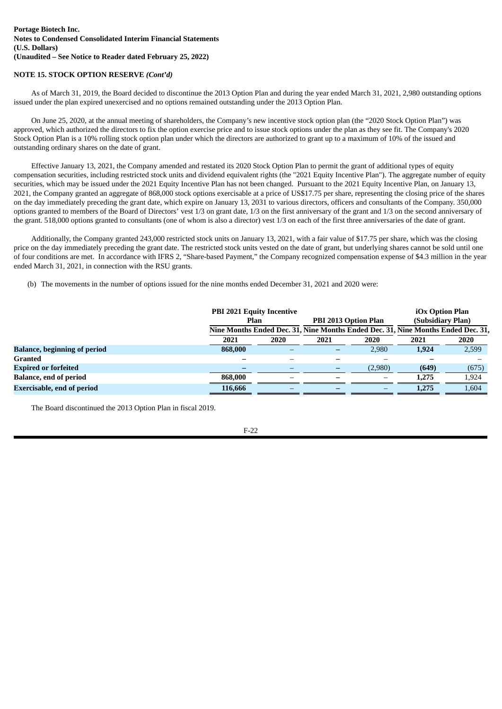# **NOTE 15. STOCK OPTION RESERVE** *(Cont'd)*

As of March 31, 2019, the Board decided to discontinue the 2013 Option Plan and during the year ended March 31, 2021, 2,980 outstanding options issued under the plan expired unexercised and no options remained outstanding under the 2013 Option Plan.

On June 25, 2020, at the annual meeting of shareholders, the Company's new incentive stock option plan (the "2020 Stock Option Plan") was approved, which authorized the directors to fix the option exercise price and to issue stock options under the plan as they see fit. The Company's 2020 Stock Option Plan is a 10% rolling stock option plan under which the directors are authorized to grant up to a maximum of 10% of the issued and outstanding ordinary shares on the date of grant.

Effective January 13, 2021, the Company amended and restated its 2020 Stock Option Plan to permit the grant of additional types of equity compensation securities, including restricted stock units and dividend equivalent rights (the "2021 Equity Incentive Plan"). The aggregate number of equity securities, which may be issued under the 2021 Equity Incentive Plan has not been changed. Pursuant to the 2021 Equity Incentive Plan, on January 13, 2021, the Company granted an aggregate of 868,000 stock options exercisable at a price of US\$17.75 per share, representing the closing price of the shares on the day immediately preceding the grant date, which expire on January 13, 2031 to various directors, officers and consultants of the Company. 350,000 options granted to members of the Board of Directors' vest 1/3 on grant date, 1/3 on the first anniversary of the grant and 1/3 on the second anniversary of the grant. 518,000 options granted to consultants (one of whom is also a director) vest 1/3 on each of the first three anniversaries of the date of grant.

Additionally, the Company granted 243,000 restricted stock units on January 13, 2021, with a fair value of \$17.75 per share, which was the closing price on the day immediately preceding the grant date. The restricted stock units vested on the date of grant, but underlying shares cannot be sold until one of four conditions are met. In accordance with IFRS 2, "Share-based Payment," the Company recognized compensation expense of \$4.3 million in the year ended March 31, 2021, in connection with the RSU grants.

(b) The movements in the number of options issued for the nine months ended December 31, 2021 and 2020 were:

|                                     | <b>PBI 2021 Equity Incentive</b><br>Plan |      | PBI 2013 Option Plan | iOx Option Plan<br>(Subsidiary Plan)<br>Nine Months Ended Dec. 31, Nine Months Ended Dec. 31, Nine Months Ended Dec. 31, |       |       |
|-------------------------------------|------------------------------------------|------|----------------------|--------------------------------------------------------------------------------------------------------------------------|-------|-------|
|                                     | 2021                                     | 2020 | 2021                 | 2020                                                                                                                     | 2021  | 2020  |
| <b>Balance, beginning of period</b> | 868,000                                  |      |                      | 2,980                                                                                                                    | 1.924 | 2,599 |
| <b>Granted</b>                      |                                          |      |                      |                                                                                                                          |       |       |
| <b>Expired or forfeited</b>         |                                          |      |                      | (2,980)                                                                                                                  | (649) | (675) |
| <b>Balance, end of period</b>       | 868,000                                  |      |                      | $\qquad \qquad$                                                                                                          | 1,275 | 1,924 |
| <b>Exercisable, end of period</b>   | 116,666                                  |      |                      |                                                                                                                          | 1,275 | 1,604 |

The Board discontinued the 2013 Option Plan in fiscal 2019.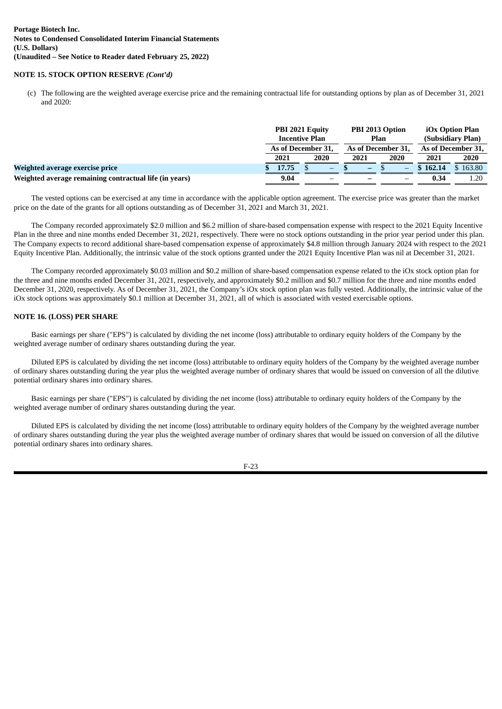# **NOTE 15. STOCK OPTION RESERVE** *(Cont'd)*

(c) The following are the weighted average exercise price and the remaining contractual life for outstanding options by plan as of December 31, 2021 and 2020:

|                                                        | PBI 2021 Equity<br>PBI 2013 Option<br><b>Incentive Plan</b><br>Plan |       |  |                    |  |      |  |                    | iOx Option Plan<br>(Subsidiary Plan) |          |
|--------------------------------------------------------|---------------------------------------------------------------------|-------|--|--------------------|--|------|--|--------------------|--------------------------------------|----------|
|                                                        | As of December 31,                                                  |       |  | As of December 31, |  |      |  | As of December 31, |                                      |          |
|                                                        |                                                                     | 2021  |  | 2020               |  | 2021 |  | 2020               | 2021                                 | 2020     |
| Weighted average exercise price                        |                                                                     | 17.75 |  | -                  |  | -    |  | -                  | \$162.14                             | 5 163.80 |
| Weighted average remaining contractual life (in years) |                                                                     | 9.04  |  |                    |  |      |  |                    | 0.34                                 | 1.20     |

The vested options can be exercised at any time in accordance with the applicable option agreement. The exercise price was greater than the market price on the date of the grants for all options outstanding as of December 31, 2021 and March 31, 2021.

The Company recorded approximately \$2.0 million and \$6.2 million of share-based compensation expense with respect to the 2021 Equity Incentive Plan in the three and nine months ended December 31, 2021, respectively. There were no stock options outstanding in the prior year period under this plan. The Company expects to record additional share-based compensation expense of approximately \$4.8 million through January 2024 with respect to the 2021 Equity Incentive Plan. Additionally, the intrinsic value of the stock options granted under the 2021 Equity Incentive Plan was nil at December 31, 2021.

The Company recorded approximately \$0.03 million and \$0.2 million of share-based compensation expense related to the iOx stock option plan for the three and nine months ended December 31, 2021, respectively, and approximately \$0.2 million and \$0.7 million for the three and nine months ended December 31, 2020, respectively. As of December 31, 2021, the Company's iOx stock option plan was fully vested. Additionally, the intrinsic value of the iOx stock options was approximately \$0.1 million at December 31, 2021, all of which is associated with vested exercisable options.

# **NOTE 16. (LOSS) PER SHARE**

Basic earnings per share ("EPS") is calculated by dividing the net income (loss) attributable to ordinary equity holders of the Company by the weighted average number of ordinary shares outstanding during the year.

Diluted EPS is calculated by dividing the net income (loss) attributable to ordinary equity holders of the Company by the weighted average number of ordinary shares outstanding during the year plus the weighted average number of ordinary shares that would be issued on conversion of all the dilutive potential ordinary shares into ordinary shares.

Basic earnings per share ("EPS") is calculated by dividing the net income (loss) attributable to ordinary equity holders of the Company by the weighted average number of ordinary shares outstanding during the year.

Diluted EPS is calculated by dividing the net income (loss) attributable to ordinary equity holders of the Company by the weighted average number of ordinary shares outstanding during the year plus the weighted average number of ordinary shares that would be issued on conversion of all the dilutive potential ordinary shares into ordinary shares.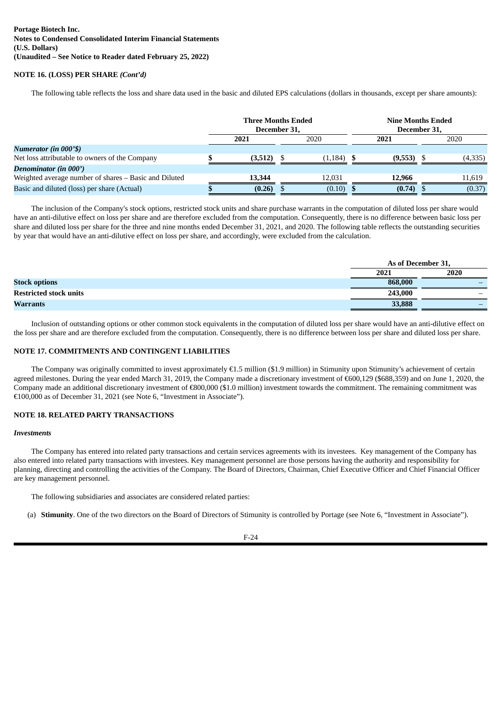# **NOTE 16. (LOSS) PER SHARE** *(Cont'd)*

The following table reflects the loss and share data used in the basic and diluted EPS calculations (dollars in thousands, except per share amounts):

|                                                       | <b>Three Months Ended</b><br>December 31, |  |              |  | <b>Nine Months Ended</b><br>December 31, |  |         |
|-------------------------------------------------------|-------------------------------------------|--|--------------|--|------------------------------------------|--|---------|
|                                                       | 2020<br>2021                              |  | 2021         |  | 2020                                     |  |         |
| Numerator (in 000'\$)                                 |                                           |  |              |  |                                          |  |         |
| Net loss attributable to owners of the Company        | (3,512)                                   |  | $(1,184)$ \$ |  | $(9,553)$ \$                             |  | (4,335) |
| Denominator (in 000')                                 |                                           |  |              |  |                                          |  |         |
| Weighted average number of shares - Basic and Diluted | 13,344                                    |  | 12.031       |  | 12,966                                   |  | 11.619  |
| Basic and diluted (loss) per share (Actual)           | (0.26)                                    |  | (0.10)       |  | (0.74)                                   |  | (0.37)  |

The inclusion of the Company's stock options, restricted stock units and share purchase warrants in the computation of diluted loss per share would have an anti-dilutive effect on loss per share and are therefore excluded from the computation. Consequently, there is no difference between basic loss per share and diluted loss per share for the three and nine months ended December 31, 2021, and 2020. The following table reflects the outstanding securities by year that would have an anti-dilutive effect on loss per share, and accordingly, were excluded from the calculation.

|                               | As of December 31, |      |
|-------------------------------|--------------------|------|
|                               | 2021               | 2020 |
| <b>Stock options</b>          | 868,000            |      |
| <b>Restricted stock units</b> | 243,000            |      |
| <b>Warrants</b>               | 33,888             |      |

Inclusion of outstanding options or other common stock equivalents in the computation of diluted loss per share would have an anti-dilutive effect on the loss per share and are therefore excluded from the computation. Consequently, there is no difference between loss per share and diluted loss per share.

# **NOTE 17. COMMITMENTS AND CONTINGENT LIABILITIES**

The Company was originally committed to invest approximately €1.5 million (\$1.9 million) in Stimunity upon Stimunity's achievement of certain agreed milestones. During the year ended March 31, 2019, the Company made a discretionary investment of €600,129 (\$688,359) and on June 1, 2020, the Company made an additional discretionary investment of €800,000 (\$1.0 million) investment towards the commitment. The remaining commitment was €100,000 as of December 31, 2021 (see Note 6, "Investment in Associate").

# **NOTE 18. RELATED PARTY TRANSACTIONS**

#### *Investments*

The Company has entered into related party transactions and certain services agreements with its investees. Key management of the Company has also entered into related party transactions with investees. Key management personnel are those persons having the authority and responsibility for planning, directing and controlling the activities of the Company. The Board of Directors, Chairman, Chief Executive Officer and Chief Financial Officer are key management personnel.

The following subsidiaries and associates are considered related parties:

(a) **Stimunity**. One of the two directors on the Board of Directors of Stimunity is controlled by Portage (see Note 6, "Investment in Associate").

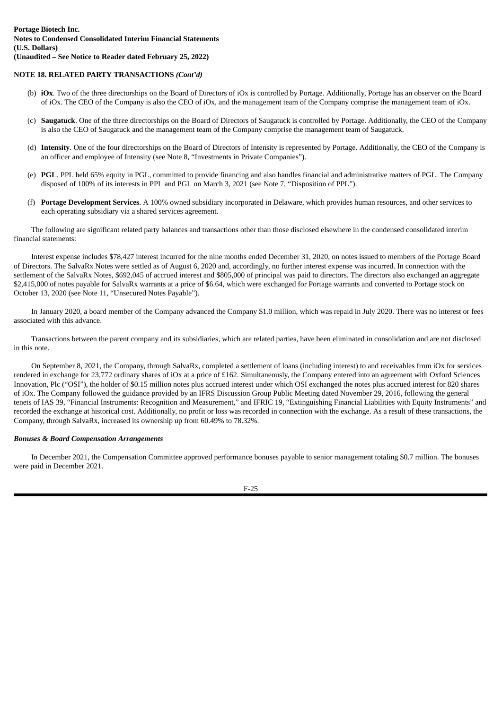# **NOTE 18. RELATED PARTY TRANSACTIONS** *(Cont'd)*

- (b) **iOx**. Two of the three directorships on the Board of Directors of iOx is controlled by Portage. Additionally, Portage has an observer on the Board of iOx. The CEO of the Company is also the CEO of iOx, and the management team of the Company comprise the management team of iOx.
- (c) **Saugatuck**. One of the three directorships on the Board of Directors of Saugatuck is controlled by Portage. Additionally, the CEO of the Company is also the CEO of Saugatuck and the management team of the Company comprise the management team of Saugatuck.
- (d) **Intensity**. One of the four directorships on the Board of Directors of Intensity is represented by Portage. Additionally, the CEO of the Company is an officer and employee of Intensity (see Note 8, "Investments in Private Companies").
- (e) **PGL**. PPL held 65% equity in PGL, committed to provide financing and also handles financial and administrative matters of PGL. The Company disposed of 100% of its interests in PPL and PGL on March 3, 2021 (see Note 7, "Disposition of PPL").
- (f) **Portage Development Services**. A 100% owned subsidiary incorporated in Delaware, which provides human resources, and other services to each operating subsidiary via a shared services agreement.

The following are significant related party balances and transactions other than those disclosed elsewhere in the condensed consolidated interim financial statements:

Interest expense includes \$78,427 interest incurred for the nine months ended December 31, 2020, on notes issued to members of the Portage Board of Directors. The SalvaRx Notes were settled as of August 6, 2020 and, accordingly, no further interest expense was incurred. In connection with the settlement of the SalvaRx Notes, \$692,045 of accrued interest and \$805,000 of principal was paid to directors. The directors also exchanged an aggregate \$2,415,000 of notes payable for SalvaRx warrants at a price of \$6.64, which were exchanged for Portage warrants and converted to Portage stock on October 13, 2020 (see Note 11, "Unsecured Notes Payable").

In January 2020, a board member of the Company advanced the Company \$1.0 million, which was repaid in July 2020. There was no interest or fees associated with this advance.

Transactions between the parent company and its subsidiaries, which are related parties, have been eliminated in consolidation and are not disclosed in this note.

On September 8, 2021, the Company, through SalvaRx, completed a settlement of loans (including interest) to and receivables from iOx for services rendered in exchange for 23,772 ordinary shares of iOx at a price of £162. Simultaneously, the Company entered into an agreement with Oxford Sciences Innovation, Plc ("OSI"), the holder of \$0.15 million notes plus accrued interest under which OSI exchanged the notes plus accrued interest for 820 shares of iOx. The Company followed the guidance provided by an IFRS Discussion Group Public Meeting dated November 29, 2016, following the general tenets of IAS 39, "Financial Instruments: Recognition and Measurement," and IFRIC 19, "Extinguishing Financial Liabilities with Equity Instruments" and recorded the exchange at historical cost. Additionally, no profit or loss was recorded in connection with the exchange. As a result of these transactions, the Company, through SalvaRx, increased its ownership up from 60.49% to 78.32%.

# *Bonuses & Board Compensation Arrangements*

In December 2021, the Compensation Committee approved performance bonuses payable to senior management totaling \$0.7 million. The bonuses were paid in December 2021.

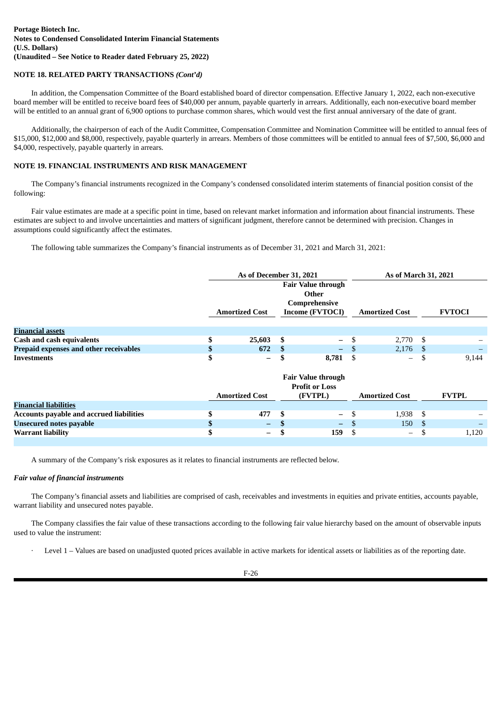# **NOTE 18. RELATED PARTY TRANSACTIONS** *(Cont'd)*

In addition, the Compensation Committee of the Board established board of director compensation. Effective January 1, 2022, each non-executive board member will be entitled to receive board fees of \$40,000 per annum, payable quarterly in arrears. Additionally, each non-executive board member will be entitled to an annual grant of 6,900 options to purchase common shares, which would vest the first annual anniversary of the date of grant.

Additionally, the chairperson of each of the Audit Committee, Compensation Committee and Nomination Committee will be entitled to annual fees of \$15,000, \$12,000 and \$8,000, respectively, payable quarterly in arrears. Members of those committees will be entitled to annual fees of \$7,500, \$6,000 and \$4,000, respectively, payable quarterly in arrears.

# **NOTE 19. FINANCIAL INSTRUMENTS AND RISK MANAGEMENT**

The Company's financial instruments recognized in the Company's condensed consolidated interim statements of financial position consist of the following:

Fair value estimates are made at a specific point in time, based on relevant market information and information about financial instruments. These estimates are subject to and involve uncertainties and matters of significant judgment, therefore cannot be determined with precision. Changes in assumptions could significantly affect the estimates.

The following table summarizes the Company's financial instruments as of December 31, 2021 and March 31, 2021:

|                                        | As of December 31, 2021 |    |                                    | As of March 31, 2021     |               |
|----------------------------------------|-------------------------|----|------------------------------------|--------------------------|---------------|
|                                        |                         |    | <b>Fair Value through</b><br>Other |                          |               |
|                                        | <b>Amortized Cost</b>   |    | Comprehensive<br>Income (FVTOCI)   | <b>Amortized Cost</b>    | <b>FVTOCI</b> |
|                                        |                         |    |                                    |                          |               |
| <b>Financial assets</b>                |                         |    |                                    |                          |               |
| <b>Cash and cash equivalents</b>       | 25,603                  | -5 | $- S$                              | $2,770$ \$               |               |
| Prepaid expenses and other receivables | 672                     |    | $- S$                              | $2,176$ \$               |               |
| Investments                            | $-$                     |    | 8.781                              | $\overline{\phantom{m}}$ | 9.144         |

|                                          | <b>Amortized Cost</b> | <b>Fair Value through</b><br><b>Profit or Loss</b><br>(FVTPL) | <b>Amortized Cost</b>    | <b>FVTPL</b>             |
|------------------------------------------|-----------------------|---------------------------------------------------------------|--------------------------|--------------------------|
| <b>Financial liabilities</b>             |                       |                                                               |                          |                          |
| Accounts payable and accrued liabilities | 477                   | $-$ \$                                                        | $1,938$ \$               | $\overline{\phantom{0}}$ |
| <b>Unsecured notes payable</b>           | $\equiv$              | $-$ S                                                         | 150                      |                          |
| <b>Warrant liability</b>                 | $-$                   | 159                                                           | $\overline{\phantom{m}}$ | 1.120                    |

A summary of the Company's risk exposures as it relates to financial instruments are reflected below.

# *Fair value of financial instruments*

The Company's financial assets and liabilities are comprised of cash, receivables and investments in equities and private entities, accounts payable, warrant liability and unsecured notes payable.

The Company classifies the fair value of these transactions according to the following fair value hierarchy based on the amount of observable inputs used to value the instrument:

Level 1 – Values are based on unadjusted quoted prices available in active markets for identical assets or liabilities as of the reporting date.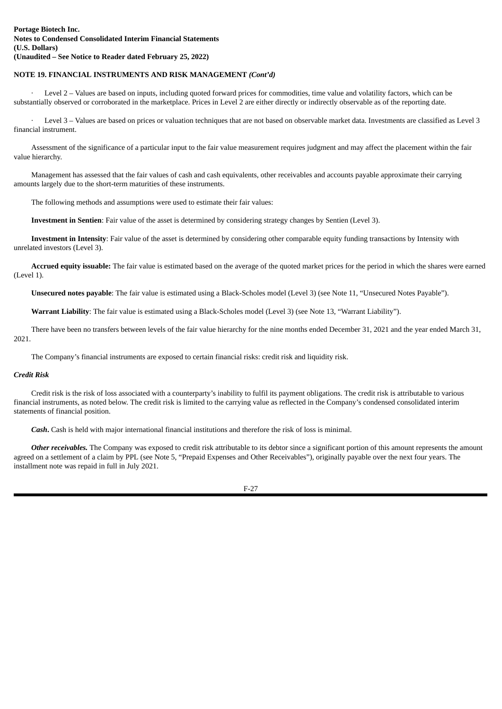# **NOTE 19. FINANCIAL INSTRUMENTS AND RISK MANAGEMENT** *(Cont'd)*

Level 2 – Values are based on inputs, including quoted forward prices for commodities, time value and volatility factors, which can be substantially observed or corroborated in the marketplace. Prices in Level 2 are either directly or indirectly observable as of the reporting date.

· Level 3 – Values are based on prices or valuation techniques that are not based on observable market data. Investments are classified as Level 3 financial instrument.

Assessment of the significance of a particular input to the fair value measurement requires judgment and may affect the placement within the fair value hierarchy.

Management has assessed that the fair values of cash and cash equivalents, other receivables and accounts payable approximate their carrying amounts largely due to the short-term maturities of these instruments.

The following methods and assumptions were used to estimate their fair values:

**Investment in Sentien**: Fair value of the asset is determined by considering strategy changes by Sentien (Level 3).

**Investment in Intensity**: Fair value of the asset is determined by considering other comparable equity funding transactions by Intensity with unrelated investors (Level 3).

**Accrued equity issuable:** The fair value is estimated based on the average of the quoted market prices for the period in which the shares were earned (Level 1).

**Unsecured notes payable**: The fair value is estimated using a Black-Scholes model (Level 3) (see Note 11, "Unsecured Notes Payable").

**Warrant Liability**: The fair value is estimated using a Black-Scholes model (Level 3) (see Note 13, "Warrant Liability").

There have been no transfers between levels of the fair value hierarchy for the nine months ended December 31, 2021 and the year ended March 31, 2021.

The Company's financial instruments are exposed to certain financial risks: credit risk and liquidity risk.

# *Credit Risk*

Credit risk is the risk of loss associated with a counterparty's inability to fulfil its payment obligations. The credit risk is attributable to various financial instruments, as noted below. The credit risk is limited to the carrying value as reflected in the Company's condensed consolidated interim statements of financial position.

*Cash***.** Cash is held with major international financial institutions and therefore the risk of loss is minimal.

*Other receivables.* The Company was exposed to credit risk attributable to its debtor since a significant portion of this amount represents the amount agreed on a settlement of a claim by PPL (see Note 5, "Prepaid Expenses and Other Receivables"), originally payable over the next four years. The installment note was repaid in full in July 2021.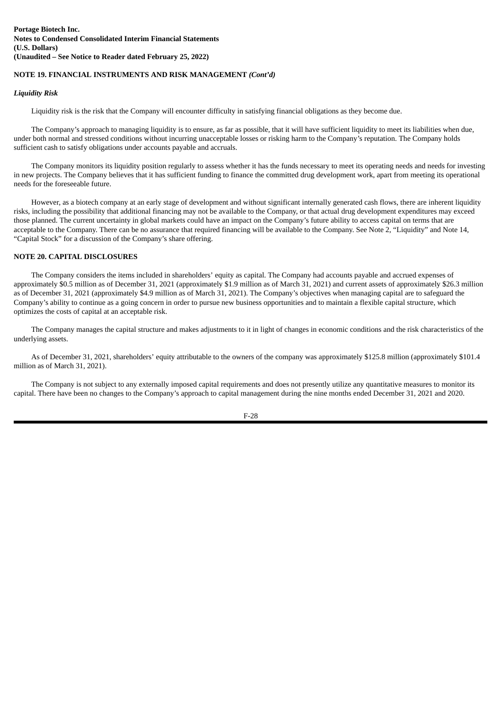# **NOTE 19. FINANCIAL INSTRUMENTS AND RISK MANAGEMENT** *(Cont'd)*

# *Liquidity Risk*

Liquidity risk is the risk that the Company will encounter difficulty in satisfying financial obligations as they become due.

The Company's approach to managing liquidity is to ensure, as far as possible, that it will have sufficient liquidity to meet its liabilities when due, under both normal and stressed conditions without incurring unacceptable losses or risking harm to the Company's reputation. The Company holds sufficient cash to satisfy obligations under accounts payable and accruals.

The Company monitors its liquidity position regularly to assess whether it has the funds necessary to meet its operating needs and needs for investing in new projects. The Company believes that it has sufficient funding to finance the committed drug development work, apart from meeting its operational needs for the foreseeable future.

However, as a biotech company at an early stage of development and without significant internally generated cash flows, there are inherent liquidity risks, including the possibility that additional financing may not be available to the Company, or that actual drug development expenditures may exceed those planned. The current uncertainty in global markets could have an impact on the Company's future ability to access capital on terms that are acceptable to the Company. There can be no assurance that required financing will be available to the Company. See Note 2, "Liquidity" and Note 14, "Capital Stock" for a discussion of the Company's share offering.

# **NOTE 20. CAPITAL DISCLOSURES**

The Company considers the items included in shareholders' equity as capital. The Company had accounts payable and accrued expenses of approximately \$0.5 million as of December 31, 2021 (approximately \$1.9 million as of March 31, 2021) and current assets of approximately \$26.3 million as of December 31, 2021 (approximately \$4.9 million as of March 31, 2021). The Company's objectives when managing capital are to safeguard the Company's ability to continue as a going concern in order to pursue new business opportunities and to maintain a flexible capital structure, which optimizes the costs of capital at an acceptable risk.

The Company manages the capital structure and makes adjustments to it in light of changes in economic conditions and the risk characteristics of the underlying assets.

As of December 31, 2021, shareholders' equity attributable to the owners of the company was approximately \$125.8 million (approximately \$101.4 million as of March 31, 2021).

The Company is not subject to any externally imposed capital requirements and does not presently utilize any quantitative measures to monitor its capital. There have been no changes to the Company's approach to capital management during the nine months ended December 31, 2021 and 2020.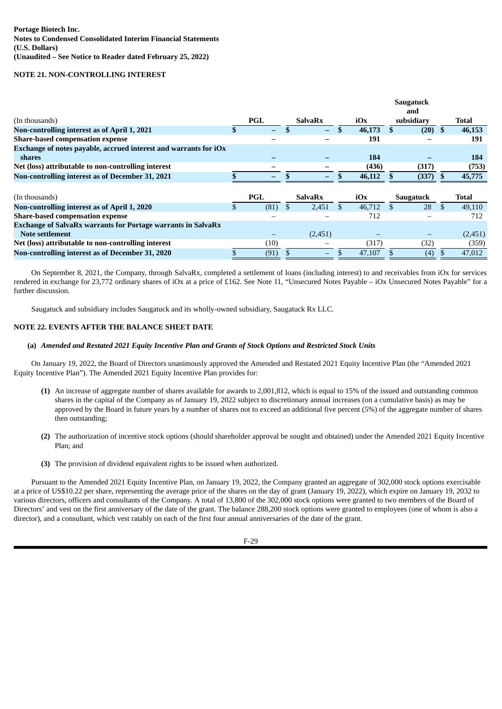#### **NOTE 21. NON-CONTROLLING INTEREST**

|                                                                     |                          |               |                 |    |        | Saugatuck<br>and |              |
|---------------------------------------------------------------------|--------------------------|---------------|-----------------|----|--------|------------------|--------------|
| (In thousands)                                                      | PGL                      |               | <b>SalvaRx</b>  |    | iOx    | subsidiary       | Total        |
| Non-controlling interest as of April 1, 2021                        |                          |               | $\qquad \qquad$ |    | 46,173 | $(20)$ \$        | 46,153       |
| <b>Share-based compensation expense</b>                             |                          |               |                 |    | 191    |                  | 191          |
| Exchange of notes payable, accrued interest and warrants for $iOx$  |                          |               |                 |    |        |                  |              |
| shares                                                              |                          |               |                 |    | 184    |                  | 184          |
| Net (loss) attributable to non-controlling interest                 |                          |               |                 |    | (436)  | (317)            | (753)        |
| Non-controlling interest as of December 31, 2021                    | $\overline{\phantom{0}}$ |               |                 |    | 46,112 | (337)            | 45,775       |
|                                                                     |                          |               |                 |    |        |                  |              |
| (In thousands)                                                      | <b>PGL</b>               |               | <b>SalvaRx</b>  |    | iOx    | <b>Saugatuck</b> | <b>Total</b> |
| Non-controlling interest as of April 1, 2020                        | (81)                     | <sup>\$</sup> | 2,451           | -S | 46,712 | 28               | \$<br>49,110 |
| <b>Share-based compensation expense</b>                             |                          |               |                 |    | 712    |                  | 712          |
| <b>Exchange of SalvaRx warrants for Portage warrants in SalvaRx</b> |                          |               |                 |    |        |                  |              |
|                                                                     |                          |               |                 |    |        |                  |              |
| Note settlement                                                     |                          |               | (2,451)         |    |        |                  | (2,451)      |
| Net (loss) attributable to non-controlling interest                 | (10)                     |               |                 |    | (317)  | (32)             | (359)        |

On September 8, 2021, the Company, through SalvaRx, completed a settlement of loans (including interest) to and receivables from iOx for services rendered in exchange for 23,772 ordinary shares of iOx at a price of £162. See Note 11, "Unsecured Notes Payable – iOx Unsecured Notes Payable" for a further discussion.

Saugatuck and subsidiary includes Saugatuck and its wholly-owned subsidiary, Saugatuck Rx LLC.

# **NOTE 22. EVENTS AFTER THE BALANCE SHEET DATE**

# (a) Amended and Restated 2021 Equity Incentive Plan and Grants of Stock Options and Restricted Stock Units

On January 19, 2022, the Board of Directors unanimously approved the Amended and Restated 2021 Equity Incentive Plan (the "Amended 2021 Equity Incentive Plan"). The Amended 2021 Equity Incentive Plan provides for:

- **(1)** An increase of aggregate number of shares available for awards to 2,001,812, which is equal to 15% of the issued and outstanding common shares in the capital of the Company as of January 19, 2022 subject to discretionary annual increases (on a cumulative basis) as may be approved by the Board in future years by a number of shares not to exceed an additional five percent (5%) of the aggregate number of shares then outstanding;
- **(2)** The authorization of incentive stock options (should shareholder approval be sought and obtained) under the Amended 2021 Equity Incentive Plan; and
- **(3)** The provision of dividend equivalent rights to be issued when authorized.

Pursuant to the Amended 2021 Equity Incentive Plan, on January 19, 2022, the Company granted an aggregate of 302,000 stock options exercisable at a price of US\$10.22 per share, representing the average price of the shares on the day of grant (January 19, 2022), which expire on January 19, 2032 to various directors, officers and consultants of the Company. A total of 13,800 of the 302,000 stock options were granted to two members of the Board of Directors' and vest on the first anniversary of the date of the grant. The balance 288,200 stock options were granted to employees (one of whom is also a director), and a consultant, which vest ratably on each of the first four annual anniversaries of the date of the grant.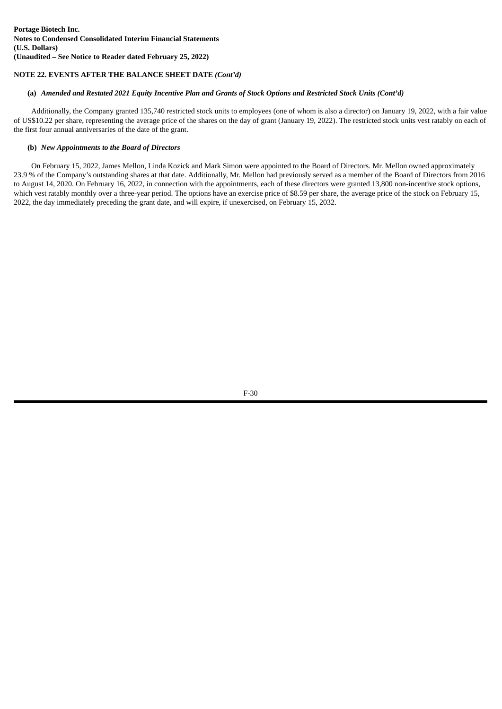# **NOTE 22. EVENTS AFTER THE BALANCE SHEET DATE** *(Cont'd)*

# (a) Amended and Restated 2021 Equity Incentive Plan and Grants of Stock Options and Restricted Stock Units (Cont'd)

Additionally, the Company granted 135,740 restricted stock units to employees (one of whom is also a director) on January 19, 2022, with a fair value of US\$10.22 per share, representing the average price of the shares on the day of grant (January 19, 2022). The restricted stock units vest ratably on each of the first four annual anniversaries of the date of the grant.

# **(b)** *New Appointments to the Board of Directors*

On February 15, 2022, James Mellon, Linda Kozick and Mark Simon were appointed to the Board of Directors. Mr. Mellon owned approximately 23.9 % of the Company's outstanding shares at that date. Additionally, Mr. Mellon had previously served as a member of the Board of Directors from 2016 to August 14, 2020. On February 16, 2022, in connection with the appointments, each of these directors were granted 13,800 non-incentive stock options, which vest ratably monthly over a three-year period. The options have an exercise price of \$8.59 per share, the average price of the stock on February 15, 2022, the day immediately preceding the grant date, and will expire, if unexercised, on February 15, 2032.

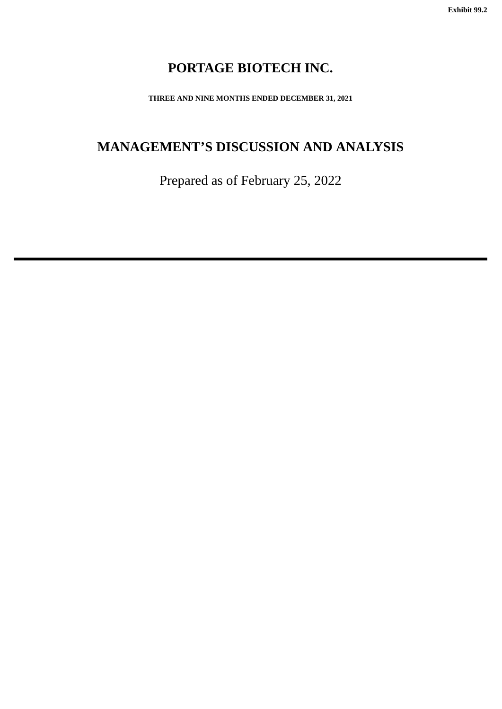# **PORTAGE BIOTECH INC.**

**THREE AND NINE MONTHS ENDED DECEMBER 31, 2021**

# <span id="page-35-0"></span>**MANAGEMENT'S DISCUSSION AND ANALYSIS**

Prepared as of February 25, 2022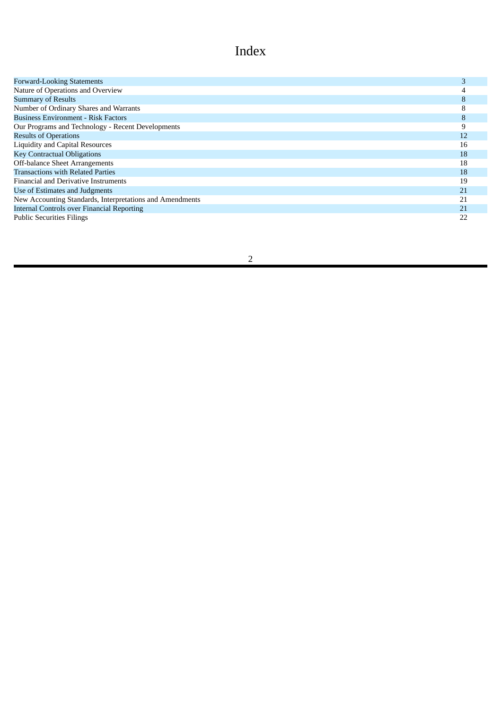# Index

| <b>Forward-Looking Statements</b>                        |    |
|----------------------------------------------------------|----|
| Nature of Operations and Overview                        |    |
| <b>Summary of Results</b>                                | 8  |
| Number of Ordinary Shares and Warrants                   | 8  |
| <b>Business Environment - Risk Factors</b>               | 8  |
| Our Programs and Technology - Recent Developments        |    |
| <b>Results of Operations</b>                             | 12 |
| Liquidity and Capital Resources                          | 16 |
| <b>Key Contractual Obligations</b>                       | 18 |
| Off-balance Sheet Arrangements                           | 18 |
| <b>Transactions with Related Parties</b>                 | 18 |
| <b>Financial and Derivative Instruments</b>              | 19 |
| Use of Estimates and Judgments                           | 21 |
| New Accounting Standards, Interpretations and Amendments | 21 |
| <b>Internal Controls over Financial Reporting</b>        | 21 |
| <b>Public Securities Filings</b>                         | 22 |
|                                                          |    |

# 2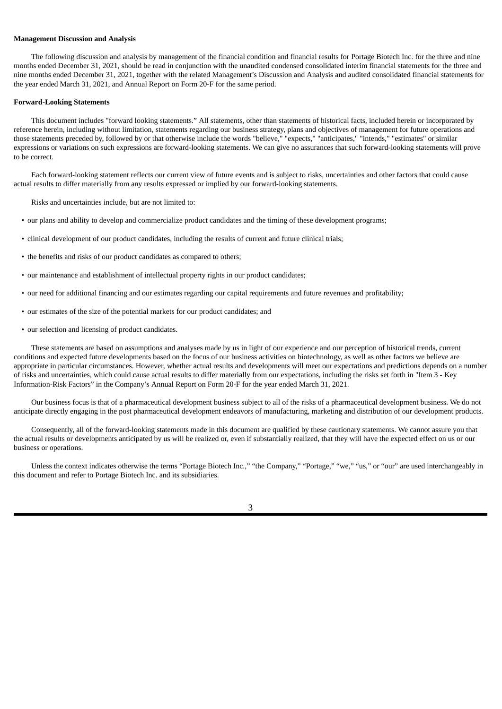#### **Management Discussion and Analysis**

The following discussion and analysis by management of the financial condition and financial results for Portage Biotech Inc. for the three and nine months ended December 31, 2021, should be read in conjunction with the unaudited condensed consolidated interim financial statements for the three and nine months ended December 31, 2021, together with the related Management's Discussion and Analysis and audited consolidated financial statements for the year ended March 31, 2021, and Annual Report on Form 20-F for the same period.

#### **Forward-Looking Statements**

This document includes "forward looking statements." All statements, other than statements of historical facts, included herein or incorporated by reference herein, including without limitation, statements regarding our business strategy, plans and objectives of management for future operations and those statements preceded by, followed by or that otherwise include the words "believe," "expects," "anticipates," "intends," "estimates" or similar expressions or variations on such expressions are forward-looking statements. We can give no assurances that such forward-looking statements will prove to be correct.

Each forward-looking statement reflects our current view of future events and is subject to risks, uncertainties and other factors that could cause actual results to differ materially from any results expressed or implied by our forward-looking statements.

Risks and uncertainties include, but are not limited to:

- our plans and ability to develop and commercialize product candidates and the timing of these development programs;
- clinical development of our product candidates, including the results of current and future clinical trials;
- the benefits and risks of our product candidates as compared to others;
- our maintenance and establishment of intellectual property rights in our product candidates;
- our need for additional financing and our estimates regarding our capital requirements and future revenues and profitability;
- our estimates of the size of the potential markets for our product candidates; and
- our selection and licensing of product candidates.

These statements are based on assumptions and analyses made by us in light of our experience and our perception of historical trends, current conditions and expected future developments based on the focus of our business activities on biotechnology, as well as other factors we believe are appropriate in particular circumstances. However, whether actual results and developments will meet our expectations and predictions depends on a number of risks and uncertainties, which could cause actual results to differ materially from our expectations, including the risks set forth in "Item 3 - Key Information-Risk Factors" in the Company's Annual Report on Form 20-F for the year ended March 31, 2021.

Our business focus is that of a pharmaceutical development business subject to all of the risks of a pharmaceutical development business. We do not anticipate directly engaging in the post pharmaceutical development endeavors of manufacturing, marketing and distribution of our development products.

Consequently, all of the forward-looking statements made in this document are qualified by these cautionary statements. We cannot assure you that the actual results or developments anticipated by us will be realized or, even if substantially realized, that they will have the expected effect on us or our business or operations.

Unless the context indicates otherwise the terms "Portage Biotech Inc.," "the Company," "Portage," "we," "us," or "our" are used interchangeably in this document and refer to Portage Biotech Inc. and its subsidiaries.

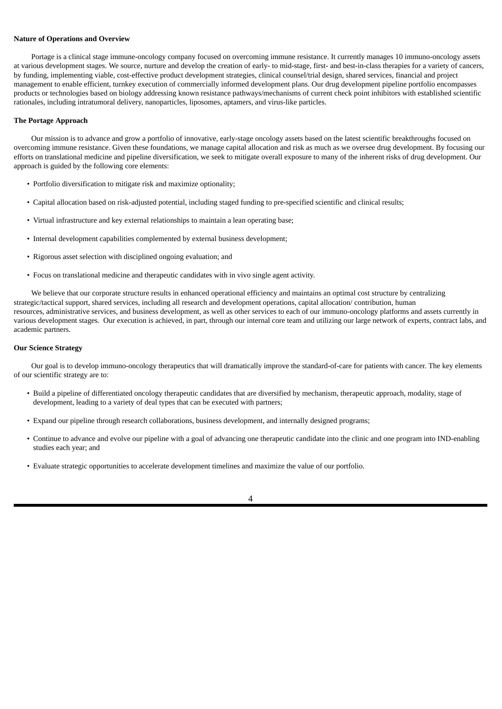#### **Nature of Operations and Overview**

Portage is a clinical stage immune-oncology company focused on overcoming immune resistance. It currently manages 10 immuno-oncology assets at various development stages. We source, nurture and develop the creation of early- to mid-stage, first- and best-in-class therapies for a variety of cancers, by funding, implementing viable, cost-effective product development strategies, clinical counsel/trial design, shared services, financial and project management to enable efficient, turnkey execution of commercially informed development plans. Our drug development pipeline portfolio encompasses products or technologies based on biology addressing known resistance pathways/mechanisms of current check point inhibitors with established scientific rationales, including intratumoral delivery, nanoparticles, liposomes, aptamers, and virus-like particles.

#### **The Portage Approach**

Our mission is to advance and grow a portfolio of innovative, early-stage oncology assets based on the latest scientific breakthroughs focused on overcoming immune resistance. Given these foundations, we manage capital allocation and risk as much as we oversee drug development. By focusing our efforts on translational medicine and pipeline diversification, we seek to mitigate overall exposure to many of the inherent risks of drug development. Our approach is guided by the following core elements:

- Portfolio diversification to mitigate risk and maximize optionality;
- Capital allocation based on risk-adjusted potential, including staged funding to pre-specified scientific and clinical results;
- Virtual infrastructure and key external relationships to maintain a lean operating base;
- Internal development capabilities complemented by external business development;
- Rigorous asset selection with disciplined ongoing evaluation; and
- Focus on translational medicine and therapeutic candidates with in vivo single agent activity.

We believe that our corporate structure results in enhanced operational efficiency and maintains an optimal cost structure by centralizing strategic/tactical support, shared services, including all research and development operations, capital allocation/ contribution, human resources, administrative services, and business development, as well as other services to each of our immuno-oncology platforms and assets currently in various development stages. Our execution is achieved, in part, through our internal core team and utilizing our large network of experts, contract labs, and academic partners.

# **Our Science Strategy**

Our goal is to develop immuno-oncology therapeutics that will dramatically improve the standard-of-care for patients with cancer. The key elements of our scientific strategy are to:

- Build a pipeline of differentiated oncology therapeutic candidates that are diversified by mechanism, therapeutic approach, modality, stage of development, leading to a variety of deal types that can be executed with partners;
- Expand our pipeline through research collaborations, business development, and internally designed programs;
- Continue to advance and evolve our pipeline with a goal of advancing one therapeutic candidate into the clinic and one program into IND-enabling studies each year; and
- Evaluate strategic opportunities to accelerate development timelines and maximize the value of our portfolio.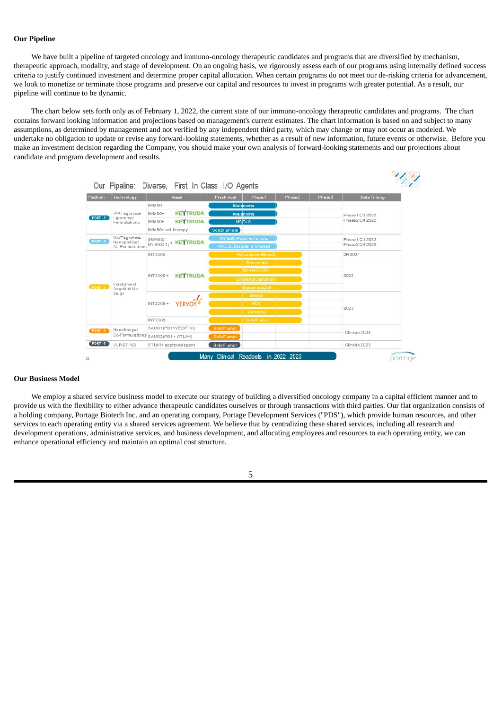# **Our Pipeline**

We have built a pipeline of targeted oncology and immuno-oncology therapeutic candidates and programs that are diversified by mechanism, therapeutic approach, modality, and stage of development. On an ongoing basis, we rigorously assess each of our programs using internally defined success criteria to justify continued investment and determine proper capital allocation. When certain programs do not meet our de-risking criteria for advancement, we look to monetize or terminate those programs and preserve our capital and resources to invest in programs with greater potential. As a result, our pipeline will continue to be dynamic.

The chart below sets forth only as of February 1, 2022, the current state of our immuno-oncology therapeutic candidates and programs. The chart contains forward looking information and projections based on management's current estimates. The chart information is based on and subject to many assumptions, as determined by management and not verified by any independent third party, which may change or may not occur as modeled. We undertake no obligation to update or revise any forward-looking statements, whether as a result of new information, future events or otherwise. Before you make an investment decision regarding the Company, you should make your own analysis of forward-looking statements and our projections about candidate and program development and results.

ショックスク

| Platform       | Technology                    | Asset                            | Preclinical<br>Phase 1       | Phase2 | Phase 3           | DataTiming      |  |
|----------------|-------------------------------|----------------------------------|------------------------------|--------|-------------------|-----------------|--|
|                |                               | IMM60                            | Melanoma                     |        |                   |                 |  |
|                | iNKTagonists-                 | <b>KEYTRUDA</b><br>IMM60+        | Melanoma                     |        |                   | Phase 1 Q1 2022 |  |
| <b>PORT -2</b> | Liposomal<br>Formulations     | <b>KEYTRUDA</b><br>IMM60+        | <b>NSCLC</b>                 |        |                   | Phase 2 Q4 2022 |  |
|                |                               | IMM60+ celltherapy               | <b>SolidTumors</b>           |        |                   |                 |  |
| <b>PORT -3</b> | iNKTagonists-<br>Nanopartical | (IMM60/                          | <b>NY-ESOPositive Tumors</b> |        |                   | Phase 1 Q1 2022 |  |
|                | Co-Formulations               | NY-ESO-1) <sup>+</sup> KEYTRUDA  | NY-ESOBladder & Ovarian      |        |                   | Phase 2 Q4 2022 |  |
|                |                               | <b>INT2306</b>                   | Ne oadjuvanBreast            |        |                   | 2H2021          |  |
|                |                               |                                  | Pancreatic                   |        |                   |                 |  |
|                | INT2306+<br>Intratumoral      | <b>KEYTRUDA</b>                  | Non MSICRO                   |        | 2022              |                 |  |
|                |                               |                                  |                              |        | Cholangiocarcinom |                 |  |
| PORT-1         | Amphiphilic                   |                                  | SquamousCell                 |        |                   |                 |  |
|                | drugs                         |                                  | <b>Breast</b>                |        |                   |                 |  |
|                |                               | INT2306+                         | <b>HCC</b>                   |        |                   | 2022            |  |
|                |                               |                                  | Sarcoma                      |        |                   |                 |  |
|                |                               | <b>INT2308</b>                   | SolidTumor                   |        |                   |                 |  |
| <b>PORT -4</b> | Nanolipogel                   | SAUG1(PD1+VEGFTKI)               | SolidTumor                   |        |                   | Clinigin 2023   |  |
|                |                               | Co-Formulations SAUG2(PD1+CTLA4) | <b>SolidTumor</b>            |        |                   |                 |  |
| PORT -5        | <b>VLP-STING</b>              | STIM1+ approvedagent             | SolidTumor                   |        |                   | Clinicin 2023   |  |

# **Our Business Model**

We employ a shared service business model to execute our strategy of building a diversified oncology company in a capital efficient manner and to provide us with the flexibility to either advance therapeutic candidates ourselves or through transactions with third parties. Our flat organization consists of a holding company, Portage Biotech Inc. and an operating company, Portage Development Services ("PDS"), which provide human resources, and other services to each operating entity via a shared services agreement. We believe that by centralizing these shared services, including all research and development operations, administrative services, and business development, and allocating employees and resources to each operating entity, we can enhance operational efficiency and maintain an optimal cost structure.

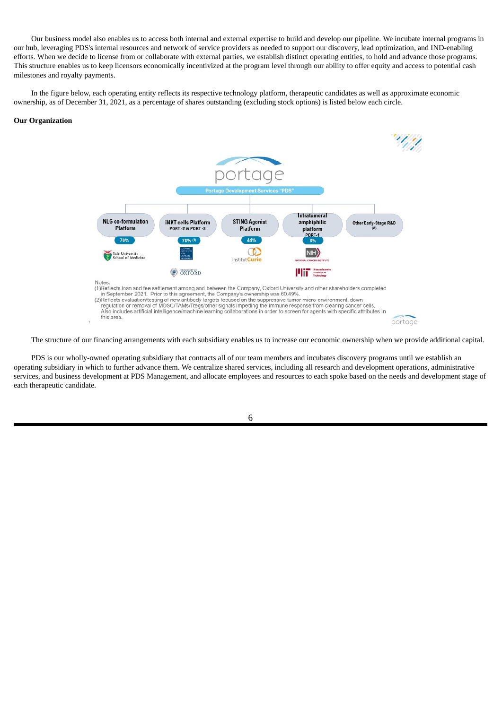Our business model also enables us to access both internal and external expertise to build and develop our pipeline. We incubate internal programs in our hub, leveraging PDS's internal resources and network of service providers as needed to support our discovery, lead optimization, and IND-enabling efforts. When we decide to license from or collaborate with external parties, we establish distinct operating entities, to hold and advance those programs. This structure enables us to keep licensors economically incentivized at the program level through our ability to offer equity and access to potential cash milestones and royalty payments.

In the figure below, each operating entity reflects its respective technology platform, therapeutic candidates as well as approximate economic ownership, as of December 31, 2021, as a percentage of shares outstanding (excluding stock options) is listed below each circle.

#### **Our Organization**



The structure of our financing arrangements with each subsidiary enables us to increase our economic ownership when we provide additional capital.

PDS is our wholly-owned operating subsidiary that contracts all of our team members and incubates discovery programs until we establish an operating subsidiary in which to further advance them. We centralize shared services, including all research and development operations, administrative services, and business development at PDS Management, and allocate employees and resources to each spoke based on the needs and development stage of each therapeutic candidate.

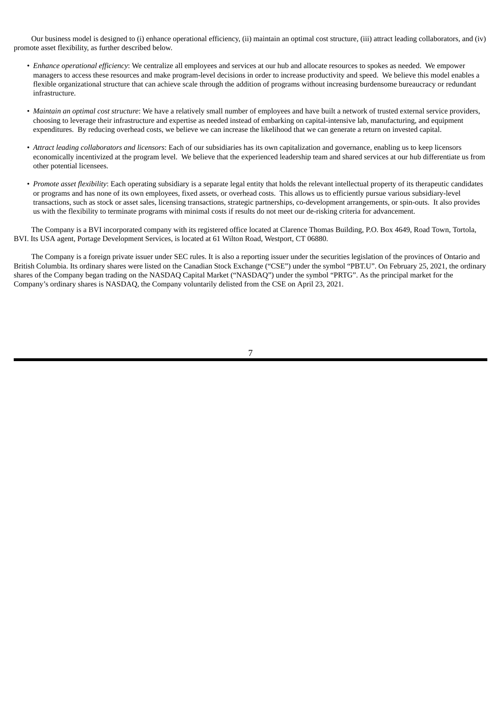Our business model is designed to (i) enhance operational efficiency, (ii) maintain an optimal cost structure, (iii) attract leading collaborators, and (iv) promote asset flexibility, as further described below.

- *Enhance operational efficiency*: We centralize all employees and services at our hub and allocate resources to spokes as needed. We empower managers to access these resources and make program-level decisions in order to increase productivity and speed. We believe this model enables a flexible organizational structure that can achieve scale through the addition of programs without increasing burdensome bureaucracy or redundant infrastructure.
- *Maintain an optimal cost structure*: We have a relatively small number of employees and have built a network of trusted external service providers, choosing to leverage their infrastructure and expertise as needed instead of embarking on capital-intensive lab, manufacturing, and equipment expenditures. By reducing overhead costs, we believe we can increase the likelihood that we can generate a return on invested capital.
- *Attract leading collaborators and licensors*: Each of our subsidiaries has its own capitalization and governance, enabling us to keep licensors economically incentivized at the program level. We believe that the experienced leadership team and shared services at our hub differentiate us from other potential licensees.
- *Promote asset flexibility*: Each operating subsidiary is a separate legal entity that holds the relevant intellectual property of its therapeutic candidates or programs and has none of its own employees, fixed assets, or overhead costs. This allows us to efficiently pursue various subsidiary-level transactions, such as stock or asset sales, licensing transactions, strategic partnerships, co-development arrangements, or spin-outs. It also provides us with the flexibility to terminate programs with minimal costs if results do not meet our de-risking criteria for advancement.

The Company is a BVI incorporated company with its registered office located at Clarence Thomas Building, P.O. Box 4649, Road Town, Tortola, BVI. Its USA agent, Portage Development Services, is located at 61 Wilton Road, Westport, CT 06880.

The Company is a foreign private issuer under SEC rules. It is also a reporting issuer under the securities legislation of the provinces of Ontario and British Columbia. Its ordinary shares were listed on the Canadian Stock Exchange ("CSE") under the symbol "PBT.U". On February 25, 2021, the ordinary shares of the Company began trading on the NASDAQ Capital Market ("NASDAQ") under the symbol "PRTG". As the principal market for the Company's ordinary shares is NASDAQ, the Company voluntarily delisted from the CSE on April 23, 2021.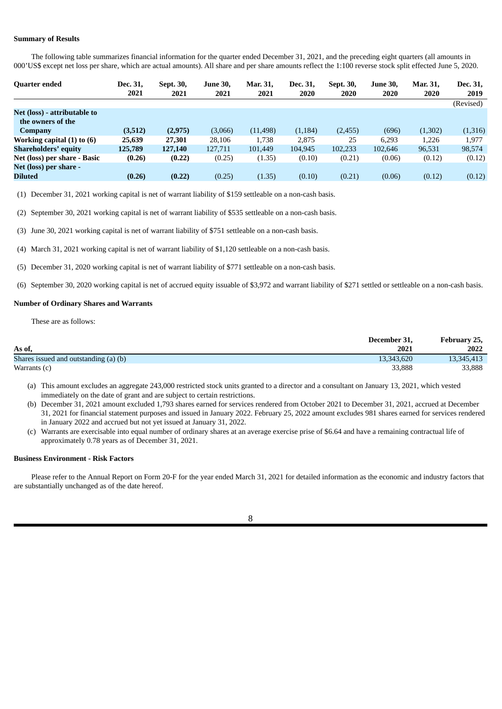# **Summary of Results**

The following table summarizes financial information for the quarter ended December 31, 2021, and the preceding eight quarters (all amounts in 000'US\$ except net loss per share, which are actual amounts). All share and per share amounts reflect the 1:100 reverse stock split effected June 5, 2020.

| <b>Quarter ended</b>         | Dec. 31, | Sept. 30, | <b>June 30.</b> | Mar. 31,  | Dec. 31, | Sept. 30, | <b>June 30,</b> | Mar. 31, | Dec. 31,  |
|------------------------------|----------|-----------|-----------------|-----------|----------|-----------|-----------------|----------|-----------|
|                              | 2021     | 2021      | 2021            | 2021      | 2020     | 2020      | 2020            | 2020     | 2019      |
|                              |          |           |                 |           |          |           |                 |          | (Revised) |
| Net (loss) - attributable to |          |           |                 |           |          |           |                 |          |           |
| the owners of the            |          |           |                 |           |          |           |                 |          |           |
| Company                      | (3,512)  | (2,975)   | (3,066)         | (11, 498) | (1, 184) | (2, 455)  | (696)           | (1,302)  | (1,316)   |
| Working capital (1) to (6)   | 25,639   | 27,301    | 28.106          | 1.738     | 2.875    | 25        | 6,293           | 1,226    | 1.977     |
| <b>Shareholders' equity</b>  | 125,789  | 127,140   | 127,711         | 101,449   | 104,945  | 102,233   | 102,646         | 96,531   | 98,574    |
| Net (loss) per share - Basic | (0.26)   | (0.22)    | (0.25)          | (1.35)    | (0.10)   | (0.21)    | (0.06)          | (0.12)   | (0.12)    |
| Net (loss) per share -       |          |           |                 |           |          |           |                 |          |           |
| <b>Diluted</b>               | (0.26)   | (0.22)    | (0.25)          | (1.35)    | (0.10)   | (0.21)    | (0.06)          | (0.12)   | (0.12)    |
|                              |          |           |                 |           |          |           |                 |          |           |

(1) December 31, 2021 working capital is net of warrant liability of \$159 settleable on a non-cash basis.

(2) September 30, 2021 working capital is net of warrant liability of \$535 settleable on a non-cash basis.

(3) June 30, 2021 working capital is net of warrant liability of \$751 settleable on a non-cash basis.

(4) March 31, 2021 working capital is net of warrant liability of \$1,120 settleable on a non-cash basis.

(5) December 31, 2020 working capital is net of warrant liability of \$771 settleable on a non-cash basis.

(6) September 30, 2020 working capital is net of accrued equity issuable of \$3,972 and warrant liability of \$271 settled or settleable on a non-cash basis.

#### **Number of Ordinary Shares and Warrants**

These are as follows:

|                                         | December 31, | February 25, |
|-----------------------------------------|--------------|--------------|
| As of,                                  | 2021         | 2022         |
| Shares issued and outstanding (a) $(b)$ | 13,343,620   | 13,345,413   |
| Warrants (c)                            | 33,888       | 33,888       |

(a) This amount excludes an aggregate 243,000 restricted stock units granted to a director and a consultant on January 13, 2021, which vested immediately on the date of grant and are subject to certain restrictions.

- (b) December 31, 2021 amount excluded 1,793 shares earned for services rendered from October 2021 to December 31, 2021, accrued at December 31, 2021 for financial statement purposes and issued in January 2022. February 25, 2022 amount excludes 981 shares earned for services rendered in January 2022 and accrued but not yet issued at January 31, 2022.
- (c) Warrants are exercisable into equal number of ordinary shares at an average exercise prise of \$6.64 and have a remaining contractual life of approximately 0.78 years as of December 31, 2021.

# **Business Environment - Risk Factors**

Please refer to the Annual Report on Form 20-F for the year ended March 31, 2021 for detailed information as the economic and industry factors that are substantially unchanged as of the date hereof.

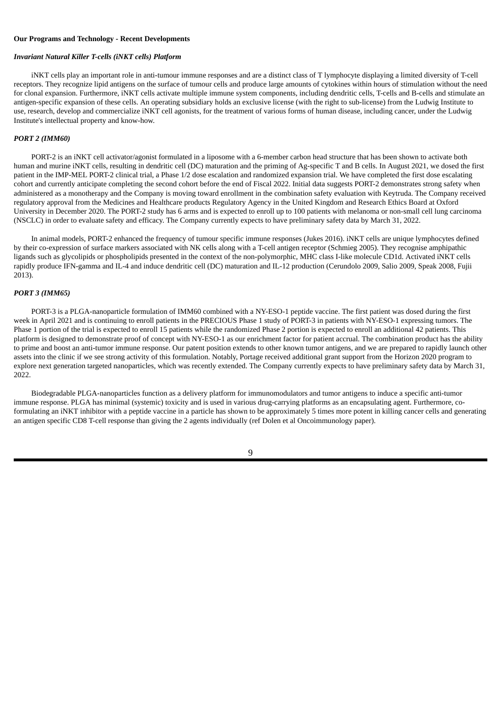#### **Our Programs and Technology - Recent Developments**

# *Invariant Natural Killer T-cells (iNKT cells) Platform*

iNKT cells play an important role in anti-tumour immune responses and are a distinct class of T lymphocyte displaying a limited diversity of T-cell receptors. They recognize lipid antigens on the surface of tumour cells and produce large amounts of cytokines within hours of stimulation without the need for clonal expansion. Furthermore, iNKT cells activate multiple immune system components, including dendritic cells, T-cells and B-cells and stimulate an antigen-specific expansion of these cells. An operating subsidiary holds an exclusive license (with the right to sub-license) from the Ludwig Institute to use, research, develop and commercialize iNKT cell agonists, for the treatment of various forms of human disease, including cancer, under the Ludwig Institute's intellectual property and know-how.

#### *PORT 2 (IMM60)*

PORT-2 is an iNKT cell activator/agonist formulated in a liposome with a 6-member carbon head structure that has been shown to activate both human and murine iNKT cells, resulting in dendritic cell (DC) maturation and the priming of Ag-specific T and B cells. In August 2021, we dosed the first patient in the IMP-MEL PORT-2 clinical trial, a Phase 1/2 dose escalation and randomized expansion trial. We have completed the first dose escalating cohort and currently anticipate completing the second cohort before the end of Fiscal 2022. Initial data suggests PORT-2 demonstrates strong safety when administered as a monotherapy and the Company is moving toward enrollment in the combination safety evaluation with Keytruda. The Company received regulatory approval from the Medicines and Healthcare products Regulatory Agency in the United Kingdom and Research Ethics Board at Oxford University in December 2020. The PORT-2 study has 6 arms and is expected to enroll up to 100 patients with melanoma or non-small cell lung carcinoma (NSCLC) in order to evaluate safety and efficacy. The Company currently expects to have preliminary safety data by March 31, 2022.

In animal models, PORT-2 enhanced the frequency of tumour specific immune responses (Jukes 2016). iNKT cells are unique lymphocytes defined by their co-expression of surface markers associated with NK cells along with a T-cell antigen receptor (Schmieg 2005). They recognise amphipathic ligands such as glycolipids or phospholipids presented in the context of the non-polymorphic, MHC class I-like molecule CD1d. Activated iNKT cells rapidly produce IFN-gamma and IL-4 and induce dendritic cell (DC) maturation and IL-12 production (Cerundolo 2009, Salio 2009, Speak 2008, Fujii 2013).

# *PORT 3 (IMM65)*

PORT-3 is a PLGA-nanoparticle formulation of IMM60 combined with a NY-ESO-1 peptide vaccine. The first patient was dosed during the first week in April 2021 and is continuing to enroll patients in the PRECIOUS Phase 1 study of PORT-3 in patients with NY-ESO-1 expressing tumors. The Phase 1 portion of the trial is expected to enroll 15 patients while the randomized Phase 2 portion is expected to enroll an additional 42 patients. This platform is designed to demonstrate proof of concept with NY-ESO-1 as our enrichment factor for patient accrual. The combination product has the ability to prime and boost an anti-tumor immune response. Our patent position extends to other known tumor antigens, and we are prepared to rapidly launch other assets into the clinic if we see strong activity of this formulation. Notably, Portage received additional grant support from the Horizon 2020 program to explore next generation targeted nanoparticles, which was recently extended. The Company currently expects to have preliminary safety data by March 31, 2022.

Biodegradable PLGA-nanoparticles function as a delivery platform for immunomodulators and tumor antigens to induce a specific anti-tumor immune response. PLGA has minimal (systemic) toxicity and is used in various drug-carrying platforms as an encapsulating agent. Furthermore, coformulating an iNKT inhibitor with a peptide vaccine in a particle has shown to be approximately 5 times more potent in killing cancer cells and generating an antigen specific CD8 T-cell response than giving the 2 agents individually (ref Dolen et al Oncoimmunology paper).

9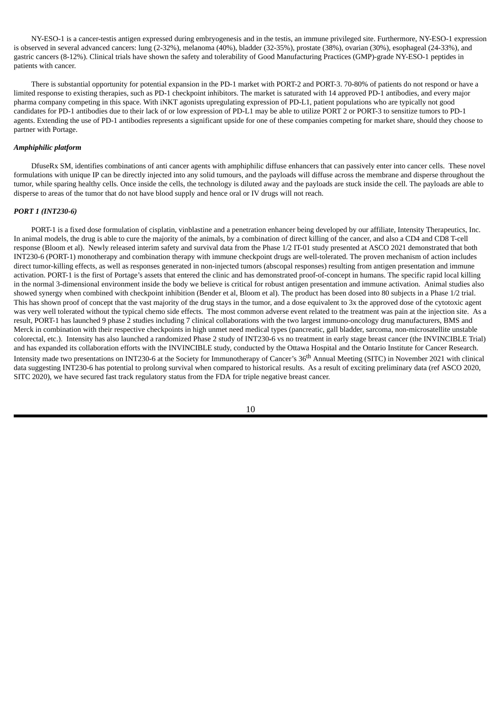NY-ESO-1 is a cancer-testis antigen expressed during embryogenesis and in the testis, an immune privileged site. Furthermore, NY-ESO-1 expression is observed in several advanced cancers: lung (2-32%), melanoma (40%), bladder (32-35%), prostate (38%), ovarian (30%), esophageal (24-33%), and gastric cancers (8-12%). Clinical trials have shown the safety and tolerability of Good Manufacturing Practices (GMP)-grade NY-ESO-1 peptides in patients with cancer.

There is substantial opportunity for potential expansion in the PD-1 market with PORT-2 and PORT-3. 70-80% of patients do not respond or have a limited response to existing therapies, such as PD-1 checkpoint inhibitors. The market is saturated with 14 approved PD-1 antibodies, and every major pharma company competing in this space. With iNKT agonists upregulating expression of PD-L1, patient populations who are typically not good candidates for PD-1 antibodies due to their lack of or low expression of PD-L1 may be able to utilize PORT 2 or PORT-3 to sensitize tumors to PD-1 agents. Extending the use of PD-1 antibodies represents a significant upside for one of these companies competing for market share, should they choose to partner with Portage.

#### *Amphiphilic platform*

DfuseRx SM, identifies combinations of anti cancer agents with amphiphilic diffuse enhancers that can passively enter into cancer cells. These novel formulations with unique IP can be directly injected into any solid tumours, and the payloads will diffuse across the membrane and disperse throughout the tumor, while sparing healthy cells. Once inside the cells, the technology is diluted away and the payloads are stuck inside the cell. The payloads are able to disperse to areas of the tumor that do not have blood supply and hence oral or IV drugs will not reach.

# *PORT 1 (INT230-6)*

PORT-1 is a fixed dose formulation of cisplatin, vinblastine and a penetration enhancer being developed by our affiliate, Intensity Therapeutics, Inc. In animal models, the drug is able to cure the majority of the animals, by a combination of direct killing of the cancer, and also a CD4 and CD8 T-cell response (Bloom et al). Newly released interim safety and survival data from the Phase 1/2 IT-01 study presented at ASCO 2021 demonstrated that both INT230-6 (PORT-1) monotherapy and combination therapy with immune checkpoint drugs are well-tolerated. The proven mechanism of action includes direct tumor-killing effects, as well as responses generated in non-injected tumors (abscopal responses) resulting from antigen presentation and immune activation. PORT-1 is the first of Portage's assets that entered the clinic and has demonstrated proof-of-concept in humans. The specific rapid local killing in the normal 3-dimensional environment inside the body we believe is critical for robust antigen presentation and immune activation. Animal studies also showed synergy when combined with checkpoint inhibition (Bender et al, Bloom et al). The product has been dosed into 80 subjects in a Phase 1/2 trial. This has shown proof of concept that the vast majority of the drug stays in the tumor, and a dose equivalent to 3x the approved dose of the cytotoxic agent was very well tolerated without the typical chemo side effects. The most common adverse event related to the treatment was pain at the injection site. As a result, PORT-1 has launched 9 phase 2 studies including 7 clinical collaborations with the two largest immuno-oncology drug manufacturers, BMS and Merck in combination with their respective checkpoints in high unmet need medical types (pancreatic, gall bladder, sarcoma, non-microsatellite unstable colorectal, etc.). Intensity has also launched a randomized Phase 2 study of INT230-6 vs no treatment in early stage breast cancer (the INVINCIBLE Trial) and has expanded its collaboration efforts with the INVINCIBLE study, conducted by the Ottawa Hospital and the Ontario Institute for Cancer Research. Intensity made two presentations on INT230-6 at the Society for Immunotherapy of Cancer's 36<sup>th</sup> Annual Meeting (SITC) in November 2021 with clinical data suggesting INT230-6 has potential to prolong survival when compared to historical results. As a result of exciting preliminary data (ref ASCO 2020, SITC 2020), we have secured fast track regulatory status from the FDA for triple negative breast cancer.

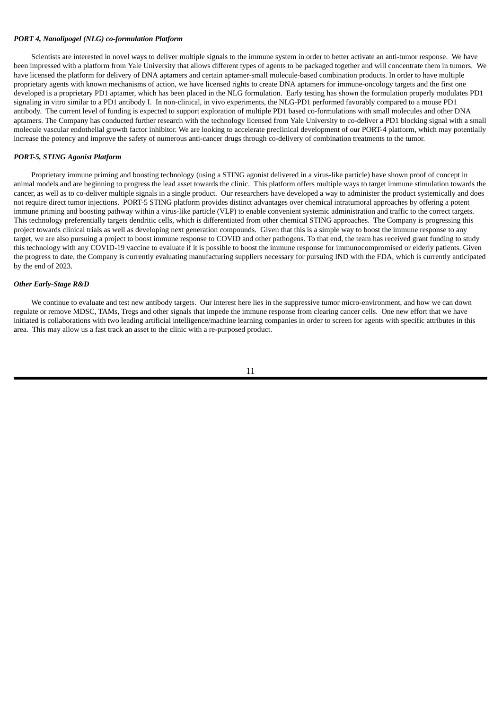# *PORT 4, Nanolipogel (NLG) co-formulation Platform*

Scientists are interested in novel ways to deliver multiple signals to the immune system in order to better activate an anti-tumor response. We have been impressed with a platform from Yale University that allows different types of agents to be packaged together and will concentrate them in tumors. We have licensed the platform for delivery of DNA aptamers and certain aptamer-small molecule-based combination products. In order to have multiple proprietary agents with known mechanisms of action, we have licensed rights to create DNA aptamers for immune-oncology targets and the first one developed is a proprietary PD1 aptamer, which has been placed in the NLG formulation. Early testing has shown the formulation properly modulates PD1 signaling in vitro similar to a PD1 antibody I. In non-clinical, in vivo experiments, the NLG-PD1 performed favorably compared to a mouse PD1 antibody. The current level of funding is expected to support exploration of multiple PD1 based co-formulations with small molecules and other DNA aptamers. The Company has conducted further research with the technology licensed from Yale University to co-deliver a PD1 blocking signal with a small molecule vascular endothelial growth factor inhibitor. We are looking to accelerate preclinical development of our PORT-4 platform, which may potentially increase the potency and improve the safety of numerous anti-cancer drugs through co-delivery of combination treatments to the tumor.

#### *PORT-5, STING Agonist Platform*

Proprietary immune priming and boosting technology (using a STING agonist delivered in a virus-like particle) have shown proof of concept in animal models and are beginning to progress the lead asset towards the clinic. This platform offers multiple ways to target immune stimulation towards the cancer, as well as to co-deliver multiple signals in a single product. Our researchers have developed a way to administer the product systemically and does not require direct tumor injections. PORT-5 STING platform provides distinct advantages over chemical intratumoral approaches by offering a potent immune priming and boosting pathway within a virus-like particle (VLP) to enable convenient systemic administration and traffic to the correct targets. This technology preferentially targets dendritic cells, which is differentiated from other chemical STING approaches. The Company is progressing this project towards clinical trials as well as developing next generation compounds. Given that this is a simple way to boost the immune response to any target, we are also pursuing a project to boost immune response to COVID and other pathogens. To that end, the team has received grant funding to study this technology with any COVID-19 vaccine to evaluate if it is possible to boost the immune response for immunocompromised or elderly patients. Given the progress to date, the Company is currently evaluating manufacturing suppliers necessary for pursuing IND with the FDA, which is currently anticipated by the end of 2023.

# *Other Early-Stage R&D*

We continue to evaluate and test new antibody targets. Our interest here lies in the suppressive tumor micro-environment, and how we can down regulate or remove MDSC, TAMs, Tregs and other signals that impede the immune response from clearing cancer cells. One new effort that we have initiated is collaborations with two leading artificial intelligence/machine learning companies in order to screen for agents with specific attributes in this area. This may allow us a fast track an asset to the clinic with a re-purposed product.

11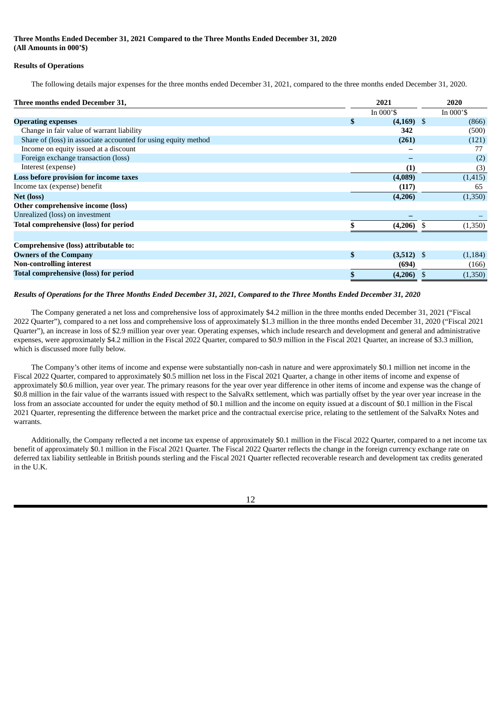# **Three Months Ended December 31, 2021 Compared to the Three Months Ended December 31, 2020 (All Amounts in 000'\$)**

# **Results of Operations**

The following details major expenses for the three months ended December 31, 2021, compared to the three months ended December 31, 2020.

| Three months ended December 31,                                | 2021               |  | 2020       |
|----------------------------------------------------------------|--------------------|--|------------|
|                                                                | In $000's$         |  | In $000's$ |
| <b>Operating expenses</b>                                      | \$<br>$(4,169)$ \$ |  | (866)      |
| Change in fair value of warrant liability                      | 342                |  | (500)      |
| Share of (loss) in associate accounted for using equity method | (261)              |  | (121)      |
| Income on equity issued at a discount                          |                    |  | 77         |
| Foreign exchange transaction (loss)                            |                    |  | (2)        |
| Interest (expense)                                             | (1)                |  | (3)        |
| Loss before provision for income taxes                         | (4,089)            |  | (1, 415)   |
| Income tax (expense) benefit                                   | (117)              |  | 65         |
| <b>Net (loss)</b>                                              | (4,206)            |  | (1,350)    |
| Other comprehensive income (loss)                              |                    |  |            |
| Unrealized (loss) on investment                                |                    |  |            |
| Total comprehensive (loss) for period                          | (4,206)            |  | (1,350)    |
|                                                                |                    |  |            |
| Comprehensive (loss) attributable to:                          |                    |  |            |
| <b>Owners of the Company</b>                                   | \$<br>$(3,512)$ \$ |  | (1, 184)   |
| <b>Non-controlling interest</b>                                | (694)              |  | (166)      |
| <b>Total comprehensive (loss) for period</b>                   | $(4,206)$ \$       |  | (1,350)    |

# Results of Operations for the Three Months Ended December 31, 2021. Compared to the Three Months Ended December 31, 2020

The Company generated a net loss and comprehensive loss of approximately \$4.2 million in the three months ended December 31, 2021 ("Fiscal 2022 Quarter"), compared to a net loss and comprehensive loss of approximately \$1.3 million in the three months ended December 31, 2020 ("Fiscal 2021 Quarter"), an increase in loss of \$2.9 million year over year. Operating expenses, which include research and development and general and administrative expenses, were approximately \$4.2 million in the Fiscal 2022 Quarter, compared to \$0.9 million in the Fiscal 2021 Quarter, an increase of \$3.3 million, which is discussed more fully below.

The Company's other items of income and expense were substantially non-cash in nature and were approximately \$0.1 million net income in the Fiscal 2022 Quarter, compared to approximately \$0.5 million net loss in the Fiscal 2021 Quarter, a change in other items of income and expense of approximately \$0.6 million, year over year. The primary reasons for the year over year difference in other items of income and expense was the change of \$0.8 million in the fair value of the warrants issued with respect to the SalvaRx settlement, which was partially offset by the year over year increase in the loss from an associate accounted for under the equity method of \$0.1 million and the income on equity issued at a discount of \$0.1 million in the Fiscal 2021 Quarter, representing the difference between the market price and the contractual exercise price, relating to the settlement of the SalvaRx Notes and warrants.

Additionally, the Company reflected a net income tax expense of approximately \$0.1 million in the Fiscal 2022 Quarter, compared to a net income tax benefit of approximately \$0.1 million in the Fiscal 2021 Quarter. The Fiscal 2022 Quarter reflects the change in the foreign currency exchange rate on deferred tax liability settleable in British pounds sterling and the Fiscal 2021 Quarter reflected recoverable research and development tax credits generated in the  $IJK$ 

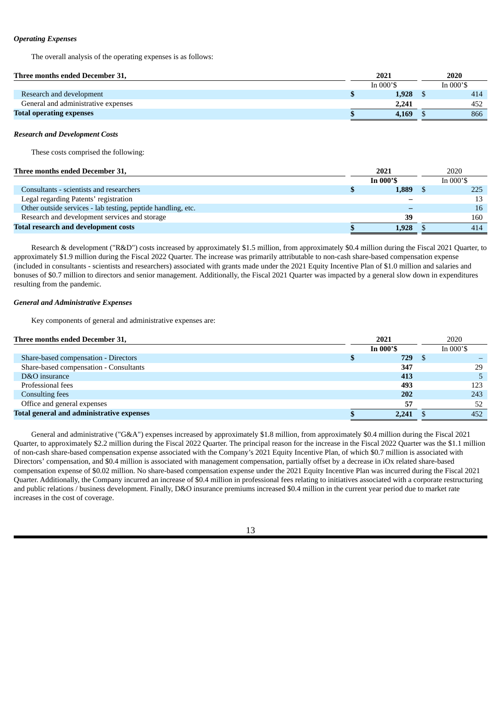# *Operating Expenses*

The overall analysis of the operating expenses is as follows:

| Three months ended December 31,     | 2021       | 2020       |
|-------------------------------------|------------|------------|
|                                     | In $000's$ | In $000's$ |
| Research and development            | 1.928      | 414        |
| General and administrative expenses | 2.241      | 452        |
| <b>Total operating expenses</b>     | 4.169      | 866        |

#### *Research and Development Costs*

These costs comprised the following:

# **Three months ended December 31, 2021** 2020

|                                                              | In $000's$ | In $000's$ |
|--------------------------------------------------------------|------------|------------|
| Consultants - scientists and researchers                     | 1,889      | 225        |
| Legal regarding Patents' registration                        |            | 13         |
| Other outside services - lab testing, peptide handling, etc. |            | 16         |
| Research and development services and storage                | 39         | 160        |
| <b>Total research and development costs</b>                  | 1,928      | 414        |

Research & development ("R&D") costs increased by approximately \$1.5 million, from approximately \$0.4 million during the Fiscal 2021 Quarter, to approximately \$1.9 million during the Fiscal 2022 Quarter. The increase was primarily attributable to non-cash share-based compensation expense (included in consultants - scientists and researchers) associated with grants made under the 2021 Equity Incentive Plan of \$1.0 million and salaries and bonuses of \$0.7 million to directors and senior management. Additionally, the Fiscal 2021 Quarter was impacted by a general slow down in expenditures resulting from the pandemic.

#### *General and Administrative Expenses*

Key components of general and administrative expenses are:

| Three months ended December 31,                  | 2021     | 2020       |
|--------------------------------------------------|----------|------------|
|                                                  | In 000'S | In $000's$ |
| Share-based compensation - Directors             | 729      |            |
| Share-based compensation - Consultants           | 347      | 29         |
| D&O insurance                                    | 413      |            |
| Professional fees                                | 493      | 123        |
| <b>Consulting fees</b>                           | 202      | 243        |
| Office and general expenses                      | 57       | 52         |
| <b>Total general and administrative expenses</b> | 2,241    | 452        |

General and administrative ("G&A") expenses increased by approximately \$1.8 million, from approximately \$0.4 million during the Fiscal 2021 Quarter, to approximately \$2.2 million during the Fiscal 2022 Quarter. The principal reason for the increase in the Fiscal 2022 Quarter was the \$1.1 million of non-cash share-based compensation expense associated with the Company's 2021 Equity Incentive Plan, of which \$0.7 million is associated with Directors' compensation, and \$0.4 million is associated with management compensation, partially offset by a decrease in iOx related share-based compensation expense of \$0.02 million. No share-based compensation expense under the 2021 Equity Incentive Plan was incurred during the Fiscal 2021 Quarter. Additionally, the Company incurred an increase of \$0.4 million in professional fees relating to initiatives associated with a corporate restructuring and public relations / business development. Finally, D&O insurance premiums increased \$0.4 million in the current year period due to market rate increases in the cost of coverage.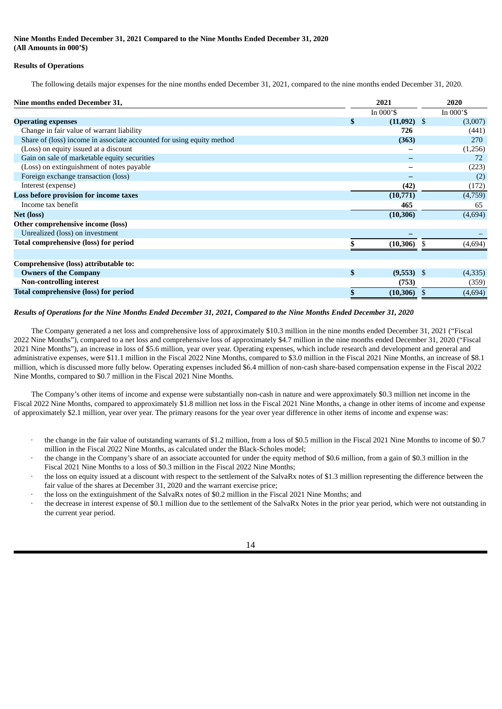# **Nine Months Ended December 31, 2021 Compared to the Nine Months Ended December 31, 2020 (All Amounts in 000'\$)**

# **Results of Operations**

The following details major expenses for the nine months ended December 31, 2021, compared to the nine months ended December 31, 2020.

| Nine months ended December 31,                                        | 2021                |  | 2020       |
|-----------------------------------------------------------------------|---------------------|--|------------|
|                                                                       | In $000's$          |  | In $000's$ |
| <b>Operating expenses</b>                                             | \$<br>$(11,092)$ \$ |  | (3,007)    |
| Change in fair value of warrant liability                             | 726                 |  | (441)      |
| Share of (loss) income in associate accounted for using equity method | (363)               |  | 270        |
| (Loss) on equity issued at a discount                                 |                     |  | (1,256)    |
| Gain on sale of marketable equity securities                          |                     |  | 72         |
| (Loss) on extinguishment of notes payable                             |                     |  | (223)      |
| Foreign exchange transaction (loss)                                   |                     |  | (2)        |
| Interest (expense)                                                    | (42)                |  | (172)      |
| Loss before provision for income taxes                                | (10,771)            |  | (4,759)    |
| Income tax benefit                                                    | 465                 |  | 65         |
| Net (loss)                                                            | (10, 306)           |  | (4,694)    |
| Other comprehensive income (loss)                                     |                     |  |            |
| Unrealized (loss) on investment                                       |                     |  |            |
| Total comprehensive (loss) for period                                 | (10, 306)           |  | (4,694)    |
|                                                                       |                     |  |            |
| Comprehensive (loss) attributable to:                                 |                     |  |            |
| <b>Owners of the Company</b>                                          | \$<br>$(9,553)$ \$  |  | (4,335)    |
| <b>Non-controlling interest</b>                                       | (753)               |  | (359)      |
| <b>Total comprehensive (loss) for period</b>                          | (10, 306)           |  | (4,694)    |

# Results of Operations for the Nine Months Ended December 31, 2021, Compared to the Nine Months Ended December 31, 2020

The Company generated a net loss and comprehensive loss of approximately \$10.3 million in the nine months ended December 31, 2021 ("Fiscal 2022 Nine Months"), compared to a net loss and comprehensive loss of approximately \$4.7 million in the nine months ended December 31, 2020 ("Fiscal 2021 Nine Months"), an increase in loss of \$5.6 million, year over year. Operating expenses, which include research and development and general and administrative expenses, were \$11.1 million in the Fiscal 2022 Nine Months, compared to \$3.0 million in the Fiscal 2021 Nine Months, an increase of \$8.1 million, which is discussed more fully below. Operating expenses included \$6.4 million of non-cash share-based compensation expense in the Fiscal 2022 Nine Months, compared to \$0.7 million in the Fiscal 2021 Nine Months.

The Company's other items of income and expense were substantially non-cash in nature and were approximately \$0.3 million net income in the Fiscal 2022 Nine Months, compared to approximately \$1.8 million net loss in the Fiscal 2021 Nine Months, a change in other items of income and expense of approximately \$2.1 million, year over year. The primary reasons for the year over year difference in other items of income and expense was:

- · the change in the fair value of outstanding warrants of \$1.2 million, from a loss of \$0.5 million in the Fiscal 2021 Nine Months to income of \$0.7 million in the Fiscal 2022 Nine Months, as calculated under the Black-Scholes model;
- · the change in the Company's share of an associate accounted for under the equity method of \$0.6 million, from a gain of \$0.3 million in the Fiscal 2021 Nine Months to a loss of \$0.3 million in the Fiscal 2022 Nine Months;
- · the loss on equity issued at a discount with respect to the settlement of the SalvaRx notes of \$1.3 million representing the difference between the fair value of the shares at December 31, 2020 and the warrant exercise price;
- the loss on the extinguishment of the SalvaRx notes of \$0.2 million in the Fiscal 2021 Nine Months; and
- · the decrease in interest expense of \$0.1 million due to the settlement of the SalvaRx Notes in the prior year period, which were not outstanding in the current year period.

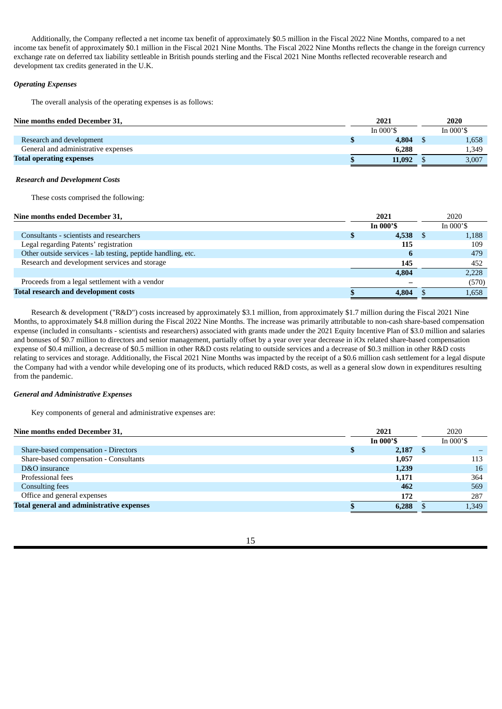Additionally, the Company reflected a net income tax benefit of approximately \$0.5 million in the Fiscal 2022 Nine Months, compared to a net income tax benefit of approximately \$0.1 million in the Fiscal 2021 Nine Months. The Fiscal 2022 Nine Months reflects the change in the foreign currency exchange rate on deferred tax liability settleable in British pounds sterling and the Fiscal 2021 Nine Months reflected recoverable research and development tax credits generated in the U.K.

# *Operating Expenses*

The overall analysis of the operating expenses is as follows:

| Nine months ended December 31,      | 2021         | 2020       |
|-------------------------------------|--------------|------------|
|                                     | In $000$ '\$ | In $000's$ |
| Research and development            | 4,804        | 1,658      |
| General and administrative expenses | 6.288        | 1,349      |
| <b>Total operating expenses</b>     | 11,092       | 3,007      |

# *Research and Development Costs*

These costs comprised the following:

# **Nine months ended December 31, 2021** 2020

| <b>Anic months enged December 31,</b>                        | 404 L    | ∠∪∠∪       |
|--------------------------------------------------------------|----------|------------|
|                                                              | In 000'S | In $000's$ |
| Consultants - scientists and researchers                     | 4,538    | 1,188      |
| Legal regarding Patents' registration                        | 115      | 109        |
| Other outside services - lab testing, peptide handling, etc. | 6        | 479        |
| Research and development services and storage                | 145      | 452        |
|                                                              | 4,804    | 2,228      |
| Proceeds from a legal settlement with a vendor               |          | (570)      |
| <b>Total research and development costs</b>                  | 4,804    | 1,658      |
|                                                              |          |            |

Research & development ("R&D") costs increased by approximately \$3.1 million, from approximately \$1.7 million during the Fiscal 2021 Nine Months, to approximately \$4.8 million during the Fiscal 2022 Nine Months. The increase was primarily attributable to non-cash share-based compensation expense (included in consultants - scientists and researchers) associated with grants made under the 2021 Equity Incentive Plan of \$3.0 million and salaries and bonuses of \$0.7 million to directors and senior management, partially offset by a year over year decrease in iOx related share-based compensation expense of \$0.4 million, a decrease of \$0.5 million in other R&D costs relating to outside services and a decrease of \$0.3 million in other R&D costs relating to services and storage. Additionally, the Fiscal 2021 Nine Months was impacted by the receipt of a \$0.6 million cash settlement for a legal dispute the Company had with a vendor while developing one of its products, which reduced R&D costs, as well as a general slow down in expenditures resulting from the pandemic.

#### *General and Administrative Expenses*

Key components of general and administrative expenses are:

| Nine months ended December 31,                   |  | 2021       | 2020 |              |
|--------------------------------------------------|--|------------|------|--------------|
|                                                  |  | In 000'S   |      | In $000'$ \$ |
| Share-based compensation - Directors             |  | $2,187$ \$ |      |              |
| Share-based compensation - Consultants           |  | 1,057      |      | 113          |
| D&O insurance                                    |  | 1,239      |      | 16           |
| Professional fees                                |  | 1,171      |      | 364          |
| <b>Consulting fees</b>                           |  | 462        |      | 569          |
| Office and general expenses                      |  | 172        |      | 287          |
| <b>Total general and administrative expenses</b> |  | 6,288      |      | 1,349        |

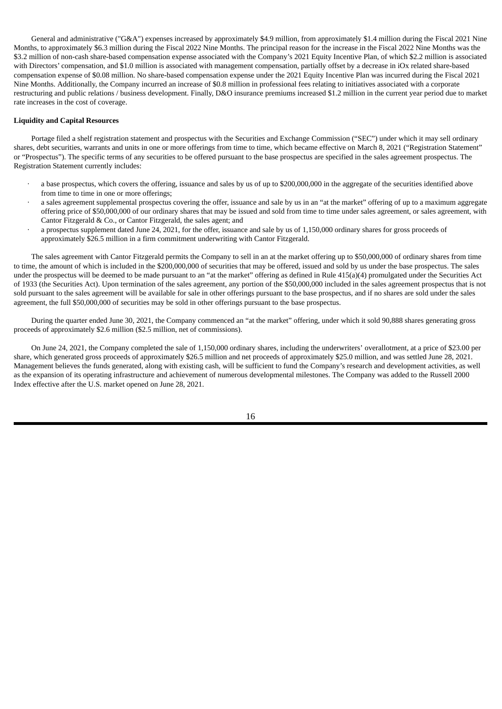General and administrative ("G&A") expenses increased by approximately \$4.9 million, from approximately \$1.4 million during the Fiscal 2021 Nine Months, to approximately \$6.3 million during the Fiscal 2022 Nine Months. The principal reason for the increase in the Fiscal 2022 Nine Months was the \$3.2 million of non-cash share-based compensation expense associated with the Company's 2021 Equity Incentive Plan, of which \$2.2 million is associated with Directors' compensation, and \$1.0 million is associated with management compensation, partially offset by a decrease in iOx related share-based compensation expense of \$0.08 million. No share-based compensation expense under the 2021 Equity Incentive Plan was incurred during the Fiscal 2021 Nine Months. Additionally, the Company incurred an increase of \$0.8 million in professional fees relating to initiatives associated with a corporate restructuring and public relations / business development. Finally, D&O insurance premiums increased \$1.2 million in the current year period due to market rate increases in the cost of coverage.

#### **Liquidity and Capital Resources**

Portage filed a shelf registration statement and prospectus with the Securities and Exchange Commission ("SEC") under which it may sell ordinary shares, debt securities, warrants and units in one or more offerings from time to time, which became effective on March 8, 2021 ("Registration Statement" or "Prospectus"). The specific terms of any securities to be offered pursuant to the base prospectus are specified in the sales agreement prospectus. The Registration Statement currently includes:

- · a base prospectus, which covers the offering, issuance and sales by us of up to \$200,000,000 in the aggregate of the securities identified above from time to time in one or more offerings;
- · a sales agreement supplemental prospectus covering the offer, issuance and sale by us in an "at the market" offering of up to a maximum aggregate offering price of \$50,000,000 of our ordinary shares that may be issued and sold from time to time under sales agreement, or sales agreement, with Cantor Fitzgerald & Co., or Cantor Fitzgerald, the sales agent; and
- a prospectus supplement dated June 24, 2021, for the offer, issuance and sale by us of 1,150,000 ordinary shares for gross proceeds of approximately \$26.5 million in a firm commitment underwriting with Cantor Fitzgerald.

The sales agreement with Cantor Fitzgerald permits the Company to sell in an at the market offering up to \$50,000,000 of ordinary shares from time to time, the amount of which is included in the \$200,000,000 of securities that may be offered, issued and sold by us under the base prospectus. The sales under the prospectus will be deemed to be made pursuant to an "at the market" offering as defined in Rule 415(a)(4) promulgated under the Securities Act of 1933 (the Securities Act). Upon termination of the sales agreement, any portion of the \$50,000,000 included in the sales agreement prospectus that is not sold pursuant to the sales agreement will be available for sale in other offerings pursuant to the base prospectus, and if no shares are sold under the sales agreement, the full \$50,000,000 of securities may be sold in other offerings pursuant to the base prospectus.

During the quarter ended June 30, 2021, the Company commenced an "at the market" offering, under which it sold 90,888 shares generating gross proceeds of approximately \$2.6 million (\$2.5 million, net of commissions).

On June 24, 2021, the Company completed the sale of 1,150,000 ordinary shares, including the underwriters' overallotment, at a price of \$23.00 per share, which generated gross proceeds of approximately \$26.5 million and net proceeds of approximately \$25.0 million, and was settled June 28, 2021. Management believes the funds generated, along with existing cash, will be sufficient to fund the Company's research and development activities, as well as the expansion of its operating infrastructure and achievement of numerous developmental milestones. The Company was added to the Russell 2000 Index effective after the U.S. market opened on June 28, 2021.

16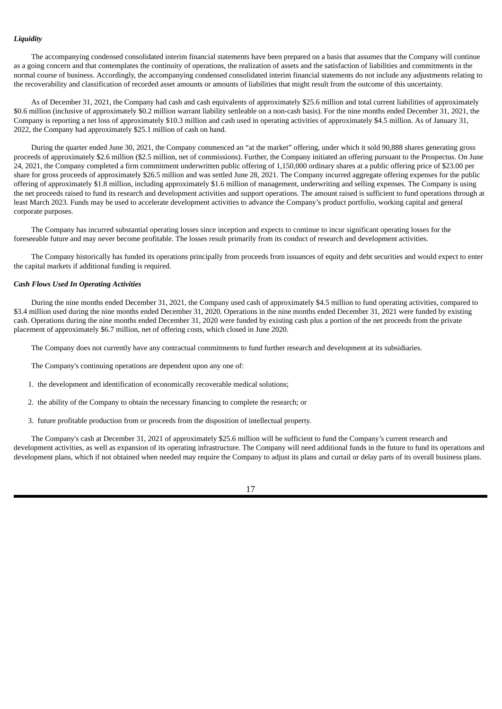# *Liquidity*

The accompanying condensed consolidated interim financial statements have been prepared on a basis that assumes that the Company will continue as a going concern and that contemplates the continuity of operations, the realization of assets and the satisfaction of liabilities and commitments in the normal course of business. Accordingly, the accompanying condensed consolidated interim financial statements do not include any adjustments relating to the recoverability and classification of recorded asset amounts or amounts of liabilities that might result from the outcome of this uncertainty.

As of December 31, 2021, the Company had cash and cash equivalents of approximately \$25.6 million and total current liabilities of approximately \$0.6 million (inclusive of approximately \$0.2 million warrant liability settleable on a non-cash basis). For the nine months ended December 31, 2021, the Company is reporting a net loss of approximately \$10.3 million and cash used in operating activities of approximately \$4.5 million. As of January 31, 2022, the Company had approximately \$25.1 million of cash on hand.

During the quarter ended June 30, 2021, the Company commenced an "at the market" offering, under which it sold 90,888 shares generating gross proceeds of approximately \$2.6 million (\$2.5 million, net of commissions). Further, the Company initiated an offering pursuant to the Prospectus. On June 24, 2021, the Company completed a firm commitment underwritten public offering of 1,150,000 ordinary shares at a public offering price of \$23.00 per share for gross proceeds of approximately \$26.5 million and was settled June 28, 2021. The Company incurred aggregate offering expenses for the public offering of approximately \$1.8 million, including approximately \$1.6 million of management, underwriting and selling expenses. The Company is using the net proceeds raised to fund its research and development activities and support operations. The amount raised is sufficient to fund operations through at least March 2023. Funds may be used to accelerate development activities to advance the Company's product portfolio, working capital and general corporate purposes.

The Company has incurred substantial operating losses since inception and expects to continue to incur significant operating losses for the foreseeable future and may never become profitable. The losses result primarily from its conduct of research and development activities.

The Company historically has funded its operations principally from proceeds from issuances of equity and debt securities and would expect to enter the capital markets if additional funding is required.

# *Cash Flows Used In Operating Activities*

During the nine months ended December 31, 2021, the Company used cash of approximately \$4.5 million to fund operating activities, compared to \$3.4 million used during the nine months ended December 31, 2020. Operations in the nine months ended December 31, 2021 were funded by existing cash. Operations during the nine months ended December 31, 2020 were funded by existing cash plus a portion of the net proceeds from the private placement of approximately \$6.7 million, net of offering costs, which closed in June 2020.

The Company does not currently have any contractual commitments to fund further research and development at its subsidiaries.

The Company's continuing operations are dependent upon any one of:

- 1. the development and identification of economically recoverable medical solutions;
- 2. the ability of the Company to obtain the necessary financing to complete the research; or
- 3. future profitable production from or proceeds from the disposition of intellectual property.

The Company's cash at December 31, 2021 of approximately \$25.6 million will be sufficient to fund the Company's current research and development activities, as well as expansion of its operating infrastructure. The Company will need additional funds in the future to fund its operations and development plans, which if not obtained when needed may require the Company to adjust its plans and curtail or delay parts of its overall business plans.

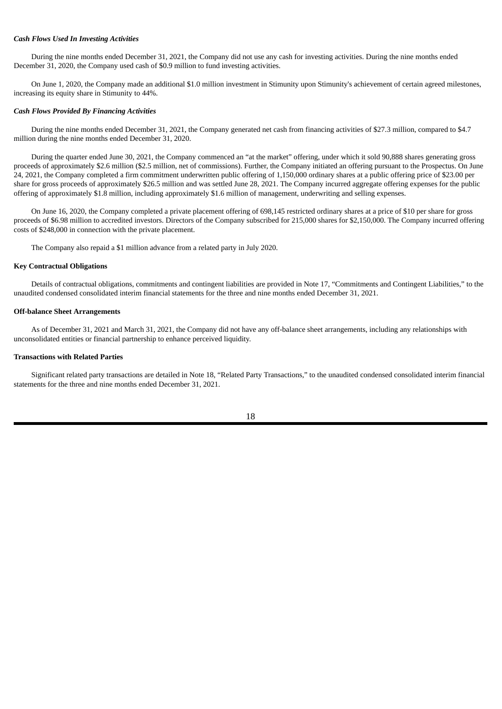#### *Cash Flows Used In Investing Activities*

During the nine months ended December 31, 2021, the Company did not use any cash for investing activities. During the nine months ended December 31, 2020, the Company used cash of \$0.9 million to fund investing activities.

On June 1, 2020, the Company made an additional \$1.0 million investment in Stimunity upon Stimunity's achievement of certain agreed milestones, increasing its equity share in Stimunity to 44%.

#### *Cash Flows Provided By Financing Activities*

During the nine months ended December 31, 2021, the Company generated net cash from financing activities of \$27.3 million, compared to \$4.7 million during the nine months ended December 31, 2020.

During the quarter ended June 30, 2021, the Company commenced an "at the market" offering, under which it sold 90,888 shares generating gross proceeds of approximately \$2.6 million (\$2.5 million, net of commissions). Further, the Company initiated an offering pursuant to the Prospectus. On June 24, 2021, the Company completed a firm commitment underwritten public offering of 1,150,000 ordinary shares at a public offering price of \$23.00 per share for gross proceeds of approximately \$26.5 million and was settled June 28, 2021. The Company incurred aggregate offering expenses for the public offering of approximately \$1.8 million, including approximately \$1.6 million of management, underwriting and selling expenses.

On June 16, 2020, the Company completed a private placement offering of 698,145 restricted ordinary shares at a price of \$10 per share for gross proceeds of \$6.98 million to accredited investors. Directors of the Company subscribed for 215,000 shares for \$2,150,000. The Company incurred offering costs of \$248,000 in connection with the private placement.

The Company also repaid a \$1 million advance from a related party in July 2020.

#### **Key Contractual Obligations**

Details of contractual obligations, commitments and contingent liabilities are provided in Note 17, "Commitments and Contingent Liabilities," to the unaudited condensed consolidated interim financial statements for the three and nine months ended December 31, 2021.

#### **Off-balance Sheet Arrangements**

As of December 31, 2021 and March 31, 2021, the Company did not have any off-balance sheet arrangements, including any relationships with unconsolidated entities or financial partnership to enhance perceived liquidity.

#### **Transactions with Related Parties**

Significant related party transactions are detailed in Note 18, "Related Party Transactions," to the unaudited condensed consolidated interim financial statements for the three and nine months ended December 31, 2021.

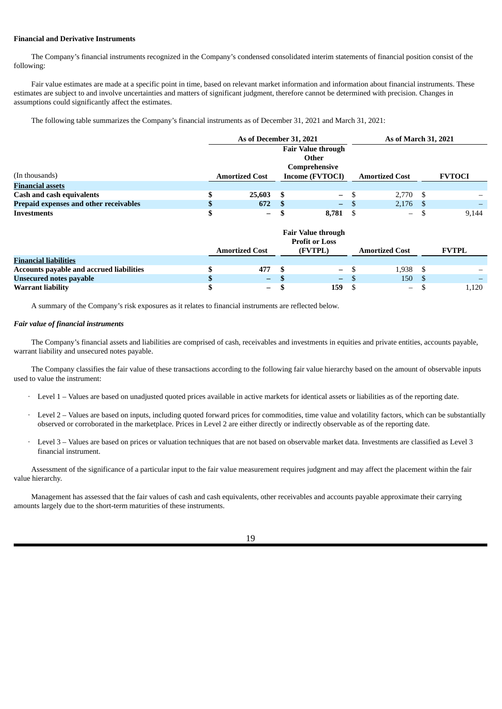# **Financial and Derivative Instruments**

The Company's financial instruments recognized in the Company's condensed consolidated interim statements of financial position consist of the following:

Fair value estimates are made at a specific point in time, based on relevant market information and information about financial instruments. These estimates are subject to and involve uncertainties and matters of significant judgment, therefore cannot be determined with precision. Changes in assumptions could significantly affect the estimates.

The following table summarizes the Company's financial instruments as of December 31, 2021 and March 31, 2021:

|                                        |  | As of December 31, 2021 |                           |                   | As of March 31, 2021 |                          |      |               |
|----------------------------------------|--|-------------------------|---------------------------|-------------------|----------------------|--------------------------|------|---------------|
|                                        |  |                         | <b>Fair Value through</b> |                   |                      |                          |      |               |
| Other                                  |  |                         |                           |                   |                      |                          |      |               |
|                                        |  | Comprehensive           |                           |                   |                      |                          |      |               |
| (In thousands)                         |  | <b>Amortized Cost</b>   |                           | Income (FVTOCI)   |                      | <b>Amortized Cost</b>    |      | <b>FVTOCI</b> |
| <b>Financial assets</b>                |  |                         |                           |                   |                      |                          |      |               |
| <b>Cash and cash equivalents</b>       |  | 25.603                  | -S                        | $\qquad \qquad -$ |                      | 2.770S                   |      |               |
| Prepaid expenses and other receivables |  | 672                     | -8                        | $\sim$            | - S                  | 2,176                    | - \$ |               |
| Investments                            |  | $-$                     |                           | 8.781             |                      | $\overline{\phantom{0}}$ |      | 9.144         |

|                                          | <b>Fair Value through</b><br><b>Profit or Loss</b> |                       |  |          |  |                          |              |
|------------------------------------------|----------------------------------------------------|-----------------------|--|----------|--|--------------------------|--------------|
|                                          |                                                    | <b>Amortized Cost</b> |  | (FVTPL)  |  | <b>Amortized Cost</b>    | <b>FVTPL</b> |
| <b>Financial liabilities</b>             |                                                    |                       |  |          |  |                          |              |
| Accounts payable and accrued liabilities |                                                    | 477                   |  | $-$ \$   |  | 1,938 \$                 |              |
| <b>Unsecured notes payable</b>           |                                                    | $\qquad \qquad -$     |  | $\equiv$ |  | 150                      |              |
| <b>Warrant liability</b>                 |                                                    | $\qquad \qquad -$     |  | 159.     |  | $\overline{\phantom{m}}$ | 1,120        |

A summary of the Company's risk exposures as it relates to financial instruments are reflected below.

# *Fair value of financial instruments*

The Company's financial assets and liabilities are comprised of cash, receivables and investments in equities and private entities, accounts payable, warrant liability and unsecured notes payable.

The Company classifies the fair value of these transactions according to the following fair value hierarchy based on the amount of observable inputs used to value the instrument:

- · Level 1 Values are based on unadjusted quoted prices available in active markets for identical assets or liabilities as of the reporting date.
- Level 2 Values are based on inputs, including quoted forward prices for commodities, time value and volatility factors, which can be substantially observed or corroborated in the marketplace. Prices in Level 2 are either directly or indirectly observable as of the reporting date.
- · Level 3 Values are based on prices or valuation techniques that are not based on observable market data. Investments are classified as Level 3 financial instrument.

Assessment of the significance of a particular input to the fair value measurement requires judgment and may affect the placement within the fair value hierarchy.

Management has assessed that the fair values of cash and cash equivalents, other receivables and accounts payable approximate their carrying amounts largely due to the short-term maturities of these instruments.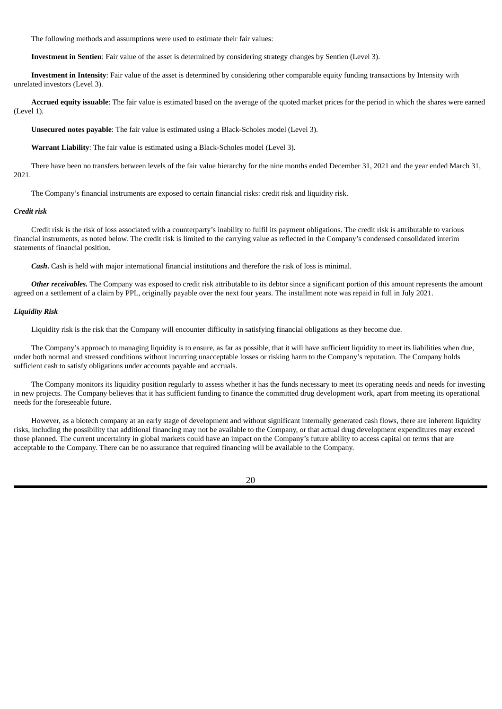The following methods and assumptions were used to estimate their fair values:

**Investment in Sentien**: Fair value of the asset is determined by considering strategy changes by Sentien (Level 3).

**Investment in Intensity**: Fair value of the asset is determined by considering other comparable equity funding transactions by Intensity with unrelated investors (Level 3).

**Accrued equity issuable**: The fair value is estimated based on the average of the quoted market prices for the period in which the shares were earned (Level 1).

**Unsecured notes payable**: The fair value is estimated using a Black-Scholes model (Level 3).

**Warrant Liability**: The fair value is estimated using a Black-Scholes model (Level 3).

There have been no transfers between levels of the fair value hierarchy for the nine months ended December 31, 2021 and the year ended March 31, 2021.

The Company's financial instruments are exposed to certain financial risks: credit risk and liquidity risk.

# *Credit risk*

Credit risk is the risk of loss associated with a counterparty's inability to fulfil its payment obligations. The credit risk is attributable to various financial instruments, as noted below. The credit risk is limited to the carrying value as reflected in the Company's condensed consolidated interim statements of financial position.

*Cash***.** Cash is held with major international financial institutions and therefore the risk of loss is minimal.

*Other receivables.* The Company was exposed to credit risk attributable to its debtor since a significant portion of this amount represents the amount agreed on a settlement of a claim by PPL, originally payable over the next four years. The installment note was repaid in full in July 2021.

#### *Liquidity Risk*

Liquidity risk is the risk that the Company will encounter difficulty in satisfying financial obligations as they become due.

The Company's approach to managing liquidity is to ensure, as far as possible, that it will have sufficient liquidity to meet its liabilities when due, under both normal and stressed conditions without incurring unacceptable losses or risking harm to the Company's reputation. The Company holds sufficient cash to satisfy obligations under accounts payable and accruals.

The Company monitors its liquidity position regularly to assess whether it has the funds necessary to meet its operating needs and needs for investing in new projects. The Company believes that it has sufficient funding to finance the committed drug development work, apart from meeting its operational needs for the foreseeable future.

However, as a biotech company at an early stage of development and without significant internally generated cash flows, there are inherent liquidity risks, including the possibility that additional financing may not be available to the Company, or that actual drug development expenditures may exceed those planned. The current uncertainty in global markets could have an impact on the Company's future ability to access capital on terms that are acceptable to the Company. There can be no assurance that required financing will be available to the Company.

20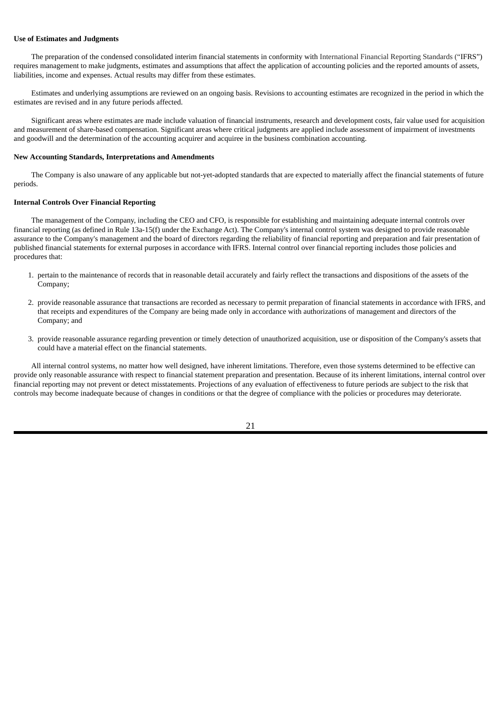#### **Use of Estimates and Judgments**

The preparation of the condensed consolidated interim financial statements in conformity with International Financial Reporting Standards ("IFRS") requires management to make judgments, estimates and assumptions that affect the application of accounting policies and the reported amounts of assets, liabilities, income and expenses. Actual results may differ from these estimates.

Estimates and underlying assumptions are reviewed on an ongoing basis. Revisions to accounting estimates are recognized in the period in which the estimates are revised and in any future periods affected.

Significant areas where estimates are made include valuation of financial instruments, research and development costs, fair value used for acquisition and measurement of share-based compensation. Significant areas where critical judgments are applied include assessment of impairment of investments and goodwill and the determination of the accounting acquirer and acquiree in the business combination accounting.

#### **New Accounting Standards, Interpretations and Amendments**

The Company is also unaware of any applicable but not-yet-adopted standards that are expected to materially affect the financial statements of future periods.

#### **Internal Controls Over Financial Reporting**

The management of the Company, including the CEO and CFO, is responsible for establishing and maintaining adequate internal controls over financial reporting (as defined in Rule 13a-15(f) under the Exchange Act). The Company's internal control system was designed to provide reasonable assurance to the Company's management and the board of directors regarding the reliability of financial reporting and preparation and fair presentation of published financial statements for external purposes in accordance with IFRS. Internal control over financial reporting includes those policies and procedures that:

- 1. pertain to the maintenance of records that in reasonable detail accurately and fairly reflect the transactions and dispositions of the assets of the Company;
- 2. provide reasonable assurance that transactions are recorded as necessary to permit preparation of financial statements in accordance with IFRS, and that receipts and expenditures of the Company are being made only in accordance with authorizations of management and directors of the Company; and
- 3. provide reasonable assurance regarding prevention or timely detection of unauthorized acquisition, use or disposition of the Company's assets that could have a material effect on the financial statements.

All internal control systems, no matter how well designed, have inherent limitations. Therefore, even those systems determined to be effective can provide only reasonable assurance with respect to financial statement preparation and presentation. Because of its inherent limitations, internal control over financial reporting may not prevent or detect misstatements. Projections of any evaluation of effectiveness to future periods are subject to the risk that controls may become inadequate because of changes in conditions or that the degree of compliance with the policies or procedures may deteriorate.